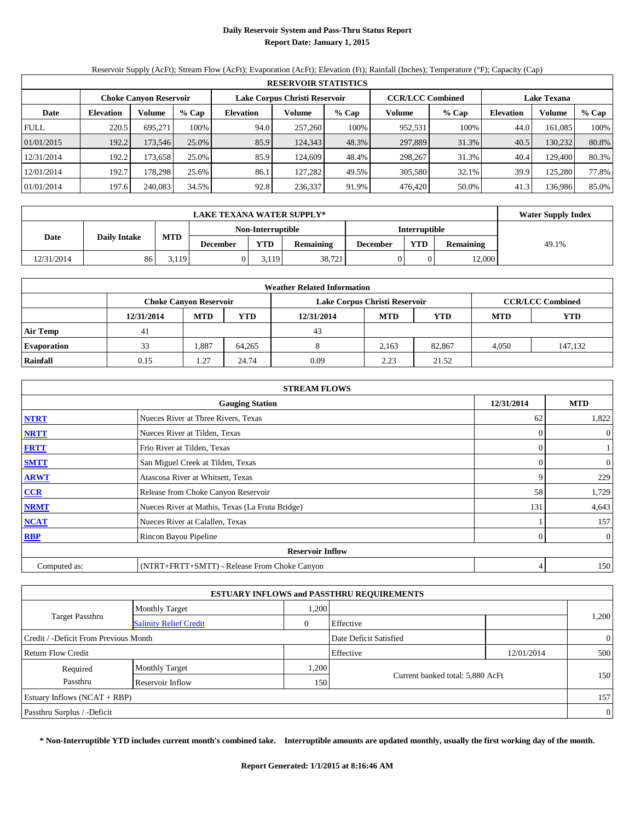## **Daily Reservoir System and Pass-Thru Status Report Report Date: January 1, 2015**

Reservoir Supply (AcFt); Stream Flow (AcFt); Evaporation (AcFt); Elevation (Ft); Rainfall (Inches); Temperature (°F); Capacity (Cap)

| <b>RESERVOIR STATISTICS</b> |                                                                                                                 |         |       |                  |         |       |                   |       |                  |         |       |  |  |
|-----------------------------|-----------------------------------------------------------------------------------------------------------------|---------|-------|------------------|---------|-------|-------------------|-------|------------------|---------|-------|--|--|
|                             | Lake Corpus Christi Reservoir<br><b>CCR/LCC Combined</b><br><b>Lake Texana</b><br><b>Choke Canyon Reservoir</b> |         |       |                  |         |       |                   |       |                  |         |       |  |  |
| Date                        | <b>Elevation</b>                                                                                                | Volume  | % Cap | <b>Elevation</b> | Volume  | % Cap | Volume<br>$%$ Cap |       | <b>Elevation</b> | Volume  | % Cap |  |  |
| <b>FULL</b>                 | 220.5                                                                                                           | 695.271 | 100%  | 94.0             | 257,260 | 100%  | 952,531           | 100%  | 44.0             | 161.085 | 100%  |  |  |
| 01/01/2015                  | 192.2                                                                                                           | 173.546 | 25.0% | 85.9             | 124.343 | 48.3% | 297,889           | 31.3% | 40.5             | 130.232 | 80.8% |  |  |
| 12/31/2014                  | 192.2                                                                                                           | 173.658 | 25.0% | 85.9             | 124,609 | 48.4% | 298,267           | 31.3% | 40.4             | 129.400 | 80.3% |  |  |
| 12/01/2014                  | 192.7                                                                                                           | 178.298 | 25.6% | 86.1             | 127.282 | 49.5% | 305,580           | 32.1% | 39.9             | 125.280 | 77.8% |  |  |
| 01/01/2014                  | 197.6                                                                                                           | 240,083 | 34.5% | 92.8             | 236,337 | 91.9% | 476.420           | 50.0% | 41.3             | 136.986 | 85.0% |  |  |

|            | <b>LAKE TEXANA WATER SUPPLY*</b> |            |                 |                   |                  |                 |                      |                  |       |  |  |
|------------|----------------------------------|------------|-----------------|-------------------|------------------|-----------------|----------------------|------------------|-------|--|--|
|            |                                  | <b>MTD</b> |                 | Non-Interruptible |                  |                 | <b>Interruptible</b> |                  |       |  |  |
|            | Date<br><b>Daily Intake</b>      |            | <b>December</b> | <b>YTD</b>        | <b>Remaining</b> | <b>December</b> | <b>YTD</b>           | <b>Remaining</b> | 49.1% |  |  |
| 12/31/2014 | 86                               | 5,119      |                 | 3.119             | 38,721           |                 |                      | 12,000           |       |  |  |

| <b>Weather Related Information</b> |            |                               |        |            |                               |                         |       |         |  |  |  |  |
|------------------------------------|------------|-------------------------------|--------|------------|-------------------------------|-------------------------|-------|---------|--|--|--|--|
|                                    |            | <b>Choke Canyon Reservoir</b> |        |            | Lake Corpus Christi Reservoir | <b>CCR/LCC Combined</b> |       |         |  |  |  |  |
|                                    | 12/31/2014 | <b>MTD</b>                    | YTD    | 12/31/2014 | <b>MTD</b>                    | <b>YTD</b>              |       |         |  |  |  |  |
| <b>Air Temp</b>                    | 41         |                               |        | 43         |                               |                         |       |         |  |  |  |  |
| <b>Evaporation</b>                 | 33         | .887                          | 64.265 |            | 2.163                         | 82.867                  | 4.050 | 147,132 |  |  |  |  |
| Rainfall                           | 0.15       | $\mathcal{L}$<br>1.4          | 24.74  | 0.09       | 2.23                          | 21.52                   |       |         |  |  |  |  |

| <b>STREAM FLOWS</b> |                                                 |            |                |  |  |  |  |  |  |
|---------------------|-------------------------------------------------|------------|----------------|--|--|--|--|--|--|
|                     | <b>Gauging Station</b>                          | 12/31/2014 | <b>MTD</b>     |  |  |  |  |  |  |
| <b>NTRT</b>         | Nueces River at Three Rivers, Texas             | 62         | 1,822          |  |  |  |  |  |  |
| <b>NRTT</b>         | Nueces River at Tilden, Texas                   | $\Omega$   | $\overline{0}$ |  |  |  |  |  |  |
| <b>FRTT</b>         | Frio River at Tilden, Texas                     | $\Omega$   |                |  |  |  |  |  |  |
| <b>SMTT</b>         | San Miguel Creek at Tilden, Texas               | $\theta$   | $\overline{0}$ |  |  |  |  |  |  |
| <b>ARWT</b>         | Atascosa River at Whitsett, Texas               | 9          | 229            |  |  |  |  |  |  |
| $CCR$               | Release from Choke Canyon Reservoir             | 58         | 1,729          |  |  |  |  |  |  |
| <b>NRMT</b>         | Nueces River at Mathis, Texas (La Fruta Bridge) | 131        | 4,643          |  |  |  |  |  |  |
| <b>NCAT</b>         | Nueces River at Calallen, Texas                 |            | 157            |  |  |  |  |  |  |
| <b>RBP</b>          | Rincon Bayou Pipeline                           | $\Omega$   | $\overline{0}$ |  |  |  |  |  |  |
|                     | <b>Reservoir Inflow</b>                         |            |                |  |  |  |  |  |  |
| Computed as:        | (NTRT+FRTT+SMTT) - Release From Choke Canyon    | 4          | 150            |  |  |  |  |  |  |

| <b>ESTUARY INFLOWS and PASSTHRU REQUIREMENTS</b>                |                               |      |                                  |  |       |  |  |  |  |  |
|-----------------------------------------------------------------|-------------------------------|------|----------------------------------|--|-------|--|--|--|--|--|
|                                                                 | <b>Monthly Target</b>         | ,200 |                                  |  |       |  |  |  |  |  |
| <b>Target Passthru</b>                                          | <b>Salinity Relief Credit</b> | 0    | Effective                        |  | 1,200 |  |  |  |  |  |
| Credit / -Deficit From Previous Month<br>Date Deficit Satisfied |                               |      |                                  |  |       |  |  |  |  |  |
| Effective<br><b>Return Flow Credit</b><br>12/01/2014            |                               |      |                                  |  |       |  |  |  |  |  |
| Required                                                        | <b>Monthly Target</b>         | ,200 |                                  |  |       |  |  |  |  |  |
| Passthru                                                        | Reservoir Inflow              | 150  | Current banked total: 5,880 AcFt |  | 150   |  |  |  |  |  |
| Estuary Inflows $(NCAT + RBP)$                                  |                               |      |                                  |  |       |  |  |  |  |  |
| Passthru Surplus / -Deficit                                     |                               |      |                                  |  |       |  |  |  |  |  |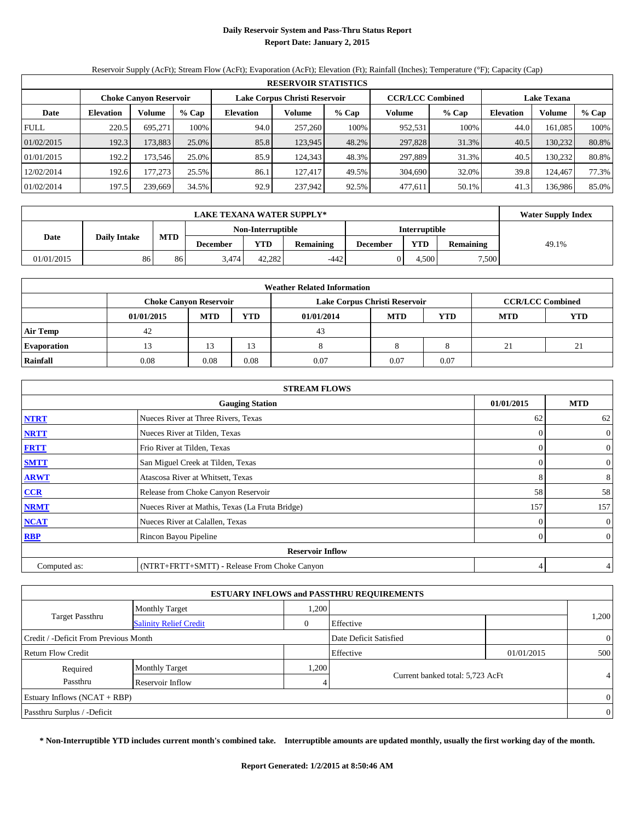## **Daily Reservoir System and Pass-Thru Status Report Report Date: January 2, 2015**

Reservoir Supply (AcFt); Stream Flow (AcFt); Evaporation (AcFt); Elevation (Ft); Rainfall (Inches); Temperature (°F); Capacity (Cap)

| <b>RESERVOIR STATISTICS</b> |                                                                                                                 |         |       |                  |         |         |         |         |                  |         |       |  |
|-----------------------------|-----------------------------------------------------------------------------------------------------------------|---------|-------|------------------|---------|---------|---------|---------|------------------|---------|-------|--|
|                             | <b>CCR/LCC Combined</b><br>Lake Corpus Christi Reservoir<br><b>Choke Canyon Reservoir</b><br><b>Lake Texana</b> |         |       |                  |         |         |         |         |                  |         |       |  |
| Date                        | Volume<br>$%$ Cap<br><b>Elevation</b>                                                                           |         |       | <b>Elevation</b> | Volume  | $%$ Cap | Volume  | $%$ Cap | <b>Elevation</b> | Volume  | % Cap |  |
| <b>FULL</b>                 | 220.5                                                                                                           | 695.271 | 100%  | 94.0             | 257,260 | 100%    | 952,531 | 100%    | 44.0             | 161.085 | 100%  |  |
| 01/02/2015                  | 192.3                                                                                                           | 173,883 | 25.0% | 85.8             | 123,945 | 48.2%   | 297,828 | 31.3%   | 40.5             | 130,232 | 80.8% |  |
| 01/01/2015                  | 192.2                                                                                                           | 173.546 | 25.0% | 85.9             | 124,343 | 48.3%   | 297.889 | 31.3%   | 40.5             | 130.232 | 80.8% |  |
| 12/02/2014                  | 192.6                                                                                                           | 177.273 | 25.5% | 86.1             | 127,417 | 49.5%   | 304,690 | 32.0%   | 39.8             | 124.467 | 77.3% |  |
| 01/02/2014                  | 197.5                                                                                                           | 239,669 | 34.5% | 92.9             | 237,942 | 92.5%   | 477,611 | 50.1%   | 41.3             | 136.986 | 85.0% |  |

|            | <b>LAKE TEXANA WATER SUPPLY*</b>                 |    |          |                   |           |                 |               |                  |       |  |  |  |
|------------|--------------------------------------------------|----|----------|-------------------|-----------|-----------------|---------------|------------------|-------|--|--|--|
|            |                                                  |    |          | Non-Interruptible |           |                 | Interruptible |                  |       |  |  |  |
|            | <b>MTD</b><br><b>Date</b><br><b>Daily Intake</b> |    | December | YTD               | Remaining | <b>December</b> | <b>YTD</b>    | <b>Remaining</b> | 49.1% |  |  |  |
| 01/01/2015 | 86                                               | 86 | 3.474    | 42.282            | $-442$    |                 | .500          | 7,500            |       |  |  |  |

| <b>Weather Related Information</b> |                                              |            |            |                               |     |                         |    |    |  |  |  |
|------------------------------------|----------------------------------------------|------------|------------|-------------------------------|-----|-------------------------|----|----|--|--|--|
|                                    | <b>Choke Canyon Reservoir</b>                |            |            | Lake Corpus Christi Reservoir |     | <b>CCR/LCC Combined</b> |    |    |  |  |  |
|                                    | 01/01/2015                                   | <b>MTD</b> | <b>YTD</b> | <b>MTD</b>                    | YTD |                         |    |    |  |  |  |
| <b>Air Temp</b>                    | 42                                           |            |            | 43                            |     |                         |    |    |  |  |  |
| <b>Evaporation</b>                 |                                              |            |            |                               |     |                         | 21 | ∠⊥ |  |  |  |
| Rainfall                           | 0.08<br>0.08<br>0.07<br>0.07<br>0.08<br>0.07 |            |            |                               |     |                         |    |    |  |  |  |

| <b>STREAM FLOWS</b> |                                                 |            |                |  |  |  |  |  |  |
|---------------------|-------------------------------------------------|------------|----------------|--|--|--|--|--|--|
|                     | <b>Gauging Station</b>                          | 01/01/2015 | <b>MTD</b>     |  |  |  |  |  |  |
| <b>NTRT</b>         | Nueces River at Three Rivers, Texas             | 62         | 62             |  |  |  |  |  |  |
| <b>NRTT</b>         | Nueces River at Tilden, Texas                   |            | $\mathbf{0}$   |  |  |  |  |  |  |
| <b>FRTT</b>         | Frio River at Tilden, Texas                     |            | $\overline{0}$ |  |  |  |  |  |  |
| <b>SMTT</b>         | San Miguel Creek at Tilden, Texas               |            | $\mathbf{0}$   |  |  |  |  |  |  |
| <b>ARWT</b>         | Atascosa River at Whitsett, Texas               | 8          | 8              |  |  |  |  |  |  |
| $CCR$               | Release from Choke Canyon Reservoir             | 58         | 58             |  |  |  |  |  |  |
| <b>NRMT</b>         | Nueces River at Mathis, Texas (La Fruta Bridge) | 157        | 157            |  |  |  |  |  |  |
| <b>NCAT</b>         | Nueces River at Calallen, Texas                 |            | $\mathbf{0}$   |  |  |  |  |  |  |
| <b>RBP</b>          | Rincon Bayou Pipeline                           | $\Omega$   | $\overline{0}$ |  |  |  |  |  |  |
|                     | <b>Reservoir Inflow</b>                         |            |                |  |  |  |  |  |  |
| Computed as:        | (NTRT+FRTT+SMTT) - Release From Choke Canyon    |            | 4              |  |  |  |  |  |  |

| <b>ESTUARY INFLOWS and PASSTHRU REQUIREMENTS</b>                |                               |      |                                  |            |          |  |  |  |  |  |
|-----------------------------------------------------------------|-------------------------------|------|----------------------------------|------------|----------|--|--|--|--|--|
|                                                                 | <b>Monthly Target</b>         | ,200 |                                  |            |          |  |  |  |  |  |
| <b>Target Passthru</b>                                          | <b>Salinity Relief Credit</b> |      | Effective                        |            | 1,200    |  |  |  |  |  |
| Date Deficit Satisfied<br>Credit / -Deficit From Previous Month |                               |      |                                  |            |          |  |  |  |  |  |
| <b>Return Flow Credit</b>                                       |                               |      | Effective                        | 01/01/2015 | 500      |  |  |  |  |  |
| Required                                                        | <b>Monthly Target</b>         | ,200 |                                  |            |          |  |  |  |  |  |
| Passthru                                                        | Reservoir Inflow              | 4    | Current banked total: 5,723 AcFt |            | 4        |  |  |  |  |  |
| Estuary Inflows $(NCAT + RBP)$                                  |                               |      |                                  |            |          |  |  |  |  |  |
| Passthru Surplus / -Deficit                                     |                               |      |                                  |            | $\theta$ |  |  |  |  |  |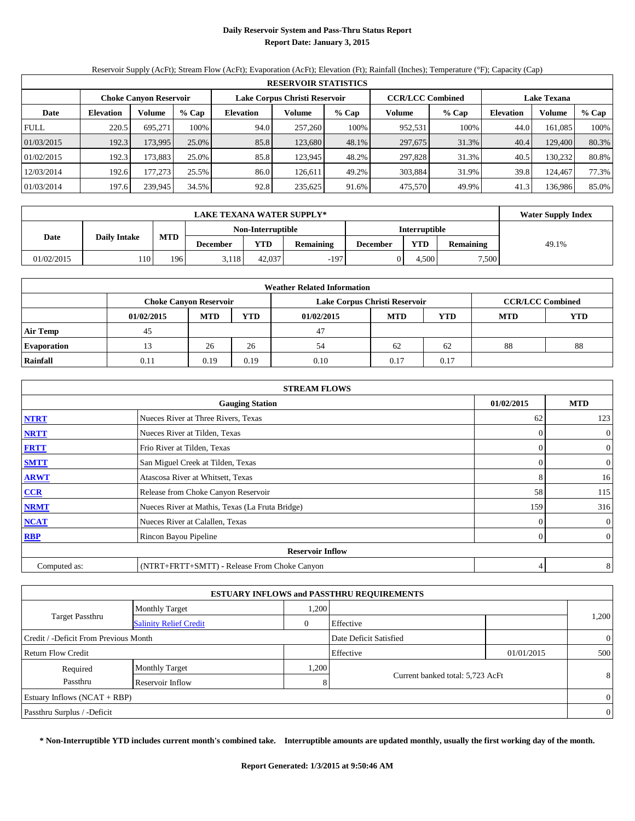## **Daily Reservoir System and Pass-Thru Status Report Report Date: January 3, 2015**

Reservoir Supply (AcFt); Stream Flow (AcFt); Evaporation (AcFt); Elevation (Ft); Rainfall (Inches); Temperature (°F); Capacity (Cap)

| <b>RESERVOIR STATISTICS</b> |                                                                                                                 |         |       |                  |         |         |         |         |                  |         |       |  |
|-----------------------------|-----------------------------------------------------------------------------------------------------------------|---------|-------|------------------|---------|---------|---------|---------|------------------|---------|-------|--|
|                             | <b>CCR/LCC Combined</b><br>Lake Corpus Christi Reservoir<br><b>Lake Texana</b><br><b>Choke Canyon Reservoir</b> |         |       |                  |         |         |         |         |                  |         |       |  |
| Date                        | Volume<br>% Cap<br><b>Elevation</b>                                                                             |         |       | <b>Elevation</b> | Volume  | $%$ Cap | Volume  | $%$ Cap | <b>Elevation</b> | Volume  | % Cap |  |
| <b>FULL</b>                 | 220.5                                                                                                           | 695.271 | 100%  | 94.0             | 257,260 | 100%    | 952,531 | 100%    | 44.0             | 161.085 | 100%  |  |
| 01/03/2015                  | 192.3                                                                                                           | 173.995 | 25.0% | 85.8             | 123,680 | 48.1%   | 297,675 | 31.3%   | 40.4             | 129,400 | 80.3% |  |
| 01/02/2015                  | 192.3                                                                                                           | 173.883 | 25.0% | 85.8             | 123.945 | 48.2%   | 297.828 | 31.3%   | 40.5             | 130.232 | 80.8% |  |
| 12/03/2014                  | 192.6                                                                                                           | 177.273 | 25.5% | 86.0             | 126.611 | 49.2%   | 303,884 | 31.9%   | 39.8             | 124.467 | 77.3% |  |
| 01/03/2014                  | 197.6                                                                                                           | 239,945 | 34.5% | 92.8             | 235,625 | 91.6%   | 475,570 | 49.9%   | 41.3             | 136.986 | 85.0% |  |

|            | LAKE TEXANA WATER SUPPLY*                 |     |          |                   |           |                 |                      |                  |       |  |  |  |
|------------|-------------------------------------------|-----|----------|-------------------|-----------|-----------------|----------------------|------------------|-------|--|--|--|
|            |                                           |     |          | Non-Interruptible |           |                 | <b>Interruptible</b> |                  |       |  |  |  |
|            | <b>MTD</b><br>Date<br><b>Daily Intake</b> |     | December | YTD               | Remaining | <b>December</b> | <b>YTD</b>           | <b>Remaining</b> | 49.1% |  |  |  |
| 01/02/2015 | 110                                       | 196 | 3.118    | 42,037            | $-197$    |                 | .500                 | 7,500            |       |  |  |  |

| <b>Weather Related Information</b> |            |                               |            |                               |            |                         |            |            |  |  |  |
|------------------------------------|------------|-------------------------------|------------|-------------------------------|------------|-------------------------|------------|------------|--|--|--|
|                                    |            | <b>Choke Canvon Reservoir</b> |            | Lake Corpus Christi Reservoir |            | <b>CCR/LCC Combined</b> |            |            |  |  |  |
|                                    | 01/02/2015 | <b>MTD</b>                    | <b>YTD</b> | 01/02/2015                    | <b>MTD</b> | <b>YTD</b>              | <b>MTD</b> | <b>YTD</b> |  |  |  |
| <b>Air Temp</b>                    | 45         |                               |            | 47                            |            |                         |            |            |  |  |  |
| <b>Evaporation</b>                 |            | 26                            | 26         | 54                            | 62         | 62                      | 88         | 88         |  |  |  |
| Rainfall                           | 0.11       | 0.19                          | 0.19       | 0.10                          | 0.17       | 0.17                    |            |            |  |  |  |

| <b>STREAM FLOWS</b> |                                                 |          |                |  |  |  |  |  |  |
|---------------------|-------------------------------------------------|----------|----------------|--|--|--|--|--|--|
|                     | <b>Gauging Station</b>                          |          |                |  |  |  |  |  |  |
| <b>NTRT</b>         | Nueces River at Three Rivers, Texas             | 62       | 123            |  |  |  |  |  |  |
| <b>NRTT</b>         | Nueces River at Tilden, Texas                   | $\Omega$ | $\overline{0}$ |  |  |  |  |  |  |
| <b>FRTT</b>         | Frio River at Tilden, Texas                     | $\Omega$ | $\mathbf{0}$   |  |  |  |  |  |  |
| <b>SMTT</b>         | San Miguel Creek at Tilden, Texas               | $\theta$ | $\overline{0}$ |  |  |  |  |  |  |
| <b>ARWT</b>         | Atascosa River at Whitsett, Texas               | 8        | 16             |  |  |  |  |  |  |
| $CCR$               | Release from Choke Canyon Reservoir             | 58       | 115            |  |  |  |  |  |  |
| <b>NRMT</b>         | Nueces River at Mathis, Texas (La Fruta Bridge) | 159      | 316            |  |  |  |  |  |  |
| <b>NCAT</b>         | Nueces River at Calallen, Texas                 | $\theta$ | $\overline{0}$ |  |  |  |  |  |  |
| <b>RBP</b>          | Rincon Bayou Pipeline                           | $\Omega$ | $\overline{0}$ |  |  |  |  |  |  |
|                     | <b>Reservoir Inflow</b>                         |          |                |  |  |  |  |  |  |
| Computed as:        | (NTRT+FRTT+SMTT) - Release From Choke Canyon    | 4        | 8              |  |  |  |  |  |  |

|                                       |                               |      | <b>ESTUARY INFLOWS and PASSTHRU REQUIREMENTS</b> |            |                |
|---------------------------------------|-------------------------------|------|--------------------------------------------------|------------|----------------|
|                                       | <b>Monthly Target</b>         | .200 |                                                  |            |                |
| <b>Target Passthru</b>                | <b>Salinity Relief Credit</b> |      | Effective                                        |            | 1,200          |
| Credit / -Deficit From Previous Month |                               |      | Date Deficit Satisfied                           |            | $\overline{0}$ |
| <b>Return Flow Credit</b>             |                               |      | Effective                                        | 01/01/2015 | 500            |
| Required                              | <b>Monthly Target</b>         | ,200 |                                                  |            |                |
| Passthru<br>Reservoir Inflow          |                               | 8    | Current banked total: 5,723 AcFt                 |            | 8              |
| Estuary Inflows $(NCAT + RBP)$        |                               |      |                                                  |            | $\overline{0}$ |
| Passthru Surplus / -Deficit           |                               |      |                                                  |            | $\overline{0}$ |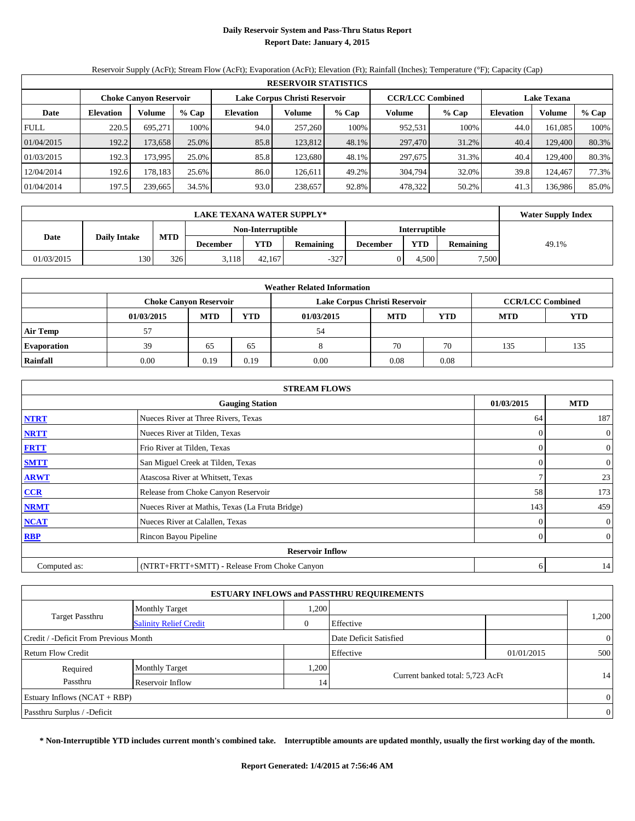## **Daily Reservoir System and Pass-Thru Status Report Report Date: January 4, 2015**

Reservoir Supply (AcFt); Stream Flow (AcFt); Evaporation (AcFt); Elevation (Ft); Rainfall (Inches); Temperature (°F); Capacity (Cap)

|             | <b>RESERVOIR STATISTICS</b> |                               |       |                  |                               |         |                         |         |                    |          |       |
|-------------|-----------------------------|-------------------------------|-------|------------------|-------------------------------|---------|-------------------------|---------|--------------------|----------|-------|
|             |                             | <b>Choke Canyon Reservoir</b> |       |                  | Lake Corpus Christi Reservoir |         | <b>CCR/LCC Combined</b> |         | <b>Lake Texana</b> |          |       |
| Date        | <b>Elevation</b>            | Volume                        | % Cap | <b>Elevation</b> | Volume                        | $%$ Cap | Volume                  | $%$ Cap | <b>Elevation</b>   | Volume   | % Cap |
| <b>FULL</b> | 220.5                       | 695.271                       | 100%  | 94.0             | 257,260                       | 100%    | 952,531                 | 100%    | 44.0               | 161.085  | 100%  |
| 01/04/2015  | 192.2                       | 173,658                       | 25.0% | 85.8             | 123,812                       | 48.1%   | 297,470                 | 31.2%   | 40.4               | 129,400  | 80.3% |
| 01/03/2015  | 192.3                       | 173,995                       | 25.0% | 85.8             | 123.680                       | 48.1%   | 297,675                 | 31.3%   | 40.4               | 129.4001 | 80.3% |
| 12/04/2014  | 192.6                       | 178,183                       | 25.6% | 86.0             | 126.611                       | 49.2%   | 304,794                 | 32.0%   | 39.8               | 124,467  | 77.3% |
| 01/04/2014  | 197.5                       | 239,665                       | 34.5% | 93.0             | 238,657                       | 92.8%   | 478,322                 | 50.2%   | 41.3               | 136,986  | 85.0% |

|            | <b>LAKE TEXANA WATER SUPPLY*</b> |            |          |                   |           |                 |                      |                  |       |  |  |  |
|------------|----------------------------------|------------|----------|-------------------|-----------|-----------------|----------------------|------------------|-------|--|--|--|
|            |                                  |            |          | Non-Interruptible |           |                 | <b>Interruptible</b> |                  |       |  |  |  |
| Date       | <b>Daily Intake</b>              | <b>MTD</b> | December | <b>YTD</b>        | Remaining | <b>December</b> | YTD                  | <b>Remaining</b> | 49.1% |  |  |  |
| 01/03/2015 | 130                              | 326        | 3,118    | 42.167            | $-327$    |                 | 4.500                | 7,500            |       |  |  |  |

| <b>Weather Related Information</b> |            |                               |            |                               |            |                         |            |            |  |  |  |
|------------------------------------|------------|-------------------------------|------------|-------------------------------|------------|-------------------------|------------|------------|--|--|--|
|                                    |            | <b>Choke Canvon Reservoir</b> |            | Lake Corpus Christi Reservoir |            | <b>CCR/LCC Combined</b> |            |            |  |  |  |
|                                    | 01/03/2015 | <b>MTD</b>                    | <b>YTD</b> | 01/03/2015                    | <b>MTD</b> | <b>YTD</b>              | <b>MTD</b> | <b>YTD</b> |  |  |  |
| <b>Air Temp</b>                    | 57         |                               |            | 54                            |            |                         |            |            |  |  |  |
| <b>Evaporation</b>                 | 39         | 65                            | 65         |                               | 70         | 70                      | 135        | 135        |  |  |  |
| Rainfall                           | 0.00       | 0.19                          | 0.19       | 0.00                          | 0.08       | 0.08                    |            |            |  |  |  |

| <b>STREAM FLOWS</b> |                                                 |          |                |  |  |  |  |  |  |
|---------------------|-------------------------------------------------|----------|----------------|--|--|--|--|--|--|
|                     | <b>Gauging Station</b>                          |          |                |  |  |  |  |  |  |
| <b>NTRT</b>         | Nueces River at Three Rivers, Texas             | 64       | 187            |  |  |  |  |  |  |
| <b>NRTT</b>         | Nueces River at Tilden, Texas                   | $\Omega$ | $\overline{0}$ |  |  |  |  |  |  |
| <b>FRTT</b>         | Frio River at Tilden, Texas                     | $\Omega$ | $\mathbf{0}$   |  |  |  |  |  |  |
| <b>SMTT</b>         | San Miguel Creek at Tilden, Texas               | $\theta$ | $\overline{0}$ |  |  |  |  |  |  |
| <b>ARWT</b>         | Atascosa River at Whitsett, Texas               | ∍        | 23             |  |  |  |  |  |  |
| $CCR$               | Release from Choke Canyon Reservoir             | 58       | 173            |  |  |  |  |  |  |
| <b>NRMT</b>         | Nueces River at Mathis, Texas (La Fruta Bridge) | 143      | 459            |  |  |  |  |  |  |
| <b>NCAT</b>         | Nueces River at Calallen, Texas                 | $\theta$ | $\overline{0}$ |  |  |  |  |  |  |
| <b>RBP</b>          | Rincon Bayou Pipeline                           | $\Omega$ | $\overline{0}$ |  |  |  |  |  |  |
|                     | <b>Reservoir Inflow</b>                         |          |                |  |  |  |  |  |  |
| Computed as:        | (NTRT+FRTT+SMTT) - Release From Choke Canyon    | 6        | 14             |  |  |  |  |  |  |

| <b>ESTUARY INFLOWS and PASSTHRU REQUIREMENTS</b> |                               |      |                                  |            |                |  |  |  |  |  |  |
|--------------------------------------------------|-------------------------------|------|----------------------------------|------------|----------------|--|--|--|--|--|--|
|                                                  | <b>Monthly Target</b>         | ,200 |                                  |            |                |  |  |  |  |  |  |
| <b>Target Passthru</b>                           | <b>Salinity Relief Credit</b> | 0    | Effective                        |            | 1,200          |  |  |  |  |  |  |
| Credit / -Deficit From Previous Month            |                               |      | Date Deficit Satisfied           |            |                |  |  |  |  |  |  |
| Return Flow Credit                               |                               |      | Effective                        | 01/01/2015 | 500            |  |  |  |  |  |  |
| Required                                         | <b>Monthly Target</b>         | ,200 |                                  |            |                |  |  |  |  |  |  |
| Passthru<br>Reservoir Inflow                     |                               | 14   | Current banked total: 5,723 AcFt |            | 14             |  |  |  |  |  |  |
| Estuary Inflows $(NCAT + RBP)$                   |                               |      |                                  |            | $\overline{0}$ |  |  |  |  |  |  |
| Passthru Surplus / -Deficit                      |                               |      |                                  |            | $\overline{0}$ |  |  |  |  |  |  |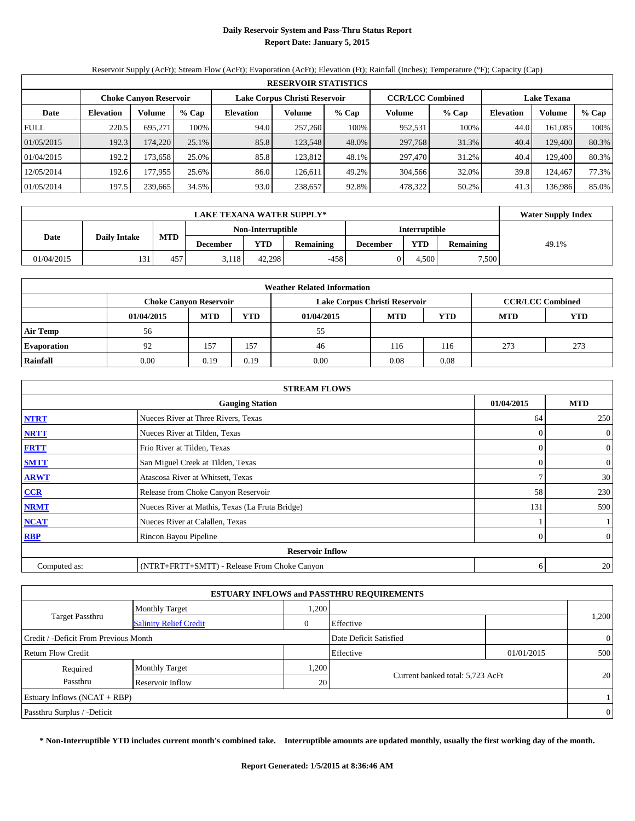## **Daily Reservoir System and Pass-Thru Status Report Report Date: January 5, 2015**

Reservoir Supply (AcFt); Stream Flow (AcFt); Evaporation (AcFt); Elevation (Ft); Rainfall (Inches); Temperature (°F); Capacity (Cap)

|             | <b>RESERVOIR STATISTICS</b>   |         |       |                               |         |       |                         |         |                    |         |       |
|-------------|-------------------------------|---------|-------|-------------------------------|---------|-------|-------------------------|---------|--------------------|---------|-------|
|             | <b>Choke Canyon Reservoir</b> |         |       | Lake Corpus Christi Reservoir |         |       | <b>CCR/LCC Combined</b> |         | <b>Lake Texana</b> |         |       |
| Date        | <b>Elevation</b>              | Volume  | % Cap | <b>Elevation</b>              | Volume  | % Cap | Volume                  | $%$ Cap | <b>Elevation</b>   | Volume  | % Cap |
| <b>FULL</b> | 220.5                         | 695.271 | 100%  | 94.0                          | 257,260 | 100%  | 952,531                 | 100%    | 44.0               | 161.085 | 100%  |
| 01/05/2015  | 192.3                         | 174.220 | 25.1% | 85.8                          | 123.548 | 48.0% | 297,768                 | 31.3%   | 40.4               | 129,400 | 80.3% |
| 01/04/2015  | 192.2                         | 173.658 | 25.0% | 85.8                          | 123.812 | 48.1% | 297,470                 | 31.2%   | 40.4               | 129.400 | 80.3% |
| 12/05/2014  | 192.6                         | 177,955 | 25.6% | 86.0                          | 126.611 | 49.2% | 304.566                 | 32.0%   | 39.8               | 124.467 | 77.3% |
| 01/05/2014  | 197.5                         | 239,665 | 34.5% | 93.0                          | 238,657 | 92.8% | 478,322                 | 50.2%   | 41.3               | 136.986 | 85.0% |

|            | <b>LAKE TEXANA WATER SUPPLY*</b> |            |                 |                   |           |                 |                      |                  |       |  |  |  |
|------------|----------------------------------|------------|-----------------|-------------------|-----------|-----------------|----------------------|------------------|-------|--|--|--|
|            |                                  |            |                 | Non-Interruptible |           |                 | <b>Interruptible</b> |                  |       |  |  |  |
| Date       | <b>Daily Intake</b>              | <b>MTD</b> | <b>December</b> | <b>YTD</b>        | Remaining | <b>December</b> | YTD                  | <b>Remaining</b> | 49.1% |  |  |  |
| 01/04/2015 | 131                              | 457        | 5.118           | 42.298            | -458      |                 | 4.500                | 7,500            |       |  |  |  |

| <b>Weather Related Information</b> |            |                               |            |                               |            |                         |            |            |  |  |  |
|------------------------------------|------------|-------------------------------|------------|-------------------------------|------------|-------------------------|------------|------------|--|--|--|
|                                    |            | <b>Choke Canvon Reservoir</b> |            | Lake Corpus Christi Reservoir |            | <b>CCR/LCC Combined</b> |            |            |  |  |  |
|                                    | 01/04/2015 | <b>MTD</b>                    | <b>YTD</b> | 01/04/2015                    | <b>MTD</b> | <b>YTD</b>              | <b>MTD</b> | <b>YTD</b> |  |  |  |
| <b>Air Temp</b>                    | 56         |                               |            | 55                            |            |                         |            |            |  |  |  |
| <b>Evaporation</b>                 | 92         | 157                           | 157        | 46                            | 116        | 116                     | 273        | 273        |  |  |  |
| Rainfall                           | 0.00       | 0.19                          | 0.19       | 0.00                          | 0.08       | 0.08                    |            |            |  |  |  |

| <b>STREAM FLOWS</b> |                                                 |          |                |  |  |  |  |  |  |
|---------------------|-------------------------------------------------|----------|----------------|--|--|--|--|--|--|
|                     | <b>Gauging Station</b>                          |          |                |  |  |  |  |  |  |
| <b>NTRT</b>         | Nueces River at Three Rivers, Texas             | 64       | 250            |  |  |  |  |  |  |
| <b>NRTT</b>         | Nueces River at Tilden, Texas                   | $\Omega$ | $\overline{0}$ |  |  |  |  |  |  |
| <b>FRTT</b>         | Frio River at Tilden, Texas                     | $\Omega$ | $\mathbf{0}$   |  |  |  |  |  |  |
| <b>SMTT</b>         | San Miguel Creek at Tilden, Texas               | $\theta$ | $\overline{0}$ |  |  |  |  |  |  |
| <b>ARWT</b>         | Atascosa River at Whitsett, Texas               | ∍        | 30             |  |  |  |  |  |  |
| $CCR$               | Release from Choke Canyon Reservoir             | 58       | 230            |  |  |  |  |  |  |
| <b>NRMT</b>         | Nueces River at Mathis, Texas (La Fruta Bridge) | 131      | 590            |  |  |  |  |  |  |
| <b>NCAT</b>         | Nueces River at Calallen, Texas                 |          |                |  |  |  |  |  |  |
| <b>RBP</b>          | Rincon Bayou Pipeline                           | $\Omega$ | $\overline{0}$ |  |  |  |  |  |  |
|                     | <b>Reservoir Inflow</b>                         |          |                |  |  |  |  |  |  |
| Computed as:        | (NTRT+FRTT+SMTT) - Release From Choke Canyon    | 6        | 20             |  |  |  |  |  |  |

|                                                         |                       |                 | <b>ESTUARY INFLOWS and PASSTHRU REQUIREMENTS</b> |            |                |
|---------------------------------------------------------|-----------------------|-----------------|--------------------------------------------------|------------|----------------|
|                                                         | <b>Monthly Target</b> | .200            |                                                  |            |                |
| <b>Target Passthru</b><br><b>Salinity Relief Credit</b> |                       |                 | Effective                                        |            | 1,200          |
| Credit / -Deficit From Previous Month                   |                       |                 | Date Deficit Satisfied                           |            | $\overline{0}$ |
| <b>Return Flow Credit</b>                               |                       |                 | Effective                                        | 01/01/2015 | 500            |
| Required                                                | <b>Monthly Target</b> | ,200            |                                                  |            |                |
| Passthru                                                | Reservoir Inflow      | 20 <sub>1</sub> | Current banked total: 5,723 AcFt                 |            | 20             |
| Estuary Inflows $(NCAT + RBP)$                          |                       |                 |                                                  |            |                |
| Passthru Surplus / -Deficit                             |                       |                 |                                                  |            | $\overline{0}$ |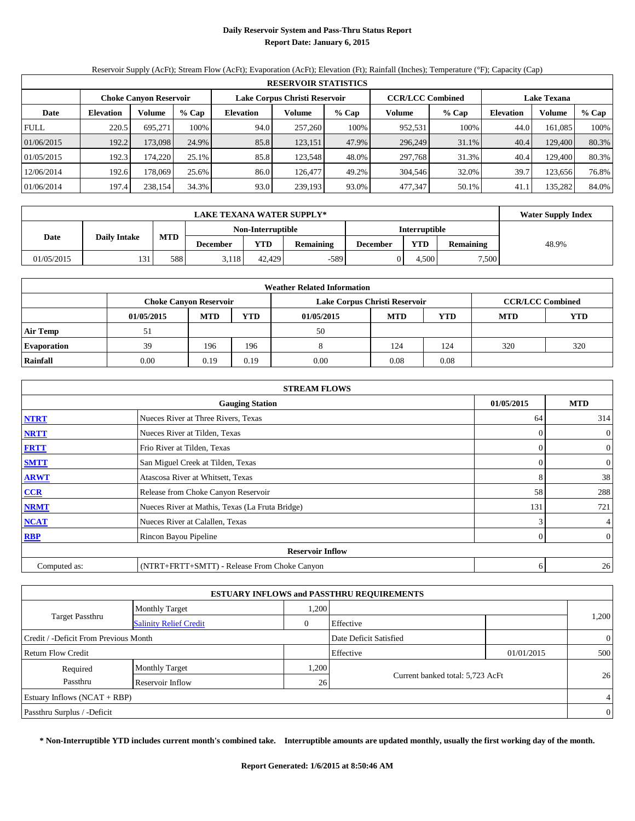## **Daily Reservoir System and Pass-Thru Status Report Report Date: January 6, 2015**

Reservoir Supply (AcFt); Stream Flow (AcFt); Evaporation (AcFt); Elevation (Ft); Rainfall (Inches); Temperature (°F); Capacity (Cap)

|             | <b>RESERVOIR STATISTICS</b> |                               |       |                               |         |         |                         |         |                    |          |       |  |
|-------------|-----------------------------|-------------------------------|-------|-------------------------------|---------|---------|-------------------------|---------|--------------------|----------|-------|--|
|             |                             | <b>Choke Canyon Reservoir</b> |       | Lake Corpus Christi Reservoir |         |         | <b>CCR/LCC Combined</b> |         | <b>Lake Texana</b> |          |       |  |
| Date        | <b>Elevation</b>            | Volume                        | % Cap | <b>Elevation</b>              | Volume  | $%$ Cap | Volume                  | $%$ Cap | <b>Elevation</b>   | Volume   | % Cap |  |
| <b>FULL</b> | 220.5                       | 695.271                       | 100%  | 94.0                          | 257,260 | 100%    | 952,531                 | 100%    | 44.0               | 161.085  | 100%  |  |
| 01/06/2015  | 192.2                       | 173,098                       | 24.9% | 85.8                          | 123,151 | 47.9%   | 296,249                 | 31.1%   | 40.4               | 129,400  | 80.3% |  |
| 01/05/2015  | 192.3                       | 174,220                       | 25.1% | 85.8                          | 123,548 | 48.0%   | 297,768                 | 31.3%   | 40.4               | 129.4001 | 80.3% |  |
| 12/06/2014  | 192.6                       | 178.069                       | 25.6% | 86.0                          | 126,477 | 49.2%   | 304,546                 | 32.0%   | 39.7               | 123,656  | 76.8% |  |
| 01/06/2014  | 197.4                       | 238,154                       | 34.3% | 93.0                          | 239,193 | 93.0%   | 477,347                 | 50.1%   | 41.                | 135,282  | 84.0% |  |

|            | <b>Water Supply Index</b> |            |                                    |        |                  |                 |            |                  |       |
|------------|---------------------------|------------|------------------------------------|--------|------------------|-----------------|------------|------------------|-------|
|            |                           |            | Interruptible<br>Non-Interruptible |        |                  |                 |            |                  |       |
| Date       | <b>Daily Intake</b>       | <b>MTD</b> | <b>December</b>                    | YTD    | <b>Remaining</b> | <b>December</b> | <b>YTD</b> | <b>Remaining</b> | 48.9% |
| 01/05/2015 | 131                       | 588        | 5.118                              | 42.429 | -589             |                 | 4.500      | 7,500            |       |

| <b>Weather Related Information</b> |            |                               |            |                               |            |                         |            |     |  |  |  |
|------------------------------------|------------|-------------------------------|------------|-------------------------------|------------|-------------------------|------------|-----|--|--|--|
|                                    |            | <b>Choke Canyon Reservoir</b> |            | Lake Corpus Christi Reservoir |            | <b>CCR/LCC Combined</b> |            |     |  |  |  |
|                                    | 01/05/2015 | <b>MTD</b>                    | <b>YTD</b> | 01/05/2015                    | <b>MTD</b> | <b>MTD</b>              | <b>YTD</b> |     |  |  |  |
| <b>Air Temp</b>                    |            |                               |            | 50                            |            |                         |            |     |  |  |  |
| <b>Evaporation</b>                 | 39         | 196                           | 196        |                               | 124        | 124                     | 320        | 320 |  |  |  |
| Rainfall                           | 0.00       | 0.19                          | 0.19       | 0.00                          | 0.08       | 0.08                    |            |     |  |  |  |

|              | <b>STREAM FLOWS</b>                             |          |                  |  |  |  |  |  |
|--------------|-------------------------------------------------|----------|------------------|--|--|--|--|--|
|              | <b>Gauging Station</b>                          |          |                  |  |  |  |  |  |
| <b>NTRT</b>  | Nueces River at Three Rivers, Texas             | 64       | 314              |  |  |  |  |  |
| <b>NRTT</b>  | Nueces River at Tilden, Texas                   | $\Omega$ | $\boldsymbol{0}$ |  |  |  |  |  |
| <b>FRTT</b>  | Frio River at Tilden, Texas                     | 0        | $\boldsymbol{0}$ |  |  |  |  |  |
| <b>SMTT</b>  | San Miguel Creek at Tilden, Texas               | 0        | $\mathbf{0}$     |  |  |  |  |  |
| <b>ARWT</b>  | Atascosa River at Whitsett, Texas               | 8        | 38               |  |  |  |  |  |
| $CCR$        | Release from Choke Canyon Reservoir             | 58       | 288              |  |  |  |  |  |
| <b>NRMT</b>  | Nueces River at Mathis, Texas (La Fruta Bridge) | 131      | 721              |  |  |  |  |  |
| <b>NCAT</b>  | Nueces River at Calallen, Texas                 | 3        | 4                |  |  |  |  |  |
| <b>RBP</b>   | Rincon Bayou Pipeline                           | $\Omega$ | $\boldsymbol{0}$ |  |  |  |  |  |
|              | <b>Reservoir Inflow</b>                         |          |                  |  |  |  |  |  |
| Computed as: | (NTRT+FRTT+SMTT) - Release From Choke Canyon    | 6        | 26               |  |  |  |  |  |

|                                                         |                       |                 | <b>ESTUARY INFLOWS and PASSTHRU REQUIREMENTS</b> |            |                |
|---------------------------------------------------------|-----------------------|-----------------|--------------------------------------------------|------------|----------------|
|                                                         | <b>Monthly Target</b> | .200            |                                                  |            |                |
| <b>Target Passthru</b><br><b>Salinity Relief Credit</b> |                       |                 | Effective                                        |            | 1,200          |
| Credit / -Deficit From Previous Month                   |                       |                 | Date Deficit Satisfied                           |            | $\overline{0}$ |
| <b>Return Flow Credit</b>                               |                       |                 | Effective                                        | 01/01/2015 | 500            |
| Required                                                | <b>Monthly Target</b> | ,200            |                                                  |            |                |
| Passthru                                                | Reservoir Inflow      | 26 <sup>1</sup> | Current banked total: 5,723 AcFt                 |            | 26             |
| Estuary Inflows $(NCAT + RBP)$                          |                       |                 |                                                  |            | $\overline{4}$ |
| Passthru Surplus / -Deficit                             |                       |                 |                                                  |            | $\theta$       |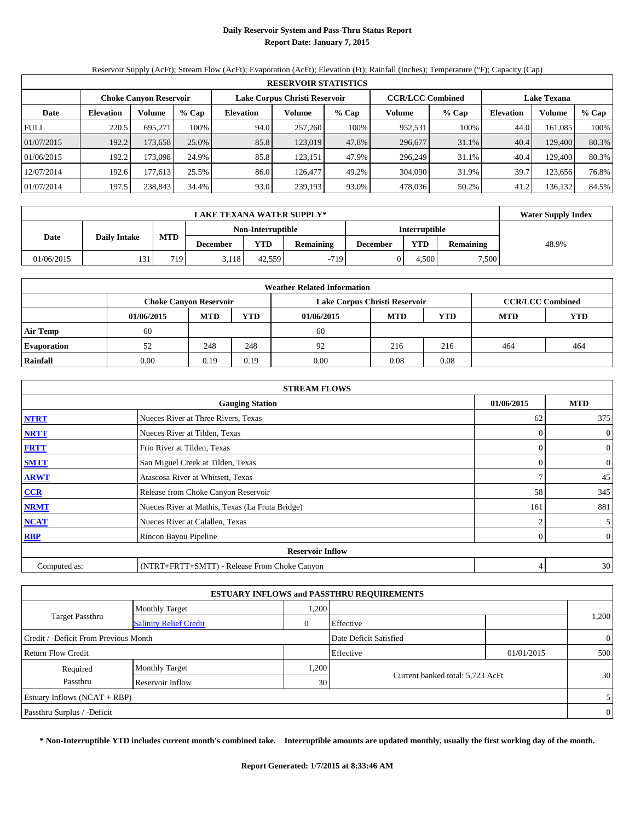## **Daily Reservoir System and Pass-Thru Status Report Report Date: January 7, 2015**

Reservoir Supply (AcFt); Stream Flow (AcFt); Evaporation (AcFt); Elevation (Ft); Rainfall (Inches); Temperature (°F); Capacity (Cap)

|             | <b>RESERVOIR STATISTICS</b> |                               |       |                               |         |       |                         |         |                    |         |       |  |
|-------------|-----------------------------|-------------------------------|-------|-------------------------------|---------|-------|-------------------------|---------|--------------------|---------|-------|--|
|             |                             | <b>Choke Canyon Reservoir</b> |       | Lake Corpus Christi Reservoir |         |       | <b>CCR/LCC Combined</b> |         | <b>Lake Texana</b> |         |       |  |
| Date        | <b>Elevation</b>            | Volume                        | % Cap | <b>Elevation</b>              | Volume  | % Cap | Volume                  | $%$ Cap | <b>Elevation</b>   | Volume  | % Cap |  |
| <b>FULL</b> | 220.5                       | 695.271                       | 100%  | 94.0                          | 257,260 | 100%  | 952,531                 | 100%    | 44.0               | 161.085 | 100%  |  |
| 01/07/2015  | 192.2                       | 173.658                       | 25.0% | 85.8                          | 123,019 | 47.8% | 296,677                 | 31.1%   | 40.4               | 129,400 | 80.3% |  |
| 01/06/2015  | 192.2                       | 173,098                       | 24.9% | 85.8                          | 123,151 | 47.9% | 296,249                 | 31.1%   | 40.4               | 129.400 | 80.3% |  |
| 12/07/2014  | 192.6                       | 177.613                       | 25.5% | 86.0                          | 126.477 | 49.2% | 304,090                 | 31.9%   | 39.7               | 123.656 | 76.8% |  |
| 01/07/2014  | 197.5                       | 238,843                       | 34.4% | 93.0                          | 239,193 | 93.0% | 478,036                 | 50.2%   | 41.2               | 136.132 | 84.5% |  |

|            | <b>Water Supply Index</b> |            |          |                   |           |                 |                      |                  |       |
|------------|---------------------------|------------|----------|-------------------|-----------|-----------------|----------------------|------------------|-------|
|            |                           |            |          | Non-Interruptible |           |                 | <b>Interruptible</b> |                  |       |
| Date       | <b>Daily Intake</b>       | <b>MTD</b> | December | <b>YTD</b>        | Remaining | <b>December</b> | YTD                  | <b>Remaining</b> | 48.9% |
| 01/06/2015 | 131                       | 7191       | 3,118    | 42.559            | $-719$    |                 | 4.500                | 7,500            |       |

| <b>Weather Related Information</b> |            |                               |            |                               |            |                         |     |     |  |  |
|------------------------------------|------------|-------------------------------|------------|-------------------------------|------------|-------------------------|-----|-----|--|--|
|                                    |            | <b>Choke Canvon Reservoir</b> |            | Lake Corpus Christi Reservoir |            | <b>CCR/LCC Combined</b> |     |     |  |  |
|                                    | 01/06/2015 | <b>MTD</b>                    | <b>YTD</b> | 01/06/2015                    | <b>MTD</b> | <b>YTD</b>              |     |     |  |  |
| <b>Air Temp</b>                    | 60         |                               |            | 60                            |            |                         |     |     |  |  |
| <b>Evaporation</b>                 | 52         | 248                           | 248        | 92                            | 216        | 216                     | 464 | 464 |  |  |
| Rainfall                           | 0.00       | 0.19                          | 0.19       | 0.00                          | 0.08       | 0.08                    |     |     |  |  |

|              | <b>STREAM FLOWS</b>                             |                |                |  |  |  |  |
|--------------|-------------------------------------------------|----------------|----------------|--|--|--|--|
|              | 01/06/2015                                      | <b>MTD</b>     |                |  |  |  |  |
| <b>NTRT</b>  | 62                                              | 375            |                |  |  |  |  |
| <b>NRTT</b>  | Nueces River at Tilden, Texas                   | $\Omega$       | $\overline{0}$ |  |  |  |  |
| <b>FRTT</b>  | Frio River at Tilden, Texas                     | $\Omega$       | $\overline{0}$ |  |  |  |  |
| <b>SMTT</b>  | San Miguel Creek at Tilden, Texas               |                | $\overline{0}$ |  |  |  |  |
| <b>ARWT</b>  | Atascosa River at Whitsett, Texas               | ∍              | 45             |  |  |  |  |
| CCR          | Release from Choke Canyon Reservoir             | 58             | 345            |  |  |  |  |
| <b>NRMT</b>  | Nueces River at Mathis, Texas (La Fruta Bridge) | 161            | 881            |  |  |  |  |
| <b>NCAT</b>  | Nueces River at Calallen, Texas                 | $\overline{2}$ | 5 <sup>5</sup> |  |  |  |  |
| <b>RBP</b>   | Rincon Bayou Pipeline                           | $\theta$       | $\overline{0}$ |  |  |  |  |
|              |                                                 |                |                |  |  |  |  |
| Computed as: | (NTRT+FRTT+SMTT) - Release From Choke Canyon    |                |                |  |  |  |  |

|                                                         |                       |      | <b>ESTUARY INFLOWS and PASSTHRU REQUIREMENTS</b> |            |                |
|---------------------------------------------------------|-----------------------|------|--------------------------------------------------|------------|----------------|
|                                                         | <b>Monthly Target</b> | .200 |                                                  |            |                |
| <b>Target Passthru</b><br><b>Salinity Relief Credit</b> |                       | 0    | Effective                                        |            | 1,200          |
| Credit / -Deficit From Previous Month                   |                       |      | Date Deficit Satisfied                           |            | $\overline{0}$ |
| <b>Return Flow Credit</b>                               |                       |      | Effective                                        | 01/01/2015 | 500            |
| Required                                                | <b>Monthly Target</b> | ,200 |                                                  |            |                |
| Passthru                                                | Reservoir Inflow      | 30   | Current banked total: 5,723 AcFt                 |            | 30             |
| Estuary Inflows $(NCAT + RBP)$                          |                       |      |                                                  |            | 5              |
| Passthru Surplus / -Deficit                             |                       |      |                                                  |            | $\overline{0}$ |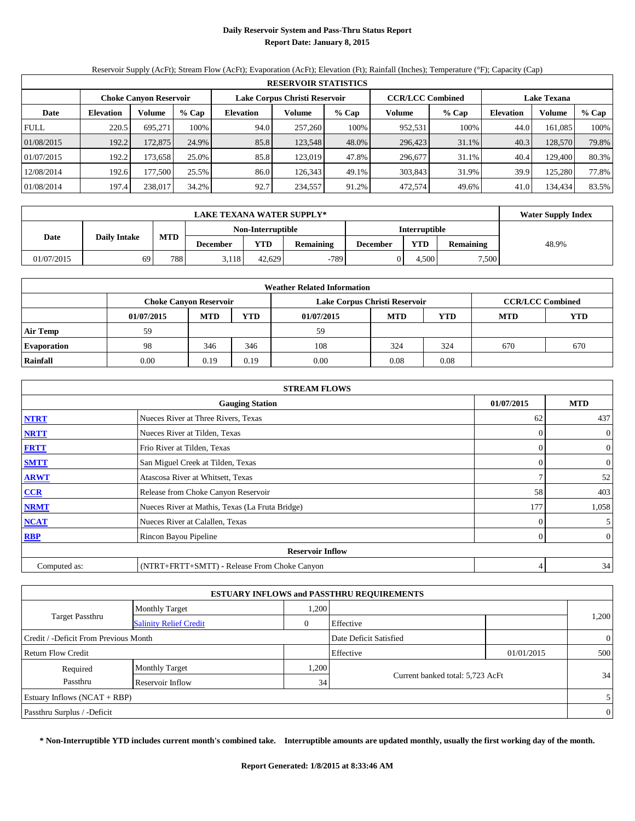## **Daily Reservoir System and Pass-Thru Status Report Report Date: January 8, 2015**

Reservoir Supply (AcFt); Stream Flow (AcFt); Evaporation (AcFt); Elevation (Ft); Rainfall (Inches); Temperature (°F); Capacity (Cap)

|             | <b>RESERVOIR STATISTICS</b> |                               |       |                               |         |         |                         |         |                    |         |       |  |
|-------------|-----------------------------|-------------------------------|-------|-------------------------------|---------|---------|-------------------------|---------|--------------------|---------|-------|--|
|             |                             | <b>Choke Canyon Reservoir</b> |       | Lake Corpus Christi Reservoir |         |         | <b>CCR/LCC Combined</b> |         | <b>Lake Texana</b> |         |       |  |
| Date        | <b>Elevation</b>            | Volume                        | % Cap | <b>Elevation</b>              | Volume  | $%$ Cap | Volume                  | $%$ Cap | <b>Elevation</b>   | Volume  | % Cap |  |
| <b>FULL</b> | 220.5                       | 695.271                       | 100%  | 94.0                          | 257,260 | 100%    | 952,531                 | 100%    | 44.0               | 161.085 | 100%  |  |
| 01/08/2015  | 192.2                       | 172.875                       | 24.9% | 85.8                          | 123.548 | 48.0%   | 296,423                 | 31.1%   | 40.3               | 128,570 | 79.8% |  |
| 01/07/2015  | 192.2                       | 173.658                       | 25.0% | 85.8                          | 123.019 | 47.8%   | 296,677                 | 31.1%   | 40.4               | 129.400 | 80.3% |  |
| 12/08/2014  | 192.6                       | 177.500                       | 25.5% | 86.0                          | 126.343 | 49.1%   | 303,843                 | 31.9%   | 39.9               | 125.280 | 77.8% |  |
| 01/08/2014  | 197.4                       | 238,017                       | 34.2% | 92.7                          | 234,557 | 91.2%   | 472.574                 | 49.6%   | 41.0               | 134.434 | 83.5% |  |

|                             | <b>LAKE TEXANA WATER SUPPLY*</b> |            |          |                   |           |                 |                      |                  |       |  |  |
|-----------------------------|----------------------------------|------------|----------|-------------------|-----------|-----------------|----------------------|------------------|-------|--|--|
|                             |                                  |            |          | Non-Interruptible |           |                 | <b>Interruptible</b> |                  |       |  |  |
| <b>Daily Intake</b><br>Date |                                  | <b>MTD</b> | December | <b>YTD</b>        | Remaining | <b>December</b> | YTD                  | <b>Remaining</b> | 48.9% |  |  |
| 01/07/2015                  | 69                               | 788        | 3,118    | 42.629            | $-789$    |                 | 4.500                | 7,500            |       |  |  |

| <b>Weather Related Information</b> |            |                               |            |                               |      |                         |     |     |  |  |  |  |
|------------------------------------|------------|-------------------------------|------------|-------------------------------|------|-------------------------|-----|-----|--|--|--|--|
|                                    |            | <b>Choke Canyon Reservoir</b> |            | Lake Corpus Christi Reservoir |      | <b>CCR/LCC Combined</b> |     |     |  |  |  |  |
|                                    | 01/07/2015 | <b>MTD</b>                    | <b>YTD</b> |                               |      |                         |     |     |  |  |  |  |
| <b>Air Temp</b>                    | 59         |                               |            | 59                            |      |                         |     |     |  |  |  |  |
| <b>Evaporation</b>                 | 98         | 346                           | 346        | 108                           | 324  | 324                     | 670 | 670 |  |  |  |  |
| Rainfall                           | 0.00       | 0.19                          | 0.19       | 0.00                          | 0.08 | 0.08                    |     |     |  |  |  |  |

|                                      | <b>STREAM FLOWS</b>                             |          |                |  |  |  |  |  |  |
|--------------------------------------|-------------------------------------------------|----------|----------------|--|--|--|--|--|--|
| 01/07/2015<br><b>Gauging Station</b> |                                                 |          |                |  |  |  |  |  |  |
| <b>NTRT</b>                          | Nueces River at Three Rivers, Texas             | 62       | 437            |  |  |  |  |  |  |
| <b>NRTT</b>                          | Nueces River at Tilden, Texas                   | $\Omega$ | $\overline{0}$ |  |  |  |  |  |  |
| <b>FRTT</b>                          | Frio River at Tilden, Texas                     | $\Omega$ | $\mathbf{0}$   |  |  |  |  |  |  |
| <b>SMTT</b>                          | San Miguel Creek at Tilden, Texas               | $\theta$ | $\overline{0}$ |  |  |  |  |  |  |
| <b>ARWT</b>                          | Atascosa River at Whitsett, Texas               | ∍        | 52             |  |  |  |  |  |  |
| $CCR$                                | Release from Choke Canyon Reservoir             | 58       | 403            |  |  |  |  |  |  |
| <b>NRMT</b>                          | Nueces River at Mathis, Texas (La Fruta Bridge) | 177      | 1,058          |  |  |  |  |  |  |
| <b>NCAT</b>                          | Nueces River at Calallen, Texas                 | $\theta$ | 5 <sup>5</sup> |  |  |  |  |  |  |
| <b>RBP</b>                           | Rincon Bayou Pipeline                           | $\Omega$ | $\overline{0}$ |  |  |  |  |  |  |
|                                      | <b>Reservoir Inflow</b>                         |          |                |  |  |  |  |  |  |
| Computed as:                         | (NTRT+FRTT+SMTT) - Release From Choke Canyon    | 4        | 34             |  |  |  |  |  |  |

|                                       |                               |      | <b>ESTUARY INFLOWS and PASSTHRU REQUIREMENTS</b> |            |                |
|---------------------------------------|-------------------------------|------|--------------------------------------------------|------------|----------------|
|                                       | <b>Monthly Target</b>         | .200 |                                                  |            |                |
| <b>Target Passthru</b>                | <b>Salinity Relief Credit</b> | 0    | Effective                                        |            | 1,200          |
| Credit / -Deficit From Previous Month |                               |      | Date Deficit Satisfied                           |            | $\overline{0}$ |
| <b>Return Flow Credit</b>             |                               |      | Effective                                        | 01/01/2015 | 500            |
| Required                              | <b>Monthly Target</b>         | ,200 |                                                  |            |                |
| Passthru                              | Reservoir Inflow              | 34   | Current banked total: 5,723 AcFt                 |            | 34             |
| Estuary Inflows $(NCAT + RBP)$        |                               |      |                                                  |            | 5              |
| Passthru Surplus / -Deficit           |                               |      |                                                  |            | $\overline{0}$ |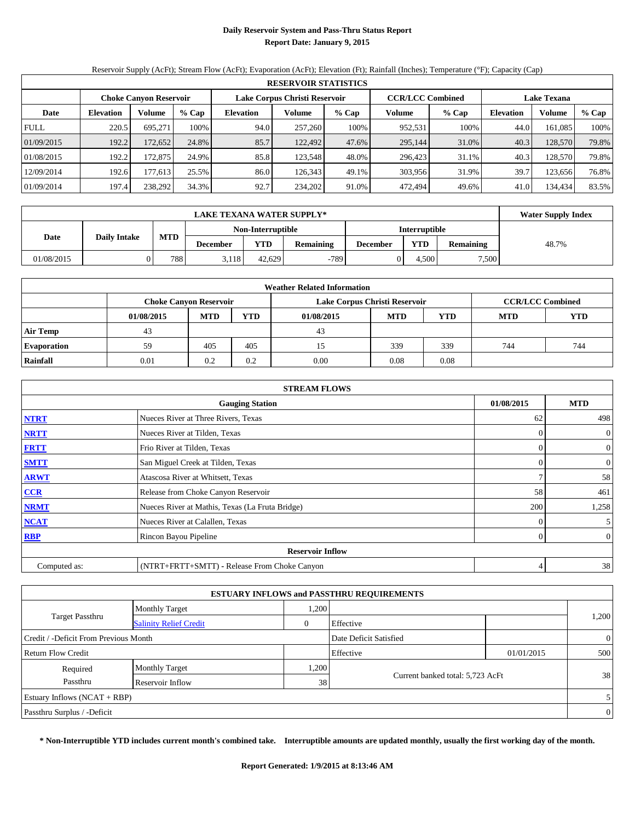## **Daily Reservoir System and Pass-Thru Status Report Report Date: January 9, 2015**

Reservoir Supply (AcFt); Stream Flow (AcFt); Evaporation (AcFt); Elevation (Ft); Rainfall (Inches); Temperature (°F); Capacity (Cap)

|             | <b>RESERVOIR STATISTICS</b> |                               |       |                  |                               |         |                         |         |                    |         |       |  |  |  |  |
|-------------|-----------------------------|-------------------------------|-------|------------------|-------------------------------|---------|-------------------------|---------|--------------------|---------|-------|--|--|--|--|
|             |                             | <b>Choke Canyon Reservoir</b> |       |                  | Lake Corpus Christi Reservoir |         | <b>CCR/LCC Combined</b> |         | <b>Lake Texana</b> |         |       |  |  |  |  |
| Date        | <b>Elevation</b>            | Volume                        | % Cap | <b>Elevation</b> | Volume                        | $%$ Cap | Volume                  | $%$ Cap | <b>Elevation</b>   | Volume  | % Cap |  |  |  |  |
| <b>FULL</b> | 220.5                       | 695.271                       | 100%  | 94.0             | 257,260                       | 100%    | 952,531                 | 100%    | 44.0               | 161.085 | 100%  |  |  |  |  |
| 01/09/2015  | 192.2                       | 172,652                       | 24.8% | 85.7             | 122.492                       | 47.6%   | 295,144                 | 31.0%   | 40.3               | 128,570 | 79.8% |  |  |  |  |
| 01/08/2015  | 192.2                       | 172.875                       | 24.9% | 85.8             | 123.548                       | 48.0%   | 296,423                 | 31.1%   | 40.3               | 128.570 | 79.8% |  |  |  |  |
| 12/09/2014  | 192.6                       | 177.6131                      | 25.5% | 86.0             | 126.343                       | 49.1%   | 303,956                 | 31.9%   | 39.7               | 123.656 | 76.8% |  |  |  |  |
| 01/09/2014  | 197.4                       | 238.292                       | 34.3% | 92.7             | 234,202                       | 91.0%   | 472,494                 | 49.6%   | 41.0               | 134.434 | 83.5% |  |  |  |  |

|            | <b>LAKE TEXANA WATER SUPPLY*</b> |            |          |                   |           |                      |       |                  |       |  |  |
|------------|----------------------------------|------------|----------|-------------------|-----------|----------------------|-------|------------------|-------|--|--|
|            |                                  |            |          | Non-Interruptible |           | <b>Interruptible</b> |       |                  |       |  |  |
| Date       | <b>Daily Intake</b>              | <b>MTD</b> | December | <b>YTD</b>        | Remaining | <b>December</b>      | YTD   | <b>Remaining</b> | 48.7% |  |  |
| 01/08/2015 |                                  | 788        | 3,118    | 42.629            | $-789$    |                      | 4.500 | 7,500            |       |  |  |

| <b>Weather Related Information</b> |            |                               |            |                               |            |                         |            |            |  |  |  |  |
|------------------------------------|------------|-------------------------------|------------|-------------------------------|------------|-------------------------|------------|------------|--|--|--|--|
|                                    |            | <b>Choke Canvon Reservoir</b> |            | Lake Corpus Christi Reservoir |            | <b>CCR/LCC Combined</b> |            |            |  |  |  |  |
|                                    | 01/08/2015 | <b>MTD</b>                    | <b>YTD</b> | 01/08/2015                    | <b>MTD</b> | <b>YTD</b>              | <b>MTD</b> | <b>YTD</b> |  |  |  |  |
| <b>Air Temp</b>                    | 43         |                               |            | 43                            |            |                         |            |            |  |  |  |  |
| <b>Evaporation</b>                 | 59         | 405                           | 405        |                               | 339        | 339                     | 744        | 744        |  |  |  |  |
| Rainfall                           | 0.01       | 0.2                           | 0.2        | 0.00                          | 0.08       | 0.08                    |            |            |  |  |  |  |

| <b>STREAM FLOWS</b>                                |                                                 |          |                |  |  |  |  |  |  |
|----------------------------------------------------|-------------------------------------------------|----------|----------------|--|--|--|--|--|--|
| 01/08/2015<br><b>MTD</b><br><b>Gauging Station</b> |                                                 |          |                |  |  |  |  |  |  |
| <b>NTRT</b>                                        | Nueces River at Three Rivers, Texas             | 62       | 498            |  |  |  |  |  |  |
| <b>NRTT</b>                                        | Nueces River at Tilden, Texas                   | $\Omega$ | $\overline{0}$ |  |  |  |  |  |  |
| <b>FRTT</b>                                        | Frio River at Tilden, Texas                     | $\Omega$ | $\mathbf{0}$   |  |  |  |  |  |  |
| <b>SMTT</b>                                        | San Miguel Creek at Tilden, Texas               | $\theta$ | $\overline{0}$ |  |  |  |  |  |  |
| <b>ARWT</b>                                        | Atascosa River at Whitsett, Texas               | ∍        | 58             |  |  |  |  |  |  |
| $CCR$                                              | Release from Choke Canyon Reservoir             | 58       | 461            |  |  |  |  |  |  |
| <b>NRMT</b>                                        | Nueces River at Mathis, Texas (La Fruta Bridge) | 200      | 1,258          |  |  |  |  |  |  |
| <b>NCAT</b>                                        | Nueces River at Calallen, Texas                 | $\theta$ | 5 <sup>5</sup> |  |  |  |  |  |  |
| <b>RBP</b>                                         | Rincon Bayou Pipeline                           | $\Omega$ | $\overline{0}$ |  |  |  |  |  |  |
|                                                    | <b>Reservoir Inflow</b>                         |          |                |  |  |  |  |  |  |
| Computed as:                                       | (NTRT+FRTT+SMTT) - Release From Choke Canyon    | 4        | 38             |  |  |  |  |  |  |

|                                       |                               |      | <b>ESTUARY INFLOWS and PASSTHRU REQUIREMENTS</b> |            |                |
|---------------------------------------|-------------------------------|------|--------------------------------------------------|------------|----------------|
|                                       | <b>Monthly Target</b>         | ,200 |                                                  |            |                |
| <b>Target Passthru</b>                | <b>Salinity Relief Credit</b> | 0    | Effective                                        |            | 1,200          |
| Credit / -Deficit From Previous Month |                               |      | Date Deficit Satisfied                           |            | $\overline{0}$ |
| Return Flow Credit                    |                               |      | Effective                                        | 01/01/2015 | 500            |
| Required                              | <b>Monthly Target</b>         | ,200 |                                                  |            |                |
| Passthru                              | Reservoir Inflow              | 38   | Current banked total: 5,723 AcFt                 |            | 38             |
| Estuary Inflows $(NCAT + RBP)$        |                               |      |                                                  |            | $\mathfrak{S}$ |
| Passthru Surplus / -Deficit           |                               |      |                                                  |            | $\overline{0}$ |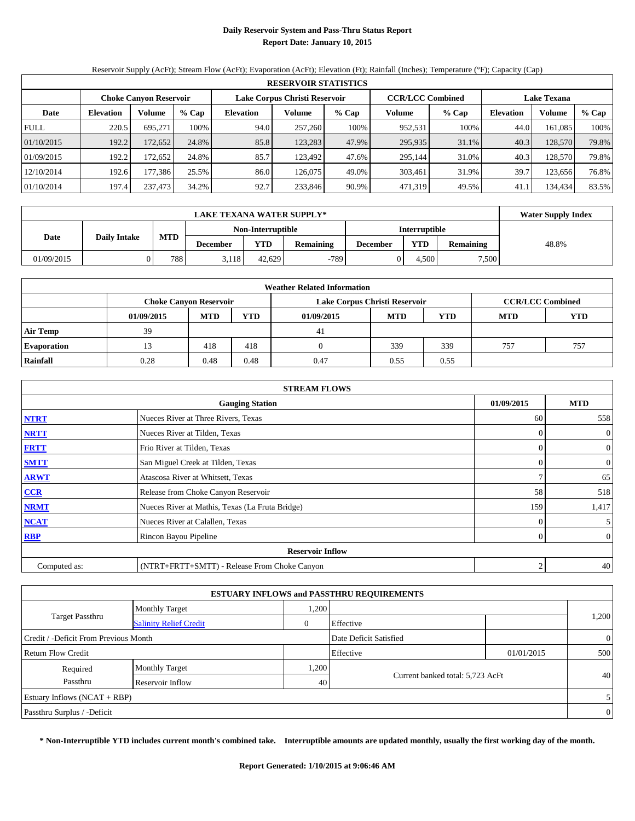## **Daily Reservoir System and Pass-Thru Status Report Report Date: January 10, 2015**

Reservoir Supply (AcFt); Stream Flow (AcFt); Evaporation (AcFt); Elevation (Ft); Rainfall (Inches); Temperature (°F); Capacity (Cap)

|             | <b>RESERVOIR STATISTICS</b> |                               |       |                  |                               |         |                         |         |                    |         |       |  |  |  |  |
|-------------|-----------------------------|-------------------------------|-------|------------------|-------------------------------|---------|-------------------------|---------|--------------------|---------|-------|--|--|--|--|
|             |                             | <b>Choke Canyon Reservoir</b> |       |                  | Lake Corpus Christi Reservoir |         | <b>CCR/LCC Combined</b> |         | <b>Lake Texana</b> |         |       |  |  |  |  |
| Date        | <b>Elevation</b>            | Volume                        | % Cap | <b>Elevation</b> | Volume                        | $%$ Cap | Volume                  | $%$ Cap | <b>Elevation</b>   | Volume  | % Cap |  |  |  |  |
| <b>FULL</b> | 220.5                       | 695.271                       | 100%  | 94.0             | 257,260                       | 100%    | 952,531                 | 100%    | 44.0               | 161.085 | 100%  |  |  |  |  |
| 01/10/2015  | 192.2                       | 172,652                       | 24.8% | 85.8             | 123.283                       | 47.9%   | 295,935                 | 31.1%   | 40.3               | 128,570 | 79.8% |  |  |  |  |
| 01/09/2015  | 192.2                       | 172,652                       | 24.8% | 85.7             | 123.492                       | 47.6%   | 295.144                 | 31.0%   | 40.3               | 128,570 | 79.8% |  |  |  |  |
| 12/10/2014  | 192.6                       | 177.386                       | 25.5% | 86.0             | 126.075                       | 49.0%   | 303,461                 | 31.9%   | 39.7               | 123.656 | 76.8% |  |  |  |  |
| 01/10/2014  | 197.4                       | 237,473                       | 34.2% | 92.7             | 233,846                       | 90.9%   | 471,319                 | 49.5%   | 41.1               | 134,434 | 83.5% |  |  |  |  |

|                             | <b>LAKE TEXANA WATER SUPPLY*</b> |            |          |                   |                  |                 |                      |                  |       |  |  |  |
|-----------------------------|----------------------------------|------------|----------|-------------------|------------------|-----------------|----------------------|------------------|-------|--|--|--|
|                             |                                  |            |          | Non-Interruptible |                  |                 | <b>Interruptible</b> |                  |       |  |  |  |
| Date<br><b>Daily Intake</b> |                                  | <b>MTD</b> | December | YTD               | <b>Remaining</b> | <b>December</b> | <b>YTD</b>           | <b>Remaining</b> | 48.8% |  |  |  |
| 01/09/2015                  |                                  | 788        | 3.118    | 42.629            | $-789$           |                 | . 500                | 7,500            |       |  |  |  |

| <b>Weather Related Information</b> |            |                               |            |                               |      |                         |     |     |  |  |  |  |
|------------------------------------|------------|-------------------------------|------------|-------------------------------|------|-------------------------|-----|-----|--|--|--|--|
|                                    |            | <b>Choke Canvon Reservoir</b> |            | Lake Corpus Christi Reservoir |      | <b>CCR/LCC Combined</b> |     |     |  |  |  |  |
|                                    | 01/09/2015 | <b>MTD</b>                    | <b>YTD</b> |                               |      |                         |     |     |  |  |  |  |
| <b>Air Temp</b>                    | 39         |                               |            | 41                            |      |                         |     |     |  |  |  |  |
| <b>Evaporation</b>                 |            | 418                           | 418        |                               | 339  | 339                     | 757 | 757 |  |  |  |  |
| Rainfall                           | 0.28       | 0.48                          | 0.48       | 0.47                          | 0.55 | 0.55                    |     |     |  |  |  |  |

|              | <b>STREAM FLOWS</b>                             |            |                |  |  |  |  |  |  |  |
|--------------|-------------------------------------------------|------------|----------------|--|--|--|--|--|--|--|
|              | <b>Gauging Station</b>                          | 01/09/2015 | <b>MTD</b>     |  |  |  |  |  |  |  |
| <b>NTRT</b>  | Nueces River at Three Rivers, Texas             | 60         | 558            |  |  |  |  |  |  |  |
| <b>NRTT</b>  | Nueces River at Tilden, Texas                   | $\Omega$   | $\overline{0}$ |  |  |  |  |  |  |  |
| <b>FRTT</b>  | Frio River at Tilden, Texas                     | $\Omega$   | $\overline{0}$ |  |  |  |  |  |  |  |
| <b>SMTT</b>  | San Miguel Creek at Tilden, Texas               |            | $\overline{0}$ |  |  |  |  |  |  |  |
| <b>ARWT</b>  | Atascosa River at Whitsett, Texas               | ┑          | 65             |  |  |  |  |  |  |  |
| CCR          | Release from Choke Canyon Reservoir             | 58         | 518            |  |  |  |  |  |  |  |
| <b>NRMT</b>  | Nueces River at Mathis, Texas (La Fruta Bridge) | 159        | 1,417          |  |  |  |  |  |  |  |
| <b>NCAT</b>  | Nueces River at Calallen, Texas                 | $\Omega$   | 5 <sup>5</sup> |  |  |  |  |  |  |  |
| RBP          | Rincon Bayou Pipeline                           | $\theta$   | $\overline{0}$ |  |  |  |  |  |  |  |
|              | <b>Reservoir Inflow</b>                         |            |                |  |  |  |  |  |  |  |
| Computed as: | (NTRT+FRTT+SMTT) - Release From Choke Canyon    | 2          | 40             |  |  |  |  |  |  |  |

| <b>ESTUARY INFLOWS and PASSTHRU REQUIREMENTS</b> |                               |      |                                  |            |                |  |  |  |  |  |  |
|--------------------------------------------------|-------------------------------|------|----------------------------------|------------|----------------|--|--|--|--|--|--|
|                                                  | <b>Monthly Target</b>         | .200 |                                  |            |                |  |  |  |  |  |  |
| <b>Target Passthru</b>                           | <b>Salinity Relief Credit</b> |      | Effective                        |            | 1,200          |  |  |  |  |  |  |
| Credit / -Deficit From Previous Month            |                               |      | Date Deficit Satisfied           |            | $\overline{0}$ |  |  |  |  |  |  |
| <b>Return Flow Credit</b>                        |                               |      | Effective                        | 01/01/2015 | 500            |  |  |  |  |  |  |
| Required                                         | <b>Monthly Target</b>         | ,200 |                                  |            |                |  |  |  |  |  |  |
| Passthru                                         | Reservoir Inflow              | 40   | Current banked total: 5,723 AcFt |            | 40             |  |  |  |  |  |  |
| Estuary Inflows $(NCAT + RBP)$                   |                               |      |                                  |            | 5              |  |  |  |  |  |  |
| Passthru Surplus / -Deficit                      |                               |      |                                  |            | $\overline{0}$ |  |  |  |  |  |  |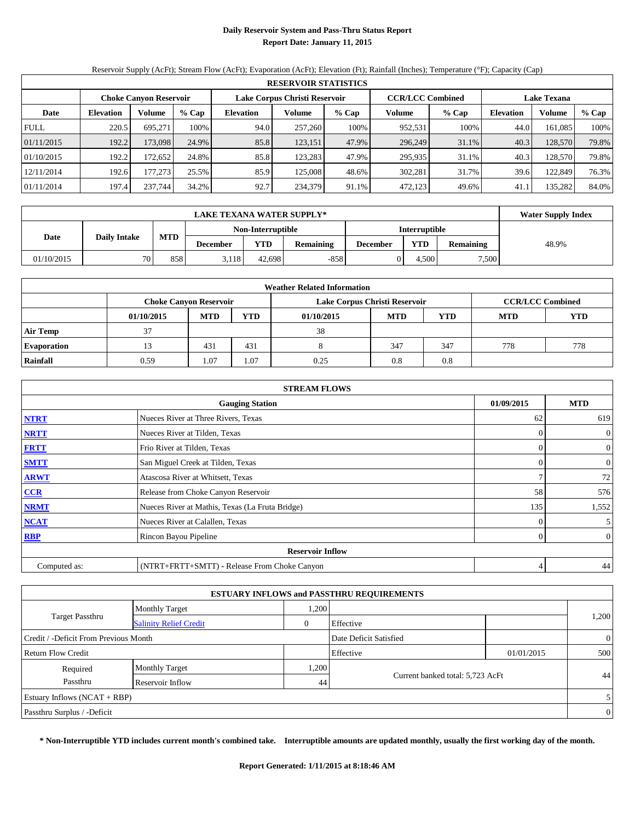## **Daily Reservoir System and Pass-Thru Status Report Report Date: January 11, 2015**

Reservoir Supply (AcFt); Stream Flow (AcFt); Evaporation (AcFt); Elevation (Ft); Rainfall (Inches); Temperature (°F); Capacity (Cap)

|             | <b>RESERVOIR STATISTICS</b>   |         |       |                               |         |         |                         |         |                    |         |       |  |
|-------------|-------------------------------|---------|-------|-------------------------------|---------|---------|-------------------------|---------|--------------------|---------|-------|--|
|             | <b>Choke Canyon Reservoir</b> |         |       | Lake Corpus Christi Reservoir |         |         | <b>CCR/LCC Combined</b> |         | <b>Lake Texana</b> |         |       |  |
| Date        | <b>Elevation</b>              | Volume  | % Cap | <b>Elevation</b>              | Volume  | $%$ Cap | Volume                  | $%$ Cap | <b>Elevation</b>   | Volume  | % Cap |  |
| <b>FULL</b> | 220.5                         | 695.271 | 100%  | 94.0                          | 257,260 | 100%    | 952,531                 | 100%    | 44.0               | 161.085 | 100%  |  |
| 01/11/2015  | 192.2                         | 173.098 | 24.9% | 85.8                          | 123,151 | 47.9%   | 296,249                 | 31.1%   | 40.3               | 128,570 | 79.8% |  |
| 01/10/2015  | 192.2                         | 172.652 | 24.8% | 85.8                          | 123.283 | 47.9%   | 295,935                 | 31.1%   | 40.3               | 128.570 | 79.8% |  |
| 12/11/2014  | 192.6                         | 177.273 | 25.5% | 85.9                          | 125,008 | 48.6%   | 302,281                 | 31.7%   | 39.6               | 122,849 | 76.3% |  |
| 01/11/2014  | 197.4                         | 237,744 | 34.2% | 92.7                          | 234,379 | 91.1%   | 472,123                 | 49.6%   | 41.1               | 135,282 | 84.0% |  |

|            | <b>Water Supply Index</b> |            |          |                   |                  |                 |                      |                  |       |
|------------|---------------------------|------------|----------|-------------------|------------------|-----------------|----------------------|------------------|-------|
|            |                           |            |          | Non-Interruptible |                  |                 | <b>Interruptible</b> |                  |       |
| Date       | <b>Daily Intake</b>       | <b>MTD</b> | December | YTD               | <b>Remaining</b> | <b>December</b> | <b>YTD</b>           | <b>Remaining</b> | 48.9% |
| 01/10/2015 | 70                        | 858        | 5.118    | 42.698            | $-858$           |                 | .500                 | 7,500            |       |

|                    | <b>Weather Related Information</b> |                                                                                  |      |                               |     |                         |     |            |  |  |  |
|--------------------|------------------------------------|----------------------------------------------------------------------------------|------|-------------------------------|-----|-------------------------|-----|------------|--|--|--|
|                    |                                    | <b>Choke Canvon Reservoir</b>                                                    |      | Lake Corpus Christi Reservoir |     | <b>CCR/LCC Combined</b> |     |            |  |  |  |
|                    | 01/10/2015                         | <b>YTD</b><br><b>MTD</b><br><b>YTD</b><br><b>MTD</b><br><b>MTD</b><br>01/10/2015 |      |                               |     |                         |     | <b>YTD</b> |  |  |  |
| <b>Air Temp</b>    | 37                                 |                                                                                  |      | 38                            |     |                         |     |            |  |  |  |
| <b>Evaporation</b> |                                    | 431                                                                              | 431  |                               | 347 | 347                     | 778 | 778        |  |  |  |
| Rainfall           | 0.59                               | 1.07                                                                             | 1.07 | 0.25                          | 0.8 | 0.8                     |     |            |  |  |  |

|              | <b>STREAM FLOWS</b>                             |            |                |  |  |  |  |  |  |  |
|--------------|-------------------------------------------------|------------|----------------|--|--|--|--|--|--|--|
|              | <b>Gauging Station</b>                          | 01/09/2015 | <b>MTD</b>     |  |  |  |  |  |  |  |
| <b>NTRT</b>  | Nueces River at Three Rivers, Texas             | 62         | 619            |  |  |  |  |  |  |  |
| <b>NRTT</b>  | Nueces River at Tilden, Texas                   |            | $\mathbf{0}$   |  |  |  |  |  |  |  |
| <b>FRTT</b>  | Frio River at Tilden, Texas                     |            | $\overline{0}$ |  |  |  |  |  |  |  |
| <b>SMTT</b>  | San Miguel Creek at Tilden, Texas               |            | $\mathbf{0}$   |  |  |  |  |  |  |  |
| <b>ARWT</b>  | Atascosa River at Whitsett, Texas               |            | 72             |  |  |  |  |  |  |  |
| $CCR$        | Release from Choke Canyon Reservoir             | 58         | 576            |  |  |  |  |  |  |  |
| <b>NRMT</b>  | Nueces River at Mathis, Texas (La Fruta Bridge) | 135        | 1,552          |  |  |  |  |  |  |  |
| <b>NCAT</b>  | Nueces River at Calallen, Texas                 |            | 5              |  |  |  |  |  |  |  |
| <b>RBP</b>   | Rincon Bayou Pipeline                           | $\Omega$   | $\overline{0}$ |  |  |  |  |  |  |  |
|              | <b>Reservoir Inflow</b>                         |            |                |  |  |  |  |  |  |  |
| Computed as: | (NTRT+FRTT+SMTT) - Release From Choke Canyon    |            | 44             |  |  |  |  |  |  |  |

|                                       |                               |      | <b>ESTUARY INFLOWS and PASSTHRU REQUIREMENTS</b> |            |                |  |
|---------------------------------------|-------------------------------|------|--------------------------------------------------|------------|----------------|--|
|                                       | <b>Monthly Target</b>         | .200 |                                                  |            |                |  |
| <b>Target Passthru</b>                | <b>Salinity Relief Credit</b> | 0    | Effective                                        |            | 1,200          |  |
| Credit / -Deficit From Previous Month |                               |      | Date Deficit Satisfied                           |            | $\overline{0}$ |  |
| <b>Return Flow Credit</b>             |                               |      | Effective                                        | 01/01/2015 | 500            |  |
| Required                              | <b>Monthly Target</b>         | ,200 |                                                  |            |                |  |
| Passthru                              | Reservoir Inflow              | 44   | Current banked total: 5,723 AcFt                 |            | 44             |  |
| Estuary Inflows $(NCAT + RBP)$        |                               |      |                                                  |            | 5              |  |
| Passthru Surplus / -Deficit           |                               |      |                                                  |            | $\overline{0}$ |  |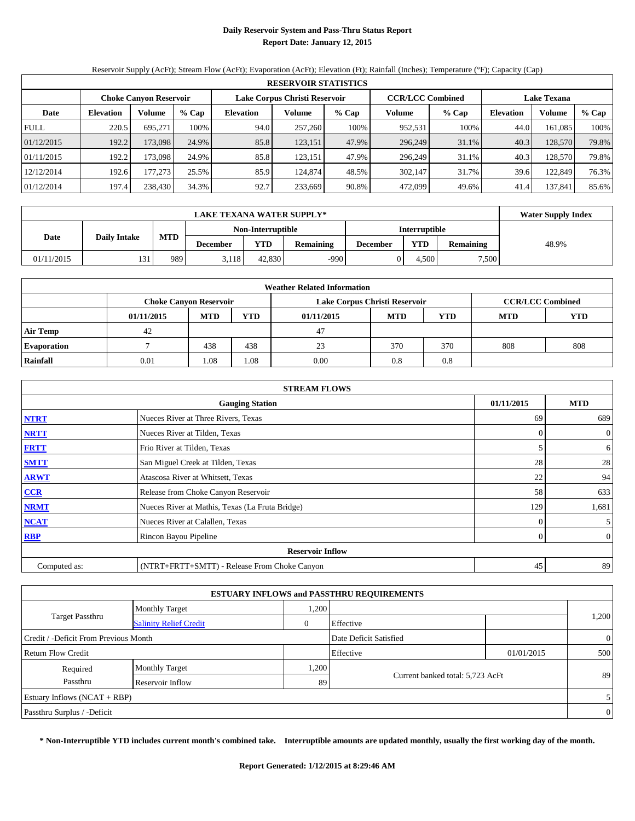## **Daily Reservoir System and Pass-Thru Status Report Report Date: January 12, 2015**

Reservoir Supply (AcFt); Stream Flow (AcFt); Evaporation (AcFt); Elevation (Ft); Rainfall (Inches); Temperature (°F); Capacity (Cap)

|             | <b>RESERVOIR STATISTICS</b>   |         |       |                               |         |       |                         |         |                    |         |       |  |  |
|-------------|-------------------------------|---------|-------|-------------------------------|---------|-------|-------------------------|---------|--------------------|---------|-------|--|--|
|             | <b>Choke Canyon Reservoir</b> |         |       | Lake Corpus Christi Reservoir |         |       | <b>CCR/LCC Combined</b> |         | <b>Lake Texana</b> |         |       |  |  |
| Date        | <b>Elevation</b>              | Volume  | % Cap | <b>Elevation</b>              | Volume  | % Cap | Volume                  | $%$ Cap | <b>Elevation</b>   | Volume  | % Cap |  |  |
| <b>FULL</b> | 220.5                         | 695.271 | 100%  | 94.0                          | 257,260 | 100%  | 952,531                 | 100%    | 44.0               | 161.085 | 100%  |  |  |
| 01/12/2015  | 192.2                         | 173.098 | 24.9% | 85.8                          | 123,151 | 47.9% | 296,249                 | 31.1%   | 40.3               | 128,570 | 79.8% |  |  |
| 01/11/2015  | 192.2                         | 173,098 | 24.9% | 85.8                          | 123,151 | 47.9% | 296,249                 | 31.1%   | 40.3               | 128,570 | 79.8% |  |  |
| 12/12/2014  | 192.6                         | 177.273 | 25.5% | 85.9                          | 124,874 | 48.5% | 302.147                 | 31.7%   | 39.6               | 122,849 | 76.3% |  |  |
| 01/12/2014  | 197.4                         | 238,430 | 34.3% | 92.7                          | 233.669 | 90.8% | 472.099                 | 49.6%   | 41.4               | 137.841 | 85.6% |  |  |

|            | <b>Water Supply Index</b> |            |          |            |           |                 |       |                  |       |
|------------|---------------------------|------------|----------|------------|-----------|-----------------|-------|------------------|-------|
|            | Non-Interruptible         |            |          |            |           | Interruptible   |       |                  |       |
| Date       | <b>Daily Intake</b>       | <b>MTD</b> | December | <b>YTD</b> | Remaining | <b>December</b> | YTD   | <b>Remaining</b> | 48.9% |
| 01/11/2015 | 121                       | 989        | 3,118    | 42.830     | $-990$    |                 | 4.500 | 7,500            |       |

|                    | <b>Weather Related Information</b> |                                                                    |      |                               |     |                         |            |            |  |  |  |
|--------------------|------------------------------------|--------------------------------------------------------------------|------|-------------------------------|-----|-------------------------|------------|------------|--|--|--|
|                    | <b>Choke Canyon Reservoir</b>      |                                                                    |      | Lake Corpus Christi Reservoir |     | <b>CCR/LCC Combined</b> |            |            |  |  |  |
|                    | 01/11/2015                         | <b>YTD</b><br><b>MTD</b><br><b>MTD</b><br><b>YTD</b><br>01/11/2015 |      |                               |     |                         | <b>MTD</b> | <b>YTD</b> |  |  |  |
| <b>Air Temp</b>    | 42                                 |                                                                    |      | 47                            |     |                         |            |            |  |  |  |
| <b>Evaporation</b> |                                    | 438                                                                | 438  | 23                            | 370 | 370                     | 808        | 808        |  |  |  |
| Rainfall           | 0.01                               | 1.08                                                               | 1.08 | 0.00                          | 0.8 | 0.8                     |            |            |  |  |  |

|              | <b>STREAM FLOWS</b>                             |            |                |  |  |  |  |  |  |  |
|--------------|-------------------------------------------------|------------|----------------|--|--|--|--|--|--|--|
|              | <b>Gauging Station</b>                          | 01/11/2015 | <b>MTD</b>     |  |  |  |  |  |  |  |
| <b>NTRT</b>  | Nueces River at Three Rivers, Texas             | 69         | 689            |  |  |  |  |  |  |  |
| <b>NRTT</b>  | Nueces River at Tilden, Texas                   | $\theta$   | $\overline{0}$ |  |  |  |  |  |  |  |
| <b>FRTT</b>  | Frio River at Tilden, Texas                     |            | 6              |  |  |  |  |  |  |  |
| <b>SMTT</b>  | San Miguel Creek at Tilden, Texas               | 28         | 28             |  |  |  |  |  |  |  |
| <b>ARWT</b>  | Atascosa River at Whitsett, Texas               | 22         | 94             |  |  |  |  |  |  |  |
| CCR          | Release from Choke Canyon Reservoir             | 58         | 633            |  |  |  |  |  |  |  |
| <b>NRMT</b>  | Nueces River at Mathis, Texas (La Fruta Bridge) | 129        | 1,681          |  |  |  |  |  |  |  |
| <b>NCAT</b>  | Nueces River at Calallen, Texas                 | $\theta$   | 5 <sup>1</sup> |  |  |  |  |  |  |  |
| <b>RBP</b>   | Rincon Bayou Pipeline                           | $\Omega$   | $\overline{0}$ |  |  |  |  |  |  |  |
|              | <b>Reservoir Inflow</b>                         |            |                |  |  |  |  |  |  |  |
| Computed as: | (NTRT+FRTT+SMTT) - Release From Choke Canyon    | 45         | 89             |  |  |  |  |  |  |  |

|                                       |                               |      | <b>ESTUARY INFLOWS and PASSTHRU REQUIREMENTS</b> |            |                |  |
|---------------------------------------|-------------------------------|------|--------------------------------------------------|------------|----------------|--|
|                                       | <b>Monthly Target</b>         | .200 |                                                  |            |                |  |
| <b>Target Passthru</b>                | <b>Salinity Relief Credit</b> |      | Effective                                        |            | 1,200          |  |
| Credit / -Deficit From Previous Month |                               |      | Date Deficit Satisfied                           |            | $\overline{0}$ |  |
| <b>Return Flow Credit</b>             |                               |      | Effective                                        | 01/01/2015 | 500            |  |
| Required                              | <b>Monthly Target</b>         | ,200 |                                                  |            |                |  |
| Passthru                              | Reservoir Inflow              | 89   | Current banked total: 5,723 AcFt                 |            | 89             |  |
| Estuary Inflows $(NCAT + RBP)$        |                               |      |                                                  |            | 5              |  |
| Passthru Surplus / -Deficit           |                               |      |                                                  |            | $\overline{0}$ |  |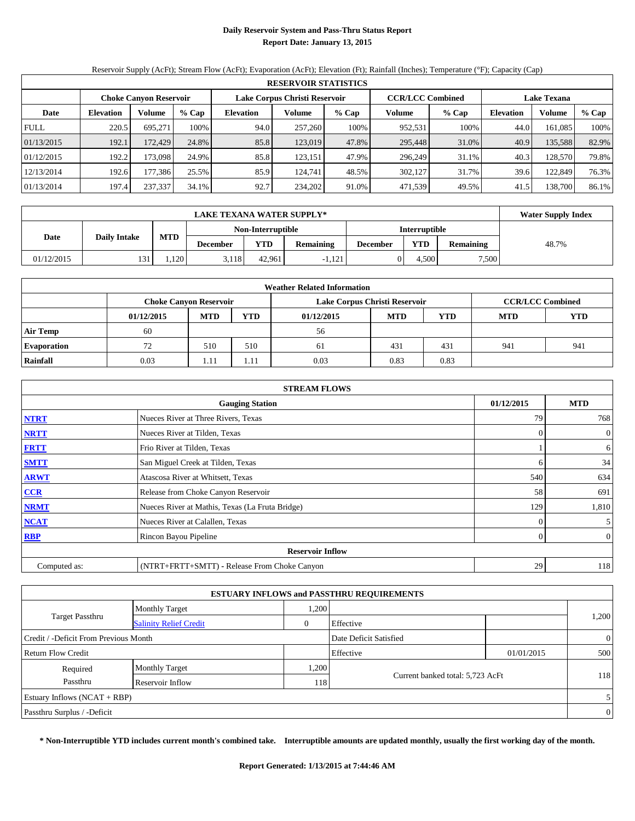## **Daily Reservoir System and Pass-Thru Status Report Report Date: January 13, 2015**

Reservoir Supply (AcFt); Stream Flow (AcFt); Evaporation (AcFt); Elevation (Ft); Rainfall (Inches); Temperature (°F); Capacity (Cap)

| <b>RESERVOIR STATISTICS</b> |                               |                         |                    |                  |         |         |                   |       |                  |         |       |
|-----------------------------|-------------------------------|-------------------------|--------------------|------------------|---------|---------|-------------------|-------|------------------|---------|-------|
|                             | <b>Choke Canyon Reservoir</b> | <b>CCR/LCC Combined</b> | <b>Lake Texana</b> |                  |         |         |                   |       |                  |         |       |
| Date                        | Volume<br><b>Elevation</b>    |                         | % Cap              | <b>Elevation</b> | Volume  | $%$ Cap | Volume<br>$%$ Cap |       | <b>Elevation</b> | Volume  | % Cap |
| <b>FULL</b>                 | 220.5                         | 695.271                 | 100%               | 94.0             | 257,260 | 100%    | 952,531           | 100%  | 44.0             | 161.085 | 100%  |
| 01/13/2015                  | 192.1                         | 172.429                 | 24.8%              | 85.8             | 123,019 | 47.8%   | 295,448           | 31.0% | 40.9             | 135,588 | 82.9% |
| 01/12/2015                  | 192.2                         | 173,098                 | 24.9%              | 85.8             | 123,151 | 47.9%   | 296,249           | 31.1% | 40.3             | 128,570 | 79.8% |
| 12/13/2014                  | 192.6                         | 177,386                 | 25.5%              | 85.9             | 124.741 | 48.5%   | 302,127           | 31.7% | 39.6             | 122.849 | 76.3% |
| 01/13/2014                  | 197.4                         | 237,337                 | 34.1%              | 92.7             | 234,202 | 91.0%   | 471,539           | 49.5% | 41.5             | 138,700 | 86.1% |

|            | <b>LAKE TEXANA WATER SUPPLY*</b> |            |                 |                   |                  |                 |                      |                  |       |  |  |  |
|------------|----------------------------------|------------|-----------------|-------------------|------------------|-----------------|----------------------|------------------|-------|--|--|--|
|            |                                  | <b>MTD</b> |                 | Non-Interruptible |                  |                 | <b>Interruptible</b> |                  |       |  |  |  |
|            | <b>Daily Intake</b><br>Date      |            | <b>December</b> | YTD               | <b>Remaining</b> | <b>December</b> | YTD                  | <b>Remaining</b> | 48.7% |  |  |  |
| 01/12/2015 | 131                              | .120       | 3,118           | 42.961            | 1,121            |                 | 4.500                | 7,500            |       |  |  |  |

| <b>Weather Related Information</b> |                                              |            |            |                               |     |                         |     |     |  |  |  |
|------------------------------------|----------------------------------------------|------------|------------|-------------------------------|-----|-------------------------|-----|-----|--|--|--|
|                                    | <b>Choke Canyon Reservoir</b>                |            |            | Lake Corpus Christi Reservoir |     | <b>CCR/LCC Combined</b> |     |     |  |  |  |
|                                    | 01/12/2015                                   | <b>MTD</b> | <b>YTD</b> | 01/12/2015                    | YTD |                         |     |     |  |  |  |
| <b>Air Temp</b>                    | 60                                           |            |            | 56                            |     |                         |     |     |  |  |  |
| <b>Evaporation</b>                 | 72                                           | 510        | 510        | 61                            | 431 | 431                     | 941 | 941 |  |  |  |
| Rainfall                           | 0.83<br>0.03<br>0.83<br>0.03<br>1.11<br>1.11 |            |            |                               |     |                         |     |     |  |  |  |

| <b>STREAM FLOWS</b> |                                                    |          |                |  |  |  |  |  |  |
|---------------------|----------------------------------------------------|----------|----------------|--|--|--|--|--|--|
|                     | 01/12/2015<br><b>MTD</b><br><b>Gauging Station</b> |          |                |  |  |  |  |  |  |
| <b>NTRT</b>         | Nueces River at Three Rivers, Texas                | 79       | 768            |  |  |  |  |  |  |
| <b>NRTT</b>         | Nueces River at Tilden, Texas                      | $\Omega$ | $\overline{0}$ |  |  |  |  |  |  |
| <b>FRTT</b>         | Frio River at Tilden, Texas                        |          | 6              |  |  |  |  |  |  |
| <b>SMTT</b>         | San Miguel Creek at Tilden, Texas                  | 6        | 34             |  |  |  |  |  |  |
| <b>ARWT</b>         | Atascosa River at Whitsett, Texas                  | 540      | 634            |  |  |  |  |  |  |
| $CCR$               | Release from Choke Canyon Reservoir                | 58       | 691            |  |  |  |  |  |  |
| <b>NRMT</b>         | Nueces River at Mathis, Texas (La Fruta Bridge)    | 129      | 1,810          |  |  |  |  |  |  |
| <b>NCAT</b>         | Nueces River at Calallen, Texas                    | $\theta$ | 5 <sup>5</sup> |  |  |  |  |  |  |
| <b>RBP</b>          | Rincon Bayou Pipeline                              | $\Omega$ | $\overline{0}$ |  |  |  |  |  |  |
|                     | <b>Reservoir Inflow</b>                            |          |                |  |  |  |  |  |  |
| Computed as:        | (NTRT+FRTT+SMTT) - Release From Choke Canyon       | 29       | 118            |  |  |  |  |  |  |

| <b>ESTUARY INFLOWS and PASSTHRU REQUIREMENTS</b>                |                               |      |                                  |            |       |  |  |  |  |  |
|-----------------------------------------------------------------|-------------------------------|------|----------------------------------|------------|-------|--|--|--|--|--|
|                                                                 | <b>Monthly Target</b>         | ,200 |                                  |            |       |  |  |  |  |  |
| <b>Target Passthru</b>                                          | <b>Salinity Relief Credit</b> | 0    | Effective                        |            | 1,200 |  |  |  |  |  |
| Credit / -Deficit From Previous Month<br>Date Deficit Satisfied |                               |      |                                  |            |       |  |  |  |  |  |
| Return Flow Credit                                              |                               |      | Effective                        | 01/01/2015 | 500   |  |  |  |  |  |
| Required                                                        | <b>Monthly Target</b>         | ,200 |                                  |            |       |  |  |  |  |  |
| Passthru                                                        | Reservoir Inflow              | 118  | Current banked total: 5,723 AcFt |            | 118   |  |  |  |  |  |
| Estuary Inflows $(NCAT + RBP)$                                  |                               |      |                                  |            |       |  |  |  |  |  |
| Passthru Surplus / -Deficit                                     |                               |      |                                  |            |       |  |  |  |  |  |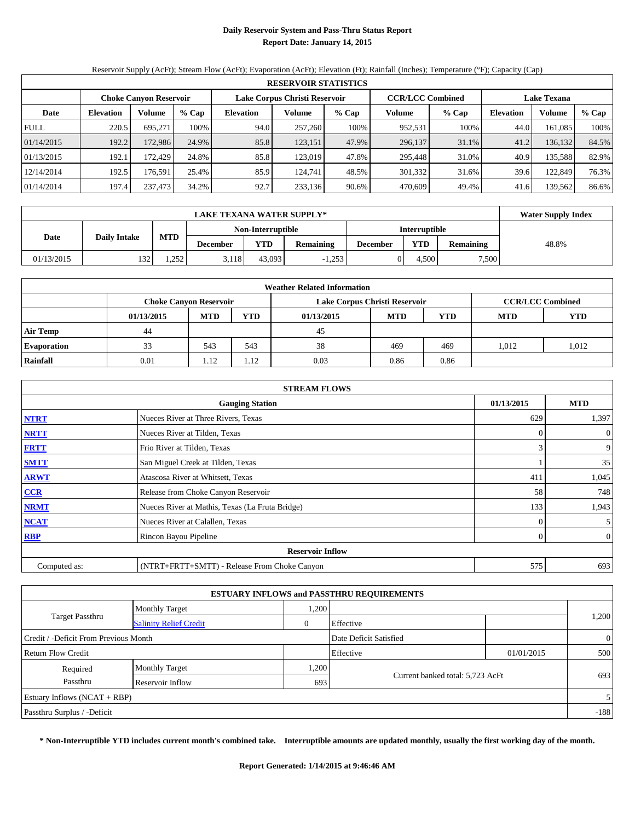## **Daily Reservoir System and Pass-Thru Status Report Report Date: January 14, 2015**

Reservoir Supply (AcFt); Stream Flow (AcFt); Evaporation (AcFt); Elevation (Ft); Rainfall (Inches); Temperature (°F); Capacity (Cap)

| <b>RESERVOIR STATISTICS</b> |                            |                               |                    |                  |         |         |                   |       |                  |         |       |
|-----------------------------|----------------------------|-------------------------------|--------------------|------------------|---------|---------|-------------------|-------|------------------|---------|-------|
|                             |                            | <b>Choke Canyon Reservoir</b> | <b>Lake Texana</b> |                  |         |         |                   |       |                  |         |       |
| Date                        | Volume<br><b>Elevation</b> |                               | % Cap              | <b>Elevation</b> | Volume  | $%$ Cap | Volume<br>$%$ Cap |       | <b>Elevation</b> | Volume  | % Cap |
| <b>FULL</b>                 | 220.5                      | 695.271                       | 100%               | 94.0             | 257,260 | 100%    | 952,531           | 100%  | 44.0             | 161.085 | 100%  |
| 01/14/2015                  | 192.2                      | 172.986                       | 24.9%              | 85.8             | 123,151 | 47.9%   | 296,137           | 31.1% | 41.2             | 136,132 | 84.5% |
| 01/13/2015                  | 192.1                      | 172.429                       | 24.8%              | 85.8             | 123,019 | 47.8%   | 295,448           | 31.0% | 40.9             | 135,588 | 82.9% |
| 12/14/2014                  | 192.5                      | 176.591                       | 25.4%              | 85.9             | 124.741 | 48.5%   | 301,332           | 31.6% | 39.6             | 122.849 | 76.3% |
| 01/14/2014                  | 197.4                      | 237,473                       | 34.2%              | 92.7             | 233,136 | 90.6%   | 470.609           | 49.4% | 41.6             | 139,562 | 86.6% |

|            | <b>LAKE TEXANA WATER SUPPLY*</b>   |       |                 |                   |                  |                 |                      |                  |       |  |  |  |
|------------|------------------------------------|-------|-----------------|-------------------|------------------|-----------------|----------------------|------------------|-------|--|--|--|
|            |                                    |       |                 | Non-Interruptible |                  |                 | <b>Interruptible</b> |                  |       |  |  |  |
|            | MTD<br><b>Daily Intake</b><br>Date |       | <b>December</b> | YTD               | <b>Remaining</b> | <b>December</b> | YTD                  | <b>Remaining</b> | 48.8% |  |  |  |
| 01/13/2015 | 132                                | 1.252 | 3,118           | 43.093            | $-1,253$         |                 | 4.500                | 7,500            |       |  |  |  |

| <b>Weather Related Information</b> |            |                               |            |                               |            |            |                         |       |  |  |  |
|------------------------------------|------------|-------------------------------|------------|-------------------------------|------------|------------|-------------------------|-------|--|--|--|
|                                    |            | <b>Choke Canyon Reservoir</b> |            | Lake Corpus Christi Reservoir |            |            | <b>CCR/LCC Combined</b> |       |  |  |  |
|                                    | 01/13/2015 | <b>MTD</b>                    | <b>YTD</b> | 01/13/2015                    | <b>MTD</b> | <b>YTD</b> |                         |       |  |  |  |
| <b>Air Temp</b>                    | 44         |                               |            | 45                            |            |            |                         |       |  |  |  |
| <b>Evaporation</b>                 | 33         | 543                           | 543        | 38                            | 469        | 469        | 1.012                   | 1,012 |  |  |  |
| Rainfall                           | 0.01       | 1.12                          | 1.12       | 0.03                          | 0.86       | 0.86       |                         |       |  |  |  |

| <b>STREAM FLOWS</b>     |                                                    |          |                  |  |  |  |  |  |  |
|-------------------------|----------------------------------------------------|----------|------------------|--|--|--|--|--|--|
|                         | <b>MTD</b><br>01/13/2015<br><b>Gauging Station</b> |          |                  |  |  |  |  |  |  |
| <b>NTRT</b>             | Nueces River at Three Rivers, Texas                | 629      | 1,397            |  |  |  |  |  |  |
| <b>NRTT</b>             | Nueces River at Tilden, Texas                      | $\Omega$ | $\boldsymbol{0}$ |  |  |  |  |  |  |
| <b>FRTT</b>             | Frio River at Tilden, Texas                        | 3        | 9                |  |  |  |  |  |  |
| <b>SMTT</b>             | San Miguel Creek at Tilden, Texas                  |          | 35               |  |  |  |  |  |  |
| <b>ARWT</b>             | Atascosa River at Whitsett, Texas                  | 411      | 1,045            |  |  |  |  |  |  |
| $CCR$                   | Release from Choke Canyon Reservoir                | 58       | 748              |  |  |  |  |  |  |
| <b>NRMT</b>             | Nueces River at Mathis, Texas (La Fruta Bridge)    | 133      | 1,943            |  |  |  |  |  |  |
| <b>NCAT</b>             | Nueces River at Calallen, Texas                    | $\Omega$ | 5 <sup>1</sup>   |  |  |  |  |  |  |
| <b>RBP</b>              | Rincon Bayou Pipeline                              | $\Omega$ | $\overline{0}$   |  |  |  |  |  |  |
| <b>Reservoir Inflow</b> |                                                    |          |                  |  |  |  |  |  |  |
| Computed as:            | (NTRT+FRTT+SMTT) - Release From Choke Canyon       | 575      | 693              |  |  |  |  |  |  |

| <b>ESTUARY INFLOWS and PASSTHRU REQUIREMENTS</b>                |                               |       |                                  |  |       |  |  |  |  |
|-----------------------------------------------------------------|-------------------------------|-------|----------------------------------|--|-------|--|--|--|--|
|                                                                 | <b>Monthly Target</b>         | ,200  |                                  |  |       |  |  |  |  |
| <b>Target Passthru</b>                                          | <b>Salinity Relief Credit</b> | 0     | Effective                        |  | 1,200 |  |  |  |  |
| Credit / -Deficit From Previous Month<br>Date Deficit Satisfied |                               |       |                                  |  |       |  |  |  |  |
| <b>Return Flow Credit</b><br>Effective<br>01/01/2015            |                               |       |                                  |  |       |  |  |  |  |
| Required                                                        | <b>Monthly Target</b>         | 0.200 |                                  |  |       |  |  |  |  |
| Passthru                                                        | Reservoir Inflow              | 693   | Current banked total: 5,723 AcFt |  | 693   |  |  |  |  |
| Estuary Inflows $(NCAT + RBP)$                                  |                               |       |                                  |  |       |  |  |  |  |
| Passthru Surplus / -Deficit                                     |                               |       |                                  |  |       |  |  |  |  |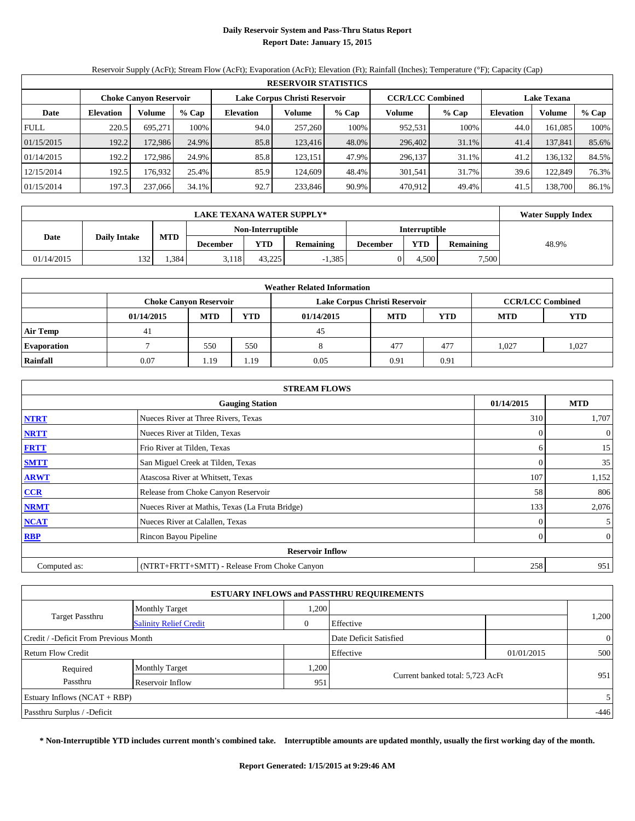## **Daily Reservoir System and Pass-Thru Status Report Report Date: January 15, 2015**

Reservoir Supply (AcFt); Stream Flow (AcFt); Evaporation (AcFt); Elevation (Ft); Rainfall (Inches); Temperature (°F); Capacity (Cap)

| <b>RESERVOIR STATISTICS</b> |                                                                                                                 |         |       |                  |         |       |                   |       |                  |         |       |
|-----------------------------|-----------------------------------------------------------------------------------------------------------------|---------|-------|------------------|---------|-------|-------------------|-------|------------------|---------|-------|
|                             | <b>CCR/LCC Combined</b><br>Lake Corpus Christi Reservoir<br><b>Choke Canyon Reservoir</b><br><b>Lake Texana</b> |         |       |                  |         |       |                   |       |                  |         |       |
| Date                        | Volume<br><b>Elevation</b>                                                                                      |         | % Cap | <b>Elevation</b> | Volume  | % Cap | Volume<br>$%$ Cap |       | <b>Elevation</b> | Volume  | % Cap |
| <b>FULL</b>                 | 220.5                                                                                                           | 695.271 | 100%  | 94.0             | 257,260 | 100%  | 952,531           | 100%  | 44.0             | 161.085 | 100%  |
| 01/15/2015                  | 192.2                                                                                                           | 172.986 | 24.9% | 85.8             | 123.416 | 48.0% | 296,402           | 31.1% | 41.4             | 137,841 | 85.6% |
| 01/14/2015                  | 192.2                                                                                                           | 172.986 | 24.9% | 85.8             | 123,151 | 47.9% | 296,137           | 31.1% | 41.2             | 136.132 | 84.5% |
| 12/15/2014                  | 192.5                                                                                                           | 176.932 | 25.4% | 85.9             | 124,609 | 48.4% | 301.541           | 31.7% | 39.6             | 122,849 | 76.3% |
| 01/15/2014                  | 197.3                                                                                                           | 237,066 | 34.1% | 92.7             | 233.846 | 90.9% | 470.912           | 49.4% | 41.5             | 138.700 | 86.1% |

|                             | <b>LAKE TEXANA WATER SUPPLY*</b> |            |                 |                   |                  |                 |                      |                  |       |  |  |  |
|-----------------------------|----------------------------------|------------|-----------------|-------------------|------------------|-----------------|----------------------|------------------|-------|--|--|--|
|                             |                                  |            |                 | Non-Interruptible |                  |                 | <b>Interruptible</b> |                  |       |  |  |  |
| <b>Daily Intake</b><br>Date |                                  | <b>MTD</b> | <b>December</b> | YTD               | <b>Remaining</b> | <b>December</b> | YTD                  | <b>Remaining</b> | 48.9% |  |  |  |
| 01/14/2015                  | 132                              | .384       | 3.118           | 43.225            | 1,385            |                 | 4.500                | 7,500            |       |  |  |  |

| <b>Weather Related Information</b> |            |                               |            |                               |            |                         |            |            |  |  |
|------------------------------------|------------|-------------------------------|------------|-------------------------------|------------|-------------------------|------------|------------|--|--|
|                                    |            | <b>Choke Canvon Reservoir</b> |            | Lake Corpus Christi Reservoir |            | <b>CCR/LCC Combined</b> |            |            |  |  |
|                                    | 01/14/2015 | <b>MTD</b>                    | <b>YTD</b> | 01/14/2015                    | <b>MTD</b> | <b>YTD</b>              | <b>MTD</b> | <b>YTD</b> |  |  |
| <b>Air Temp</b>                    | 41         |                               |            | 45                            |            |                         |            |            |  |  |
| <b>Evaporation</b>                 |            | 550                           | 550        |                               | 477        | 477                     | 1.027      | 1,027      |  |  |
| Rainfall                           | 0.07       | 1.19                          | 1.19       | 0.05                          | 0.91       | 0.91                    |            |            |  |  |

| <b>STREAM FLOWS</b> |                                                 |          |                |  |  |  |  |  |  |
|---------------------|-------------------------------------------------|----------|----------------|--|--|--|--|--|--|
|                     | <b>Gauging Station</b>                          |          |                |  |  |  |  |  |  |
| <b>NTRT</b>         | Nueces River at Three Rivers, Texas             | 310      | 1,707          |  |  |  |  |  |  |
| <b>NRTT</b>         | Nueces River at Tilden, Texas                   | $\Omega$ | $\overline{0}$ |  |  |  |  |  |  |
| <b>FRTT</b>         | Frio River at Tilden, Texas                     | 6        | 15             |  |  |  |  |  |  |
| <b>SMTT</b>         | San Miguel Creek at Tilden, Texas               | $\theta$ | 35             |  |  |  |  |  |  |
| <b>ARWT</b>         | Atascosa River at Whitsett, Texas               | 107      | 1,152          |  |  |  |  |  |  |
| $CCR$               | Release from Choke Canyon Reservoir             | 58       | 806            |  |  |  |  |  |  |
| <b>NRMT</b>         | Nueces River at Mathis, Texas (La Fruta Bridge) | 133      | 2,076          |  |  |  |  |  |  |
| <b>NCAT</b>         | Nueces River at Calallen, Texas                 | $\theta$ | 5 <sup>5</sup> |  |  |  |  |  |  |
| <b>RBP</b>          | Rincon Bayou Pipeline                           | $\Omega$ | $\overline{0}$ |  |  |  |  |  |  |
|                     | <b>Reservoir Inflow</b>                         |          |                |  |  |  |  |  |  |
| Computed as:        | (NTRT+FRTT+SMTT) - Release From Choke Canyon    | 258      | 951            |  |  |  |  |  |  |

| <b>ESTUARY INFLOWS and PASSTHRU REQUIREMENTS</b> |                               |      |                                  |            |                |  |  |  |  |  |  |
|--------------------------------------------------|-------------------------------|------|----------------------------------|------------|----------------|--|--|--|--|--|--|
|                                                  | <b>Monthly Target</b>         | ,200 |                                  |            |                |  |  |  |  |  |  |
| <b>Target Passthru</b>                           | <b>Salinity Relief Credit</b> | 0    | Effective                        |            | 1,200          |  |  |  |  |  |  |
| Credit / -Deficit From Previous Month            |                               |      | Date Deficit Satisfied           |            | $\overline{0}$ |  |  |  |  |  |  |
| Return Flow Credit                               |                               |      | Effective                        | 01/01/2015 | 500            |  |  |  |  |  |  |
| Required                                         | <b>Monthly Target</b>         | ,200 |                                  |            |                |  |  |  |  |  |  |
| Passthru                                         | Reservoir Inflow              | 951  | Current banked total: 5,723 AcFt |            | 951            |  |  |  |  |  |  |
| Estuary Inflows $(NCAT + RBP)$                   |                               |      |                                  |            | 5 <sup>1</sup> |  |  |  |  |  |  |
| Passthru Surplus / -Deficit                      |                               |      |                                  |            | $-446$         |  |  |  |  |  |  |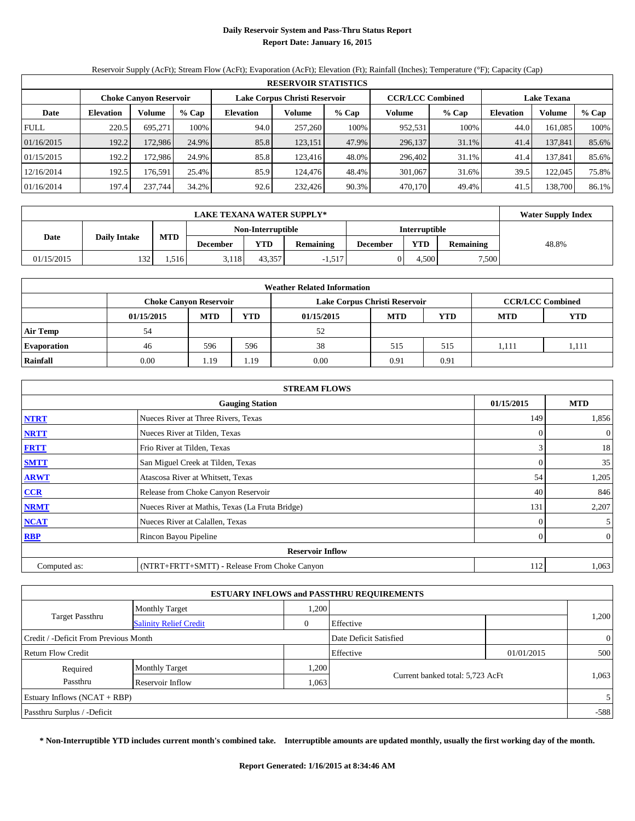## **Daily Reservoir System and Pass-Thru Status Report Report Date: January 16, 2015**

Reservoir Supply (AcFt); Stream Flow (AcFt); Evaporation (AcFt); Elevation (Ft); Rainfall (Inches); Temperature (°F); Capacity (Cap)

|             | <b>RESERVOIR STATISTICS</b> |                               |       |                  |                               |       |                         |         |                    |         |       |  |
|-------------|-----------------------------|-------------------------------|-------|------------------|-------------------------------|-------|-------------------------|---------|--------------------|---------|-------|--|
|             |                             | <b>Choke Canyon Reservoir</b> |       |                  | Lake Corpus Christi Reservoir |       | <b>CCR/LCC Combined</b> |         | <b>Lake Texana</b> |         |       |  |
| Date        | <b>Elevation</b>            | Volume                        | % Cap | <b>Elevation</b> | Volume                        | % Cap | Volume                  | $%$ Cap | <b>Elevation</b>   | Volume  | % Cap |  |
| <b>FULL</b> | 220.5                       | 695.271                       | 100%  | 94.0             | 257,260                       | 100%  | 952,531                 | 100%    | 44.0               | 161.085 | 100%  |  |
| 01/16/2015  | 192.2                       | 172.986                       | 24.9% | 85.8             | 123,151                       | 47.9% | 296,137                 | 31.1%   | 41.4               | 137,841 | 85.6% |  |
| 01/15/2015  | 192.2                       | 172.986                       | 24.9% | 85.8             | 123.416                       | 48.0% | 296,402                 | 31.1%   | 41.4               | 137,841 | 85.6% |  |
| 12/16/2014  | 192.5                       | 176.591                       | 25.4% | 85.9             | 124.476                       | 48.4% | 301,067                 | 31.6%   | 39.5               | 122,045 | 75.8% |  |
| 01/16/2014  | 197.4                       | 237.744                       | 34.2% | 92.6             | 232,426                       | 90.3% | 470,170                 | 49.4%   | 41.5               | 138.700 | 86.1% |  |

|            | <b>Water Supply Index</b> |            |                 |                   |                  |                 |                      |                  |       |
|------------|---------------------------|------------|-----------------|-------------------|------------------|-----------------|----------------------|------------------|-------|
|            |                           |            |                 | Non-Interruptible |                  |                 | <b>Interruptible</b> |                  |       |
| Date       | <b>Daily Intake</b>       | <b>MTD</b> | <b>December</b> | YTD               | <b>Remaining</b> | <b>December</b> | <b>YTD</b>           | <b>Remaining</b> | 48.8% |
| 01/15/2015 | 132                       | .516       | 3.118           | 43.357            | $-1,517$         |                 | 4.500                | 7,500            |       |

| <b>Weather Related Information</b> |            |                               |            |                               |            |                         |            |            |  |  |  |
|------------------------------------|------------|-------------------------------|------------|-------------------------------|------------|-------------------------|------------|------------|--|--|--|
|                                    |            | <b>Choke Canyon Reservoir</b> |            | Lake Corpus Christi Reservoir |            | <b>CCR/LCC Combined</b> |            |            |  |  |  |
|                                    | 01/15/2015 | <b>MTD</b>                    | <b>YTD</b> | 01/15/2015                    | <b>MTD</b> | <b>YTD</b>              | <b>MTD</b> | <b>YTD</b> |  |  |  |
| <b>Air Temp</b>                    | 54         |                               |            | 52                            |            |                         |            |            |  |  |  |
| <b>Evaporation</b>                 | 46         | 596                           | 596        | 38                            | 515        | 515                     | 1.111      | 1,111      |  |  |  |
| Rainfall                           | 0.00       | 1.19                          | 1.19       | 0.00                          | 0.91       | 0.91                    |            |            |  |  |  |

| <b>STREAM FLOWS</b> |                                                 |          |                |  |  |  |  |  |  |
|---------------------|-------------------------------------------------|----------|----------------|--|--|--|--|--|--|
|                     | <b>Gauging Station</b>                          |          |                |  |  |  |  |  |  |
| <b>NTRT</b>         | Nueces River at Three Rivers, Texas             | 149      | 1,856          |  |  |  |  |  |  |
| <b>NRTT</b>         | Nueces River at Tilden, Texas                   | 0        | $\overline{0}$ |  |  |  |  |  |  |
| <b>FRTT</b>         | Frio River at Tilden, Texas                     | 3        | 18             |  |  |  |  |  |  |
| <b>SMTT</b>         | San Miguel Creek at Tilden, Texas               | $\theta$ | 35             |  |  |  |  |  |  |
| <b>ARWT</b>         | Atascosa River at Whitsett, Texas               | 54       | 1,205          |  |  |  |  |  |  |
| $CCR$               | Release from Choke Canyon Reservoir             | 40       | 846            |  |  |  |  |  |  |
| <b>NRMT</b>         | Nueces River at Mathis, Texas (La Fruta Bridge) | 131      | 2,207          |  |  |  |  |  |  |
| <b>NCAT</b>         | Nueces River at Calallen, Texas                 | $\theta$ | 5 <sup>5</sup> |  |  |  |  |  |  |
| <b>RBP</b>          | Rincon Bayou Pipeline                           | $\Omega$ | $\overline{0}$ |  |  |  |  |  |  |
|                     | <b>Reservoir Inflow</b>                         |          |                |  |  |  |  |  |  |
| Computed as:        | (NTRT+FRTT+SMTT) - Release From Choke Canyon    | 112      | 1,063          |  |  |  |  |  |  |

| <b>ESTUARY INFLOWS and PASSTHRU REQUIREMENTS</b> |                               |      |                                  |            |                |  |  |  |  |  |  |
|--------------------------------------------------|-------------------------------|------|----------------------------------|------------|----------------|--|--|--|--|--|--|
|                                                  | <b>Monthly Target</b>         | ,200 |                                  |            |                |  |  |  |  |  |  |
| <b>Target Passthru</b>                           | <b>Salinity Relief Credit</b> | 0    | Effective                        |            | 1,200          |  |  |  |  |  |  |
| Credit / -Deficit From Previous Month            |                               |      | Date Deficit Satisfied           |            | $\overline{0}$ |  |  |  |  |  |  |
| Return Flow Credit                               |                               |      | Effective                        | 01/01/2015 | 500            |  |  |  |  |  |  |
| Required                                         | <b>Monthly Target</b>         | .200 |                                  |            |                |  |  |  |  |  |  |
| Passthru<br>Reservoir Inflow                     |                               | .063 | Current banked total: 5,723 AcFt |            | 1,063          |  |  |  |  |  |  |
| Estuary Inflows $(NCAT + RBP)$                   |                               |      |                                  |            | 5              |  |  |  |  |  |  |
| Passthru Surplus / -Deficit                      |                               |      |                                  |            | $-588$         |  |  |  |  |  |  |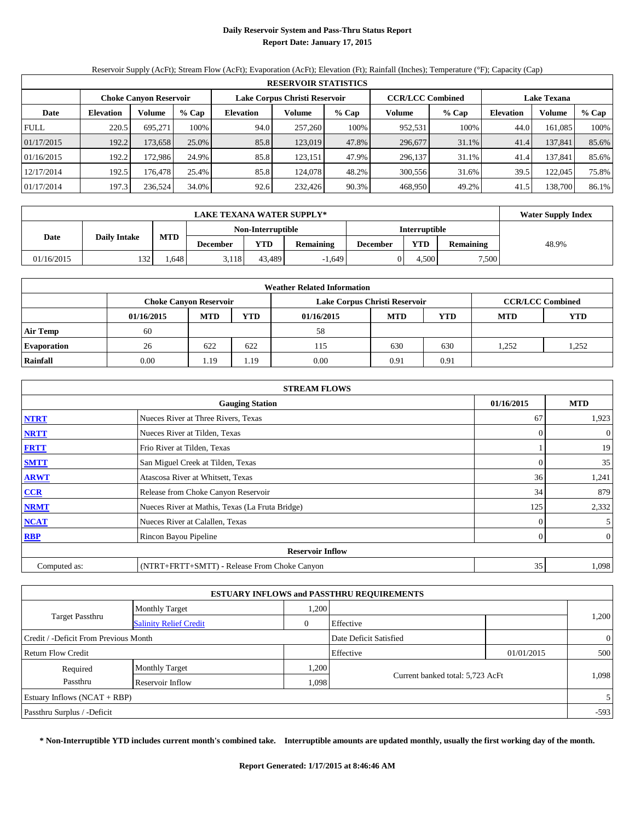## **Daily Reservoir System and Pass-Thru Status Report Report Date: January 17, 2015**

Reservoir Supply (AcFt); Stream Flow (AcFt); Evaporation (AcFt); Elevation (Ft); Rainfall (Inches); Temperature (°F); Capacity (Cap)

|             | <b>RESERVOIR STATISTICS</b> |                               |       |                  |                               |       |                         |         |                    |         |       |  |
|-------------|-----------------------------|-------------------------------|-------|------------------|-------------------------------|-------|-------------------------|---------|--------------------|---------|-------|--|
|             |                             | <b>Choke Canyon Reservoir</b> |       |                  | Lake Corpus Christi Reservoir |       | <b>CCR/LCC Combined</b> |         | <b>Lake Texana</b> |         |       |  |
| Date        | <b>Elevation</b>            | Volume                        | % Cap | <b>Elevation</b> | Volume                        | % Cap | Volume                  | $%$ Cap | <b>Elevation</b>   | Volume  | % Cap |  |
| <b>FULL</b> | 220.5                       | 695.271                       | 100%  | 94.0             | 257,260                       | 100%  | 952,531                 | 100%    | 44.0               | 161.085 | 100%  |  |
| 01/17/2015  | 192.2                       | 173.6581                      | 25.0% | 85.8             | 123,019                       | 47.8% | 296,677                 | 31.1%   | 41.4               | 137,841 | 85.6% |  |
| 01/16/2015  | 192.2                       | 172.986                       | 24.9% | 85.8             | 123,151                       | 47.9% | 296,137                 | 31.1%   | 41.4               | 137,841 | 85.6% |  |
| 12/17/2014  | 192.5                       | 176.478                       | 25.4% | 85.8             | 124,078                       | 48.2% | 300,556                 | 31.6%   | 39.5               | 122,045 | 75.8% |  |
| 01/17/2014  | 197.3                       | 236,524                       | 34.0% | 92.6             | 232,426                       | 90.3% | 468,950                 | 49.2%   | 41.5               | 138.700 | 86.1% |  |

|            | <b>Water Supply Index</b> |            |                 |                   |                  |                 |                      |                  |       |
|------------|---------------------------|------------|-----------------|-------------------|------------------|-----------------|----------------------|------------------|-------|
|            |                           |            |                 | Non-Interruptible |                  |                 | <b>Interruptible</b> |                  |       |
| Date       | <b>Daily Intake</b>       | <b>MTD</b> | <b>December</b> | YTD               | <b>Remaining</b> | <b>December</b> | YTD                  | <b>Remaining</b> | 48.9% |
| 01/16/2015 | 132                       | .648       | 3,118           | 43.489            | $-1,649$         |                 | 4.500                | 7,500            |       |

| <b>Weather Related Information</b> |            |                               |            |                               |            |                         |            |            |  |  |  |
|------------------------------------|------------|-------------------------------|------------|-------------------------------|------------|-------------------------|------------|------------|--|--|--|
|                                    |            | <b>Choke Canvon Reservoir</b> |            | Lake Corpus Christi Reservoir |            | <b>CCR/LCC Combined</b> |            |            |  |  |  |
|                                    | 01/16/2015 | <b>MTD</b>                    | <b>YTD</b> | 01/16/2015                    | <b>MTD</b> | <b>YTD</b>              | <b>MTD</b> | <b>YTD</b> |  |  |  |
| <b>Air Temp</b>                    | 60         |                               |            | 58                            |            |                         |            |            |  |  |  |
| <b>Evaporation</b>                 | 26         | 622                           | 622        | 115                           | 630        | 630                     | 1.252      | 1,252      |  |  |  |
| Rainfall                           | 0.00       | 1.19                          | 1.19       | 0.00                          | 0.91       | 0.91                    |            |            |  |  |  |

| <b>STREAM FLOWS</b> |                                                 |          |                |  |  |  |  |  |  |
|---------------------|-------------------------------------------------|----------|----------------|--|--|--|--|--|--|
|                     | <b>Gauging Station</b>                          |          |                |  |  |  |  |  |  |
| <b>NTRT</b>         | Nueces River at Three Rivers, Texas             | 67       | 1,923          |  |  |  |  |  |  |
| <b>NRTT</b>         | Nueces River at Tilden, Texas                   | $\Omega$ | $\overline{0}$ |  |  |  |  |  |  |
| <b>FRTT</b>         | Frio River at Tilden, Texas                     |          | 19             |  |  |  |  |  |  |
| <b>SMTT</b>         | San Miguel Creek at Tilden, Texas               | $\theta$ | 35             |  |  |  |  |  |  |
| <b>ARWT</b>         | Atascosa River at Whitsett, Texas               | 36       | 1,241          |  |  |  |  |  |  |
| $CCR$               | Release from Choke Canyon Reservoir             | 34       | 879            |  |  |  |  |  |  |
| <b>NRMT</b>         | Nueces River at Mathis, Texas (La Fruta Bridge) | 125      | 2,332          |  |  |  |  |  |  |
| <b>NCAT</b>         | Nueces River at Calallen, Texas                 | $\theta$ | 5 <sup>5</sup> |  |  |  |  |  |  |
| <b>RBP</b>          | Rincon Bayou Pipeline                           | $\Omega$ | $\overline{0}$ |  |  |  |  |  |  |
|                     | <b>Reservoir Inflow</b>                         |          |                |  |  |  |  |  |  |
| Computed as:        | (NTRT+FRTT+SMTT) - Release From Choke Canyon    | 35       | 1,098          |  |  |  |  |  |  |

|                                                         |                       |      | <b>ESTUARY INFLOWS and PASSTHRU REQUIREMENTS</b> |            |                |
|---------------------------------------------------------|-----------------------|------|--------------------------------------------------|------------|----------------|
|                                                         | <b>Monthly Target</b> | ,200 |                                                  |            |                |
| <b>Target Passthru</b><br><b>Salinity Relief Credit</b> |                       |      | Effective                                        |            | 1,200          |
| Credit / -Deficit From Previous Month                   |                       |      | Date Deficit Satisfied                           |            | $\overline{0}$ |
| Return Flow Credit                                      |                       |      | Effective                                        | 01/01/2015 | 500            |
| Required                                                | <b>Monthly Target</b> | .200 |                                                  |            |                |
| Passthru<br>Reservoir Inflow                            |                       |      | Current banked total: 5,723 AcFt<br>1,098        |            | 1,098          |
| Estuary Inflows $(NCAT + RBP)$                          |                       |      |                                                  |            | 5              |
| Passthru Surplus / -Deficit                             |                       |      |                                                  |            | $-593$         |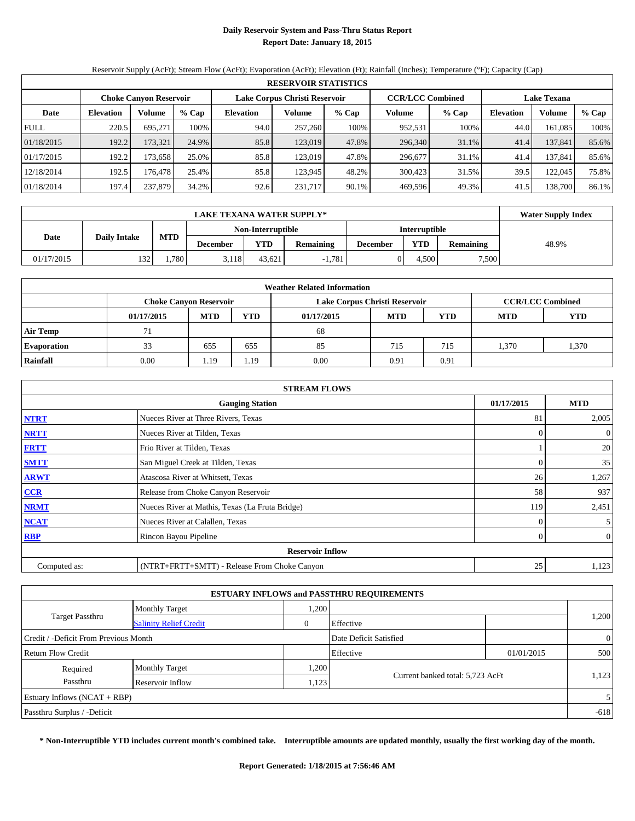## **Daily Reservoir System and Pass-Thru Status Report Report Date: January 18, 2015**

Reservoir Supply (AcFt); Stream Flow (AcFt); Evaporation (AcFt); Elevation (Ft); Rainfall (Inches); Temperature (°F); Capacity (Cap)

|             | <b>RESERVOIR STATISTICS</b> |                               |       |                               |         |         |                         |         |                    |         |       |  |
|-------------|-----------------------------|-------------------------------|-------|-------------------------------|---------|---------|-------------------------|---------|--------------------|---------|-------|--|
|             |                             | <b>Choke Canyon Reservoir</b> |       | Lake Corpus Christi Reservoir |         |         | <b>CCR/LCC Combined</b> |         | <b>Lake Texana</b> |         |       |  |
| Date        | <b>Elevation</b>            | Volume                        | % Cap | <b>Elevation</b>              | Volume  | $%$ Cap | Volume                  | $%$ Cap | <b>Elevation</b>   | Volume  | % Cap |  |
| <b>FULL</b> | 220.5                       | 695.271                       | 100%  | 94.0                          | 257,260 | 100%    | 952,531                 | 100%    | 44.0               | 161.085 | 100%  |  |
| 01/18/2015  | 192.2                       | 173,321                       | 24.9% | 85.8                          | 123,019 | 47.8%   | 296,340                 | 31.1%   | 41.4               | 137,841 | 85.6% |  |
| 01/17/2015  | 192.2                       | 173.658                       | 25.0% | 85.8                          | 123.019 | 47.8%   | 296,677                 | 31.1%   | 41.4               | 137,841 | 85.6% |  |
| 12/18/2014  | 192.5                       | 176.478                       | 25.4% | 85.8                          | 123.945 | 48.2%   | 300,423                 | 31.5%   | 39.5               | 122,045 | 75.8% |  |
| 01/18/2014  | 197.4                       | 237,879                       | 34.2% | 92.6                          | 231,717 | 90.1%   | 469,596                 | 49.3%   | 41.5               | 138.700 | 86.1% |  |

|            | <b>Water Supply Index</b> |            |                 |                   |                  |                 |                      |                  |       |
|------------|---------------------------|------------|-----------------|-------------------|------------------|-----------------|----------------------|------------------|-------|
|            |                           |            |                 | Non-Interruptible |                  |                 | <b>Interruptible</b> |                  |       |
| Date       | <b>Daily Intake</b>       | <b>MTD</b> | <b>December</b> | YTD               | <b>Remaining</b> | <b>December</b> | YTD                  | <b>Remaining</b> | 48.9% |
| 01/17/2015 | 132                       | 1.780      | 3.118           | 43.621            | 1,781            |                 | 4.500                | 7,500            |       |

| <b>Weather Related Information</b> |            |                               |            |                               |      |                         |      |       |  |  |  |
|------------------------------------|------------|-------------------------------|------------|-------------------------------|------|-------------------------|------|-------|--|--|--|
|                                    |            | <b>Choke Canvon Reservoir</b> |            | Lake Corpus Christi Reservoir |      | <b>CCR/LCC Combined</b> |      |       |  |  |  |
|                                    | 01/17/2015 | <b>MTD</b>                    | <b>YTD</b> |                               |      |                         |      |       |  |  |  |
| <b>Air Temp</b>                    |            |                               |            | 68                            |      |                         |      |       |  |  |  |
| <b>Evaporation</b>                 | 33         | 655                           | 655        | 85                            | 715  | 715                     | .370 | 1,370 |  |  |  |
| Rainfall                           | 0.00       | 1.19                          | 1.19       | 0.00                          | 0.91 | 0.91                    |      |       |  |  |  |

| <b>STREAM FLOWS</b> |                                                 |          |                |  |  |  |  |  |
|---------------------|-------------------------------------------------|----------|----------------|--|--|--|--|--|
|                     | <b>Gauging Station</b>                          |          |                |  |  |  |  |  |
| <b>NTRT</b>         | 81                                              | 2,005    |                |  |  |  |  |  |
| <b>NRTT</b>         | Nueces River at Tilden, Texas                   | $\Omega$ | $\overline{0}$ |  |  |  |  |  |
| <b>FRTT</b>         | Frio River at Tilden, Texas                     |          | 20             |  |  |  |  |  |
| <b>SMTT</b>         | San Miguel Creek at Tilden, Texas               | $\theta$ | 35             |  |  |  |  |  |
| <b>ARWT</b>         | Atascosa River at Whitsett, Texas               | 26       | 1,267          |  |  |  |  |  |
| CCR                 | Release from Choke Canyon Reservoir             | 58       | 937            |  |  |  |  |  |
| <b>NRMT</b>         | Nueces River at Mathis, Texas (La Fruta Bridge) | 119      | 2,451          |  |  |  |  |  |
| <b>NCAT</b>         | Nueces River at Calallen, Texas                 | $\Omega$ | 5 <sup>5</sup> |  |  |  |  |  |
| <b>RBP</b>          | Rincon Bayou Pipeline                           | $\Omega$ | $\overline{0}$ |  |  |  |  |  |
|                     | <b>Reservoir Inflow</b>                         |          |                |  |  |  |  |  |
| Computed as:        | (NTRT+FRTT+SMTT) - Release From Choke Canyon    | 25       | 1,123          |  |  |  |  |  |

|                                       |                               |      | <b>ESTUARY INFLOWS and PASSTHRU REQUIREMENTS</b> |            |                |
|---------------------------------------|-------------------------------|------|--------------------------------------------------|------------|----------------|
|                                       | <b>Monthly Target</b>         | ,200 |                                                  |            |                |
| <b>Target Passthru</b>                | <b>Salinity Relief Credit</b> | 0    | Effective                                        |            | 1,200          |
| Credit / -Deficit From Previous Month |                               |      | Date Deficit Satisfied                           |            | $\overline{0}$ |
| Return Flow Credit                    |                               |      | Effective                                        | 01/01/2015 | 500            |
| Required                              | <b>Monthly Target</b>         | ,200 |                                                  |            |                |
| Passthru<br>Reservoir Inflow          |                               |      | Current banked total: 5,723 AcFt<br>1.123        |            | 1,123          |
| Estuary Inflows $(NCAT + RBP)$        |                               |      |                                                  |            | $\mathfrak{S}$ |
| Passthru Surplus / -Deficit           |                               |      |                                                  |            | $-618$         |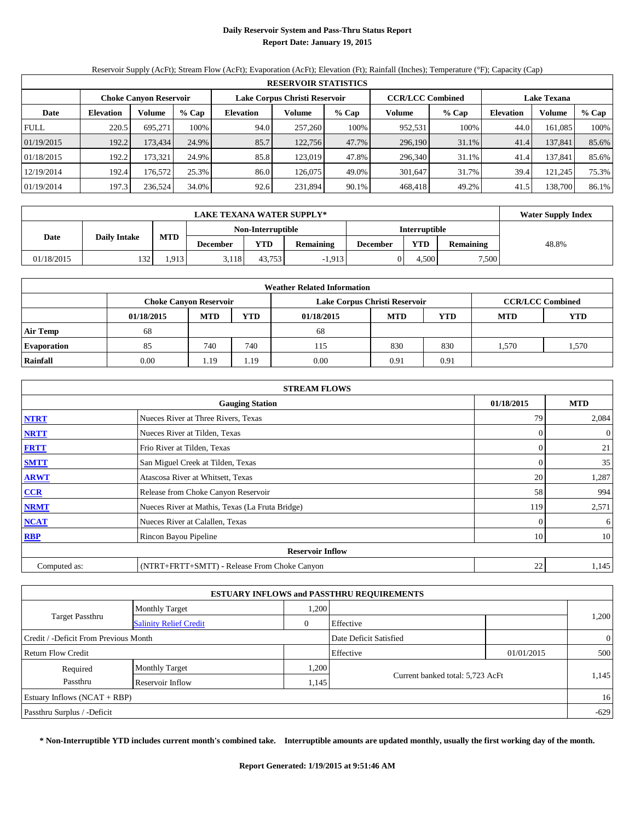## **Daily Reservoir System and Pass-Thru Status Report Report Date: January 19, 2015**

Reservoir Supply (AcFt); Stream Flow (AcFt); Evaporation (AcFt); Elevation (Ft); Rainfall (Inches); Temperature (°F); Capacity (Cap)

|             | <b>RESERVOIR STATISTICS</b> |                               |         |                               |         |       |                         |       |                    |         |       |  |
|-------------|-----------------------------|-------------------------------|---------|-------------------------------|---------|-------|-------------------------|-------|--------------------|---------|-------|--|
|             |                             | <b>Choke Canyon Reservoir</b> |         | Lake Corpus Christi Reservoir |         |       | <b>CCR/LCC Combined</b> |       | <b>Lake Texana</b> |         |       |  |
| Date        | <b>Elevation</b>            | Volume                        | $%$ Cap | <b>Elevation</b>              | Volume  | % Cap | Volume                  | % Cap | <b>Elevation</b>   | Volume  | % Cap |  |
| <b>FULL</b> | 220.5                       | 695.271                       | 100%    | 94.0                          | 257,260 | 100%  | 952,531                 | 100%  | 44.0               | 161.085 | 100%  |  |
| 01/19/2015  | 192.2                       | 173.434                       | 24.9%   | 85.7                          | 122,756 | 47.7% | 296,190                 | 31.1% | 41.4               | 137,841 | 85.6% |  |
| 01/18/2015  | 192.2                       | 173,321                       | 24.9%   | 85.8                          | 123,019 | 47.8% | 296,340                 | 31.1% | 41.4               | 137,841 | 85.6% |  |
| 12/19/2014  | 192.4                       | 176.5721                      | 25.3%   | 86.0                          | 126,075 | 49.0% | 301,647                 | 31.7% | 39.4               | 121,245 | 75.3% |  |
| 01/19/2014  | 197.3                       | 236,524                       | 34.0%   | 92.6                          | 231,894 | 90.1% | 468.418                 | 49.2% | 41.5               | 138.700 | 86.1% |  |

|            | <b>Water Supply Index</b> |            |                 |                   |                  |                 |               |                  |       |
|------------|---------------------------|------------|-----------------|-------------------|------------------|-----------------|---------------|------------------|-------|
|            |                           |            |                 | Non-Interruptible |                  |                 | Interruptible |                  |       |
| Date       | <b>Daily Intake</b>       | <b>MTD</b> | <b>December</b> | <b>YTD</b>        | <b>Remaining</b> | <b>December</b> | YTD           | <b>Remaining</b> | 48.8% |
| 01/18/2015 | 132                       | .913       | 3.118           | 43.753            | $-1,913$         |                 | 4.500         | 7,500            |       |

| <b>Weather Related Information</b> |            |                               |            |                               |            |                         |            |       |  |  |  |
|------------------------------------|------------|-------------------------------|------------|-------------------------------|------------|-------------------------|------------|-------|--|--|--|
|                                    |            | <b>Choke Canyon Reservoir</b> |            | Lake Corpus Christi Reservoir |            | <b>CCR/LCC Combined</b> |            |       |  |  |  |
|                                    | 01/18/2015 | <b>MTD</b>                    | <b>YTD</b> | 01/18/2015                    | <b>MTD</b> | <b>MTD</b>              | <b>YTD</b> |       |  |  |  |
| <b>Air Temp</b>                    | 68         |                               |            | 68                            |            |                         |            |       |  |  |  |
| <b>Evaporation</b>                 | 85         | 740                           | 740        | 115                           | 830        | 830                     | .570       | 1,570 |  |  |  |
| Rainfall                           | 0.00       | 1.19                          | 1.19       | 0.00                          | 0.91       | 0.91                    |            |       |  |  |  |

| <b>STREAM FLOWS</b> |                                                 |          |                  |  |  |  |  |  |
|---------------------|-------------------------------------------------|----------|------------------|--|--|--|--|--|
|                     | <b>Gauging Station</b>                          |          |                  |  |  |  |  |  |
| <b>NTRT</b>         | Nueces River at Three Rivers, Texas             | 79       | 2,084            |  |  |  |  |  |
| <b>NRTT</b>         | Nueces River at Tilden, Texas                   | $\Omega$ | $\boldsymbol{0}$ |  |  |  |  |  |
| <b>FRTT</b>         | Frio River at Tilden, Texas                     | 0        | 21               |  |  |  |  |  |
| <b>SMTT</b>         | San Miguel Creek at Tilden, Texas               | 0        | 35               |  |  |  |  |  |
| <b>ARWT</b>         | Atascosa River at Whitsett, Texas               | 20       | 1,287            |  |  |  |  |  |
| $CCR$               | Release from Choke Canyon Reservoir             | 58       | 994              |  |  |  |  |  |
| <b>NRMT</b>         | Nueces River at Mathis, Texas (La Fruta Bridge) | 119      | 2,571            |  |  |  |  |  |
| <b>NCAT</b>         | Nueces River at Calallen, Texas                 | $\Omega$ | 6                |  |  |  |  |  |
| <b>RBP</b>          | Rincon Bayou Pipeline                           | 10       | 10               |  |  |  |  |  |
|                     |                                                 |          |                  |  |  |  |  |  |
| Computed as:        | (NTRT+FRTT+SMTT) - Release From Choke Canyon    | 22       | 1,145            |  |  |  |  |  |

|                                                         |                       |       | <b>ESTUARY INFLOWS and PASSTHRU REQUIREMENTS</b> |            |                |
|---------------------------------------------------------|-----------------------|-------|--------------------------------------------------|------------|----------------|
|                                                         | <b>Monthly Target</b> | ,200  |                                                  |            |                |
| <b>Target Passthru</b><br><b>Salinity Relief Credit</b> |                       |       | Effective                                        |            | 1,200          |
| Credit / -Deficit From Previous Month                   |                       |       | Date Deficit Satisfied                           |            | $\overline{0}$ |
| <b>Return Flow Credit</b>                               |                       |       | Effective                                        | 01/01/2015 | 500            |
| Required                                                | <b>Monthly Target</b> | 0.200 |                                                  |            |                |
| Passthru<br>Reservoir Inflow                            |                       |       | Current banked total: 5,723 AcFt<br>1,145        |            | 1,145          |
| Estuary Inflows $(NCAT + RBP)$                          |                       |       |                                                  |            | 16             |
| Passthru Surplus / -Deficit                             |                       |       |                                                  |            | $-629$         |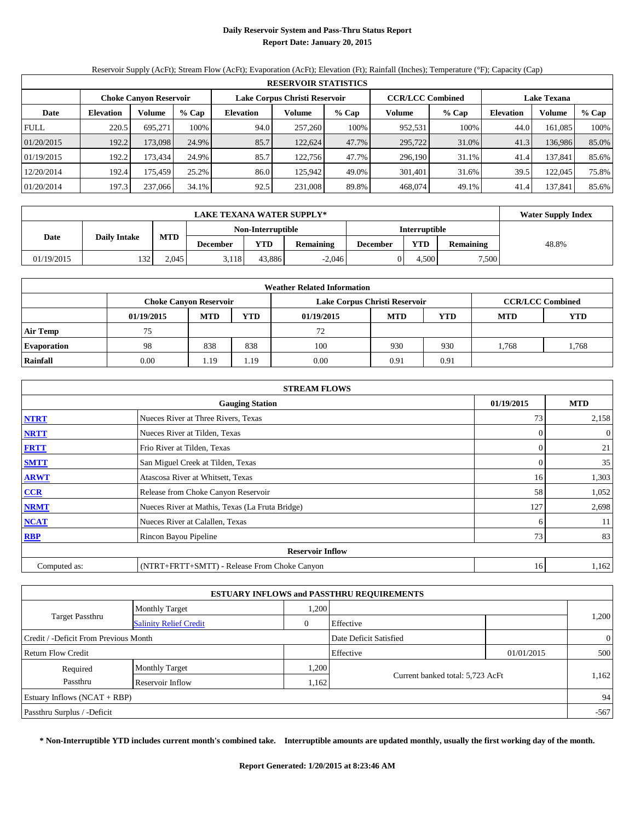## **Daily Reservoir System and Pass-Thru Status Report Report Date: January 20, 2015**

Reservoir Supply (AcFt); Stream Flow (AcFt); Evaporation (AcFt); Elevation (Ft); Rainfall (Inches); Temperature (°F); Capacity (Cap)

|             | <b>RESERVOIR STATISTICS</b> |                               |       |                               |         |       |                         |         |                    |         |       |  |
|-------------|-----------------------------|-------------------------------|-------|-------------------------------|---------|-------|-------------------------|---------|--------------------|---------|-------|--|
|             |                             | <b>Choke Canyon Reservoir</b> |       | Lake Corpus Christi Reservoir |         |       | <b>CCR/LCC Combined</b> |         | <b>Lake Texana</b> |         |       |  |
| Date        | <b>Elevation</b>            | Volume                        | % Cap | <b>Elevation</b>              | Volume  | % Cap | Volume                  | $%$ Cap | <b>Elevation</b>   | Volume  | % Cap |  |
| <b>FULL</b> | 220.5                       | 695.271                       | 100%  | 94.0                          | 257,260 | 100%  | 952,531                 | 100%    | 44.0               | 161.085 | 100%  |  |
| 01/20/2015  | 192.2                       | 173.098                       | 24.9% | 85.7                          | 122.624 | 47.7% | 295,722                 | 31.0%   | 41.3               | 136,986 | 85.0% |  |
| 01/19/2015  | 192.2                       | 173.434                       | 24.9% | 85.7                          | 122.756 | 47.7% | 296,190                 | 31.1%   | 41.4               | 137,841 | 85.6% |  |
| 12/20/2014  | 192.4                       | 175.459                       | 25.2% | 86.0                          | 125.942 | 49.0% | 301.401                 | 31.6%   | 39.5               | 122,045 | 75.8% |  |
| 01/20/2014  | 197.3                       | 237,066                       | 34.1% | 92.5                          | 231,008 | 89.8% | 468,074                 | 49.1%   | 41.4               | 137.841 | 85.6% |  |

|                             | <b>LAKE TEXANA WATER SUPPLY*</b> |            |                 |                   |                  |                 |                      |                  |       |  |  |  |
|-----------------------------|----------------------------------|------------|-----------------|-------------------|------------------|-----------------|----------------------|------------------|-------|--|--|--|
|                             |                                  |            |                 | Non-Interruptible |                  |                 | <b>Interruptible</b> |                  |       |  |  |  |
| <b>Daily Intake</b><br>Date |                                  | <b>MTD</b> | <b>December</b> | YTD               | <b>Remaining</b> | <b>December</b> | <b>YTD</b>           | <b>Remaining</b> | 48.8% |  |  |  |
| 01/19/2015                  | 132                              | 2.045      | 3,118           | 43.886            | $-2.046$         |                 | 4.500                | 7,500            |       |  |  |  |

| <b>Weather Related Information</b> |            |                               |            |                               |            |                         |            |            |  |  |  |  |
|------------------------------------|------------|-------------------------------|------------|-------------------------------|------------|-------------------------|------------|------------|--|--|--|--|
|                                    |            | <b>Choke Canyon Reservoir</b> |            | Lake Corpus Christi Reservoir |            | <b>CCR/LCC Combined</b> |            |            |  |  |  |  |
|                                    | 01/19/2015 | <b>MTD</b>                    | <b>YTD</b> | 01/19/2015                    | <b>MTD</b> | <b>YTD</b>              | <b>MTD</b> | <b>YTD</b> |  |  |  |  |
| <b>Air Temp</b>                    | 75         |                               |            | 72                            |            |                         |            |            |  |  |  |  |
| <b>Evaporation</b>                 | 98         | 838                           | 838        | 100                           | 930        | 930                     | 1,768      | 1,768      |  |  |  |  |
| Rainfall                           | 0.00       | 1.19                          | 1.19       | 0.00                          | 0.91       | 0.91                    |            |            |  |  |  |  |

|              | <b>STREAM FLOWS</b>                             |          |                |  |  |  |  |  |  |
|--------------|-------------------------------------------------|----------|----------------|--|--|--|--|--|--|
|              | <b>Gauging Station</b>                          |          |                |  |  |  |  |  |  |
| <b>NTRT</b>  | Nueces River at Three Rivers, Texas             |          |                |  |  |  |  |  |  |
| <b>NRTT</b>  | Nueces River at Tilden, Texas                   | $\Omega$ | $\overline{0}$ |  |  |  |  |  |  |
| <b>FRTT</b>  | Frio River at Tilden, Texas                     | $\Omega$ | 21             |  |  |  |  |  |  |
| <b>SMTT</b>  | San Miguel Creek at Tilden, Texas               | $\Omega$ | 35             |  |  |  |  |  |  |
| <b>ARWT</b>  | Atascosa River at Whitsett, Texas               | 16       | 1,303          |  |  |  |  |  |  |
| CCR          | Release from Choke Canyon Reservoir             | 58       | 1,052          |  |  |  |  |  |  |
| <b>NRMT</b>  | Nueces River at Mathis, Texas (La Fruta Bridge) | 127      | 2,698          |  |  |  |  |  |  |
| <b>NCAT</b>  | Nueces River at Calallen, Texas                 | 6        | 11             |  |  |  |  |  |  |
| <b>RBP</b>   | Rincon Bayou Pipeline                           | 73       | 83             |  |  |  |  |  |  |
|              | <b>Reservoir Inflow</b>                         |          |                |  |  |  |  |  |  |
| Computed as: | (NTRT+FRTT+SMTT) - Release From Choke Canyon    | 16       | 1,162          |  |  |  |  |  |  |

|                                       |                               |      | <b>ESTUARY INFLOWS and PASSTHRU REQUIREMENTS</b> |            |                |
|---------------------------------------|-------------------------------|------|--------------------------------------------------|------------|----------------|
|                                       | <b>Monthly Target</b>         | ,200 |                                                  |            |                |
| <b>Target Passthru</b>                | <b>Salinity Relief Credit</b> | 0    | Effective                                        |            | 1,200          |
| Credit / -Deficit From Previous Month |                               |      | Date Deficit Satisfied                           |            | $\overline{0}$ |
| Return Flow Credit                    |                               |      | Effective                                        | 01/01/2015 | 500            |
| Required                              | <b>Monthly Target</b>         | ,200 |                                                  |            |                |
| Passthru                              | Reservoir Inflow              | ,162 | Current banked total: 5,723 AcFt                 |            | 1,162          |
| Estuary Inflows $(NCAT + RBP)$        |                               |      |                                                  |            | 94             |
| Passthru Surplus / -Deficit           |                               |      |                                                  |            | $-567$         |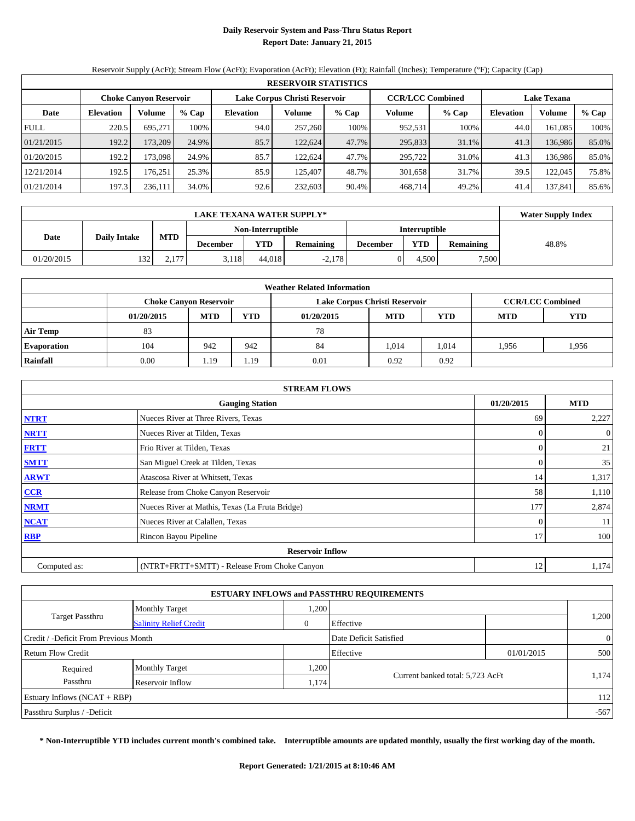## **Daily Reservoir System and Pass-Thru Status Report Report Date: January 21, 2015**

Reservoir Supply (AcFt); Stream Flow (AcFt); Evaporation (AcFt); Elevation (Ft); Rainfall (Inches); Temperature (°F); Capacity (Cap)

|             | <b>RESERVOIR STATISTICS</b> |                               |       |                  |                               |       |                         |         |                    |         |       |  |  |  |  |
|-------------|-----------------------------|-------------------------------|-------|------------------|-------------------------------|-------|-------------------------|---------|--------------------|---------|-------|--|--|--|--|
|             |                             | <b>Choke Canyon Reservoir</b> |       |                  | Lake Corpus Christi Reservoir |       | <b>CCR/LCC Combined</b> |         | <b>Lake Texana</b> |         |       |  |  |  |  |
| Date        | <b>Elevation</b>            | Volume                        | % Cap | <b>Elevation</b> | Volume                        | % Cap | Volume                  | $%$ Cap | <b>Elevation</b>   | Volume  | % Cap |  |  |  |  |
| <b>FULL</b> | 220.5                       | 695.271                       | 100%  | 94.0             | 257,260                       | 100%  | 952,531                 | 100%    | 44.0               | 161.085 | 100%  |  |  |  |  |
| 01/21/2015  | 192.2                       | 173.209                       | 24.9% | 85.7             | 122.624                       | 47.7% | 295,833                 | 31.1%   | 41.3               | 136,986 | 85.0% |  |  |  |  |
| 01/20/2015  | 192.2                       | 173,098                       | 24.9% | 85.7             | 122.624                       | 47.7% | 295.722                 | 31.0%   | 41.3               | 136.986 | 85.0% |  |  |  |  |
| 12/21/2014  | 192.5                       | 176.251                       | 25.3% | 85.9             | 125,407                       | 48.7% | 301,658                 | 31.7%   | 39.5               | 122,045 | 75.8% |  |  |  |  |
| 01/21/2014  | 197.3                       | 236,111                       | 34.0% | 92.6             | 232,603                       | 90.4% | 468.714                 | 49.2%   | 41.4               | 137.841 | 85.6% |  |  |  |  |

|                             | <b>LAKE TEXANA WATER SUPPLY*</b> |                       |                 |                   |                  |                      |       |                  |       |  |  |  |
|-----------------------------|----------------------------------|-----------------------|-----------------|-------------------|------------------|----------------------|-------|------------------|-------|--|--|--|
|                             |                                  |                       |                 | Non-Interruptible |                  | <b>Interruptible</b> |       |                  |       |  |  |  |
| <b>Daily Intake</b><br>Date |                                  | <b>MTD</b>            | <b>December</b> | <b>YTD</b>        | <b>Remaining</b> | <b>December</b>      | YTD   | <b>Remaining</b> | 48.8% |  |  |  |
| 01/20/2015                  | 132                              | 177<br><u>، ، ، ا</u> | 3.118           | 44.018            | $-2.178$         |                      | 4.500 | 7,500            |       |  |  |  |

| <b>Weather Related Information</b> |            |                               |            |                               |            |                         |            |            |  |  |  |  |
|------------------------------------|------------|-------------------------------|------------|-------------------------------|------------|-------------------------|------------|------------|--|--|--|--|
|                                    |            | <b>Choke Canyon Reservoir</b> |            | Lake Corpus Christi Reservoir |            | <b>CCR/LCC Combined</b> |            |            |  |  |  |  |
|                                    | 01/20/2015 | <b>MTD</b>                    | <b>YTD</b> | 01/20/2015                    | <b>MTD</b> | <b>YTD</b>              | <b>MTD</b> | <b>YTD</b> |  |  |  |  |
| <b>Air Temp</b>                    | 83         |                               |            | 78                            |            |                         |            |            |  |  |  |  |
| <b>Evaporation</b>                 | 104        | 942                           | 942        | 84                            | 1,014      | 1,014                   | 1.956      | 1,956      |  |  |  |  |
| Rainfall                           | 0.00       | 1.19                          | 1.19       | 0.01                          | 0.92       | 0.92                    |            |            |  |  |  |  |

|              | <b>STREAM FLOWS</b>                             |            |                |
|--------------|-------------------------------------------------|------------|----------------|
|              | 01/20/2015                                      | <b>MTD</b> |                |
| <b>NTRT</b>  | Nueces River at Three Rivers, Texas             | 69         | 2,227          |
| <b>NRTT</b>  | Nueces River at Tilden, Texas                   | $\Omega$   | $\overline{0}$ |
| <b>FRTT</b>  | Frio River at Tilden, Texas                     | $\Omega$   | 21             |
| <b>SMTT</b>  | San Miguel Creek at Tilden, Texas               | $\theta$   | 35             |
| <b>ARWT</b>  | Atascosa River at Whitsett, Texas               | 14         | 1,317          |
| $CCR$        | Release from Choke Canyon Reservoir             | 58         | 1,110          |
| <b>NRMT</b>  | Nueces River at Mathis, Texas (La Fruta Bridge) | 177        | 2,874          |
| <b>NCAT</b>  | Nueces River at Calallen, Texas                 | $\theta$   | 11             |
| <b>RBP</b>   | Rincon Bayou Pipeline                           | 17         | 100            |
|              | <b>Reservoir Inflow</b>                         |            |                |
| Computed as: | (NTRT+FRTT+SMTT) - Release From Choke Canyon    | 12         | 1,174          |

|                                       |                               |      | <b>ESTUARY INFLOWS and PASSTHRU REQUIREMENTS</b> |            |                |
|---------------------------------------|-------------------------------|------|--------------------------------------------------|------------|----------------|
|                                       | <b>Monthly Target</b>         | ,200 |                                                  |            |                |
| <b>Target Passthru</b>                | <b>Salinity Relief Credit</b> | 0    | Effective                                        |            | 1,200          |
| Credit / -Deficit From Previous Month |                               |      | Date Deficit Satisfied                           |            | $\overline{0}$ |
| Return Flow Credit                    |                               |      | Effective                                        | 01/01/2015 | 500            |
| Required                              | <b>Monthly Target</b>         | .200 |                                                  |            |                |
| Passthru                              | Reservoir Inflow              | 174  | Current banked total: 5,723 AcFt                 |            | 1,174          |
| Estuary Inflows $(NCAT + RBP)$        |                               |      |                                                  |            | 112            |
| Passthru Surplus / -Deficit           |                               |      |                                                  |            | $-567$         |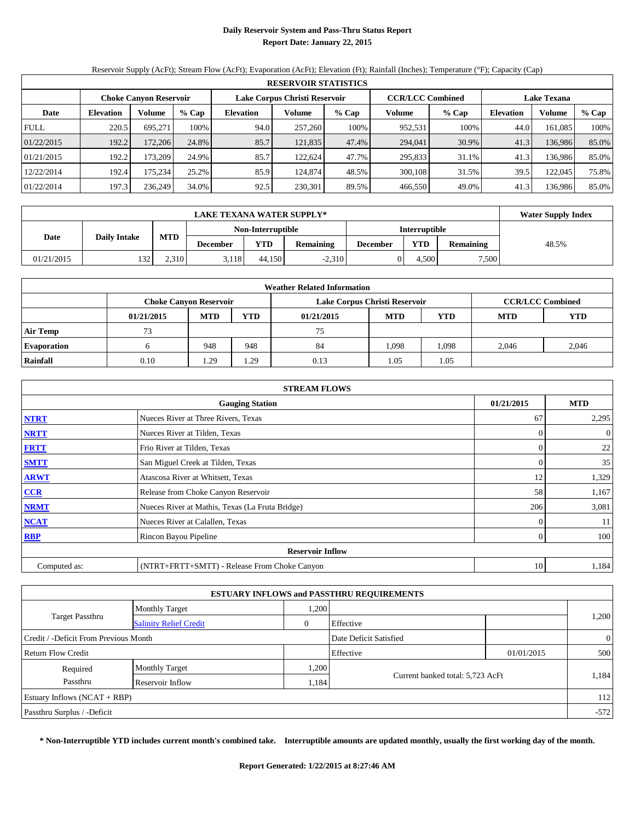## **Daily Reservoir System and Pass-Thru Status Report Report Date: January 22, 2015**

Reservoir Supply (AcFt); Stream Flow (AcFt); Evaporation (AcFt); Elevation (Ft); Rainfall (Inches); Temperature (°F); Capacity (Cap)

|             | <b>RESERVOIR STATISTICS</b> |                               |       |                  |                               |       |                         |         |                    |         |       |  |  |  |  |
|-------------|-----------------------------|-------------------------------|-------|------------------|-------------------------------|-------|-------------------------|---------|--------------------|---------|-------|--|--|--|--|
|             |                             | <b>Choke Canyon Reservoir</b> |       |                  | Lake Corpus Christi Reservoir |       | <b>CCR/LCC Combined</b> |         | <b>Lake Texana</b> |         |       |  |  |  |  |
| Date        | <b>Elevation</b>            | Volume                        | % Cap | <b>Elevation</b> | Volume                        | % Cap | Volume                  | $%$ Cap | <b>Elevation</b>   | Volume  | % Cap |  |  |  |  |
| <b>FULL</b> | 220.5                       | 695.271                       | 100%  | 94.0             | 257,260                       | 100%  | 952,531                 | 100%    | 44.0               | 161.085 | 100%  |  |  |  |  |
| 01/22/2015  | 192.2                       | 172.206                       | 24.8% | 85.7             | 121,835                       | 47.4% | 294,041                 | 30.9%   | 41.3               | 136,986 | 85.0% |  |  |  |  |
| 01/21/2015  | 192.2                       | 173.209                       | 24.9% | 85.7             | 122.624                       | 47.7% | 295,833                 | 31.1%   | 41.3               | 136.986 | 85.0% |  |  |  |  |
| 12/22/2014  | 192.4                       | 175.234                       | 25.2% | 85.9             | 124,874                       | 48.5% | 300,108                 | 31.5%   | 39.5               | 122,045 | 75.8% |  |  |  |  |
| 01/22/2014  | 197.3                       | 236.249                       | 34.0% | 92.5             | 230,301                       | 89.5% | 466,550                 | 49.0%   | 41.3               | 136.986 | 85.0% |  |  |  |  |

|                             | <b>Water Supply Index</b> |            |                   |        |                  |                 |                      |                  |       |
|-----------------------------|---------------------------|------------|-------------------|--------|------------------|-----------------|----------------------|------------------|-------|
|                             |                           |            | Non-Interruptible |        |                  |                 | <b>Interruptible</b> |                  |       |
| <b>Daily Intake</b><br>Date |                           | <b>MTD</b> | <b>December</b>   | YTD    | <b>Remaining</b> | <b>December</b> | <b>YTD</b>           | <b>Remaining</b> | 48.5% |
| 01/21/2015                  | 132                       | 2.310      | 3.118             | 44.150 | $-2,310$         |                 | 4.500                | 7,500            |       |

|                    | <b>Weather Related Information</b> |                               |            |                               |            |                         |            |            |  |  |  |  |  |
|--------------------|------------------------------------|-------------------------------|------------|-------------------------------|------------|-------------------------|------------|------------|--|--|--|--|--|
|                    |                                    | <b>Choke Canyon Reservoir</b> |            | Lake Corpus Christi Reservoir |            | <b>CCR/LCC Combined</b> |            |            |  |  |  |  |  |
|                    | 01/21/2015                         | <b>MTD</b>                    | <b>YTD</b> | 01/21/2015                    | <b>MTD</b> | <b>YTD</b>              | <b>MTD</b> | <b>YTD</b> |  |  |  |  |  |
| <b>Air Temp</b>    | 73                                 |                               |            | 75                            |            |                         |            |            |  |  |  |  |  |
| <b>Evaporation</b> |                                    | 948                           | 948        | 84                            | 1,098      | 1,098                   | 2.046      | 2,046      |  |  |  |  |  |
| Rainfall           | 0.10                               | 1.29                          | 1.29       | 0.13                          | 1.05       | 1.05                    |            |            |  |  |  |  |  |

| <b>STREAM FLOWS</b> |                                                 |            |                  |  |  |  |  |  |  |
|---------------------|-------------------------------------------------|------------|------------------|--|--|--|--|--|--|
|                     | <b>Gauging Station</b>                          | 01/21/2015 | <b>MTD</b>       |  |  |  |  |  |  |
| <b>NTRT</b>         | Nueces River at Three Rivers, Texas             | 67         | 2,295            |  |  |  |  |  |  |
| <b>NRTT</b>         | Nueces River at Tilden, Texas                   | $\Omega$   | $\boldsymbol{0}$ |  |  |  |  |  |  |
| <b>FRTT</b>         | Frio River at Tilden, Texas                     | 0          | 22               |  |  |  |  |  |  |
| <b>SMTT</b>         | San Miguel Creek at Tilden, Texas               | 0          | 35               |  |  |  |  |  |  |
| <b>ARWT</b>         | Atascosa River at Whitsett, Texas               | 12         | 1,329            |  |  |  |  |  |  |
| $CCR$               | Release from Choke Canyon Reservoir             | 58         | 1,167            |  |  |  |  |  |  |
| <b>NRMT</b>         | Nueces River at Mathis, Texas (La Fruta Bridge) | 206        | 3,081            |  |  |  |  |  |  |
| <b>NCAT</b>         | Nueces River at Calallen, Texas                 | 0          | 11               |  |  |  |  |  |  |
| <b>RBP</b>          | Rincon Bayou Pipeline                           | $\Omega$   | 100              |  |  |  |  |  |  |
|                     | <b>Reservoir Inflow</b>                         |            |                  |  |  |  |  |  |  |
| Computed as:        | (NTRT+FRTT+SMTT) - Release From Choke Canyon    | 10         | 1,184            |  |  |  |  |  |  |

| <b>ESTUARY INFLOWS and PASSTHRU REQUIREMENTS</b> |                               |       |                                  |            |                |  |  |  |  |  |
|--------------------------------------------------|-------------------------------|-------|----------------------------------|------------|----------------|--|--|--|--|--|
|                                                  | <b>Monthly Target</b>         | ,200  |                                  |            |                |  |  |  |  |  |
| <b>Target Passthru</b>                           | <b>Salinity Relief Credit</b> | 0     | Effective                        |            | 1,200          |  |  |  |  |  |
| Credit / -Deficit From Previous Month            |                               |       | Date Deficit Satisfied           |            | $\overline{0}$ |  |  |  |  |  |
| <b>Return Flow Credit</b>                        |                               |       | Effective                        | 01/01/2015 | 500            |  |  |  |  |  |
| Required                                         | <b>Monthly Target</b>         | 0.200 |                                  |            |                |  |  |  |  |  |
| Passthru                                         | Reservoir Inflow              | 1,184 | Current banked total: 5,723 AcFt |            | 1,184          |  |  |  |  |  |
| Estuary Inflows $(NCAT + RBP)$                   |                               |       |                                  |            | 112            |  |  |  |  |  |
| Passthru Surplus / -Deficit                      |                               |       |                                  |            | $-572$         |  |  |  |  |  |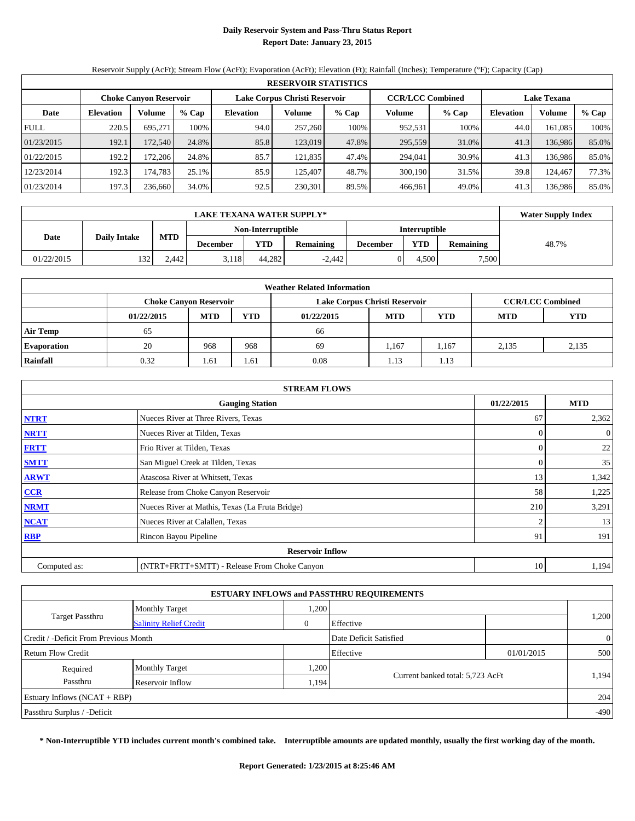## **Daily Reservoir System and Pass-Thru Status Report Report Date: January 23, 2015**

Reservoir Supply (AcFt); Stream Flow (AcFt); Evaporation (AcFt); Elevation (Ft); Rainfall (Inches); Temperature (°F); Capacity (Cap)

|             | <b>RESERVOIR STATISTICS</b>   |         |       |                               |         |       |                         |         |                    |         |       |  |  |
|-------------|-------------------------------|---------|-------|-------------------------------|---------|-------|-------------------------|---------|--------------------|---------|-------|--|--|
|             | <b>Choke Canyon Reservoir</b> |         |       | Lake Corpus Christi Reservoir |         |       | <b>CCR/LCC Combined</b> |         | <b>Lake Texana</b> |         |       |  |  |
| Date        | <b>Elevation</b>              | Volume  | % Cap | <b>Elevation</b>              | Volume  | % Cap | Volume                  | $%$ Cap | <b>Elevation</b>   | Volume  | % Cap |  |  |
| <b>FULL</b> | 220.5                         | 695.271 | 100%  | 94.0                          | 257,260 | 100%  | 952,531                 | 100%    | 44.0               | 161.085 | 100%  |  |  |
| 01/23/2015  | 192.1                         | 172.540 | 24.8% | 85.8                          | 123,019 | 47.8% | 295,559                 | 31.0%   | 41.3               | 136,986 | 85.0% |  |  |
| 01/22/2015  | 192.2                         | 172.206 | 24.8% | 85.7                          | 121.835 | 47.4% | 294,041                 | 30.9%   | 41.3               | 136.986 | 85.0% |  |  |
| 12/23/2014  | 192.3                         | 174.783 | 25.1% | 85.9                          | 125,407 | 48.7% | 300,190                 | 31.5%   | 39.8               | 124.467 | 77.3% |  |  |
| 01/23/2014  | 197.3                         | 236,660 | 34.0% | 92.5                          | 230,301 | 89.5% | 466.961                 | 49.0%   | 41.3               | 136.986 | 85.0% |  |  |

|            | <b>Water Supply Index</b> |            |                 |                   |                  |                 |                      |                  |       |
|------------|---------------------------|------------|-----------------|-------------------|------------------|-----------------|----------------------|------------------|-------|
|            |                           |            |                 | Non-Interruptible |                  |                 | <b>Interruptible</b> |                  |       |
| Date       | <b>Daily Intake</b>       | <b>MTD</b> | <b>December</b> | YTD               | <b>Remaining</b> | <b>December</b> | YTD                  | <b>Remaining</b> | 48.7% |
| 01/22/2015 | 132                       | 2.442      | 3.118           | 44.282            | $-2.442$         |                 | 4.500                | 7,500            |       |

| <b>Weather Related Information</b> |                                                      |                               |      |                               |            |                         |            |            |  |  |  |
|------------------------------------|------------------------------------------------------|-------------------------------|------|-------------------------------|------------|-------------------------|------------|------------|--|--|--|
|                                    |                                                      | <b>Choke Canyon Reservoir</b> |      | Lake Corpus Christi Reservoir |            | <b>CCR/LCC Combined</b> |            |            |  |  |  |
|                                    | <b>YTD</b><br><b>MTD</b><br>01/22/2015<br>01/22/2015 |                               |      |                               | <b>MTD</b> | <b>YTD</b>              | <b>MTD</b> | <b>YTD</b> |  |  |  |
| <b>Air Temp</b>                    | 65                                                   |                               |      | 66                            |            |                         |            |            |  |  |  |
| <b>Evaporation</b>                 | 20                                                   | 968                           | 968  | 69                            | 1,167      | 1,167                   | 2,135      | 2,135      |  |  |  |
| Rainfall                           | 0.32                                                 | 1.61                          | 1.61 | 0.08                          | 1.13       | 1.13                    |            |            |  |  |  |

| <b>STREAM FLOWS</b>     |                                                 |            |                  |  |  |  |  |  |  |
|-------------------------|-------------------------------------------------|------------|------------------|--|--|--|--|--|--|
|                         | <b>Gauging Station</b>                          | 01/22/2015 | <b>MTD</b>       |  |  |  |  |  |  |
| <b>NTRT</b>             | Nueces River at Three Rivers, Texas             | 67         | 2,362            |  |  |  |  |  |  |
| <b>NRTT</b>             | Nueces River at Tilden, Texas                   | $\Omega$   | $\boldsymbol{0}$ |  |  |  |  |  |  |
| <b>FRTT</b>             | Frio River at Tilden, Texas                     | 0          | 22               |  |  |  |  |  |  |
| <b>SMTT</b>             | San Miguel Creek at Tilden, Texas               | 0          | 35               |  |  |  |  |  |  |
| <b>ARWT</b>             | Atascosa River at Whitsett, Texas               | 13         | 1,342            |  |  |  |  |  |  |
| $CCR$                   | Release from Choke Canyon Reservoir             | 58         | 1,225            |  |  |  |  |  |  |
| <b>NRMT</b>             | Nueces River at Mathis, Texas (La Fruta Bridge) | 210        | 3,291            |  |  |  |  |  |  |
| <b>NCAT</b>             | Nueces River at Calallen, Texas                 |            | 13               |  |  |  |  |  |  |
| <b>RBP</b>              | Rincon Bayou Pipeline                           | 91         | 191              |  |  |  |  |  |  |
| <b>Reservoir Inflow</b> |                                                 |            |                  |  |  |  |  |  |  |
| Computed as:            | (NTRT+FRTT+SMTT) - Release From Choke Canyon    | 10         | 1,194            |  |  |  |  |  |  |

| <b>ESTUARY INFLOWS and PASSTHRU REQUIREMENTS</b> |                               |       |                                  |            |                |  |  |  |  |  |
|--------------------------------------------------|-------------------------------|-------|----------------------------------|------------|----------------|--|--|--|--|--|
|                                                  | <b>Monthly Target</b>         | ,200  |                                  |            |                |  |  |  |  |  |
| <b>Target Passthru</b>                           | <b>Salinity Relief Credit</b> | 0     | Effective                        |            | 1,200          |  |  |  |  |  |
| Credit / -Deficit From Previous Month            |                               |       | Date Deficit Satisfied           |            | $\overline{0}$ |  |  |  |  |  |
| <b>Return Flow Credit</b>                        |                               |       | Effective                        | 01/01/2015 | 500            |  |  |  |  |  |
| Required                                         | <b>Monthly Target</b>         | 0.200 |                                  |            |                |  |  |  |  |  |
| Passthru                                         | Reservoir Inflow              | 1,194 | Current banked total: 5,723 AcFt |            | 1,194          |  |  |  |  |  |
| Estuary Inflows $(NCAT + RBP)$                   |                               |       |                                  |            | 204            |  |  |  |  |  |
| Passthru Surplus / -Deficit                      |                               |       |                                  |            | $-490$         |  |  |  |  |  |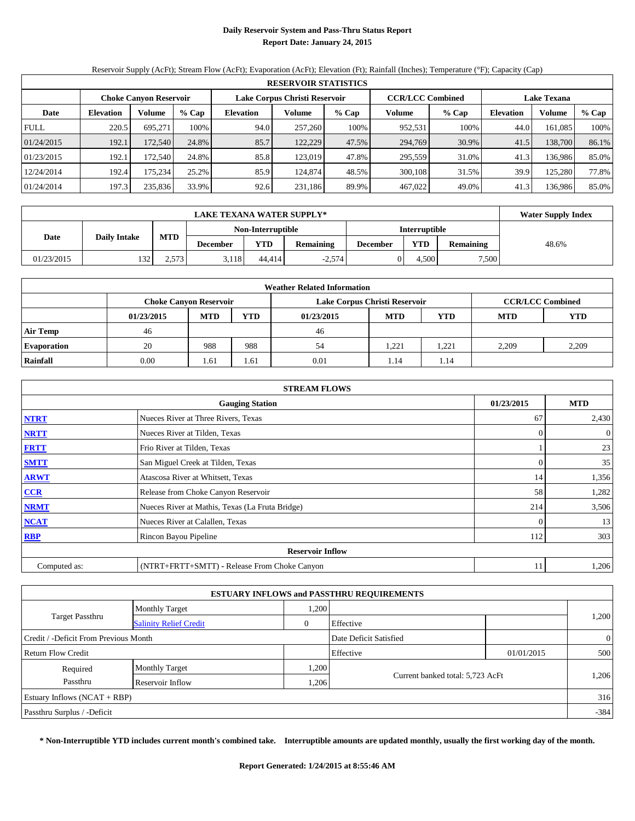## **Daily Reservoir System and Pass-Thru Status Report Report Date: January 24, 2015**

Reservoir Supply (AcFt); Stream Flow (AcFt); Evaporation (AcFt); Elevation (Ft); Rainfall (Inches); Temperature (°F); Capacity (Cap)

|             | <b>RESERVOIR STATISTICS</b>   |         |       |                               |         |       |                         |         |                    |         |       |  |  |
|-------------|-------------------------------|---------|-------|-------------------------------|---------|-------|-------------------------|---------|--------------------|---------|-------|--|--|
|             | <b>Choke Canyon Reservoir</b> |         |       | Lake Corpus Christi Reservoir |         |       | <b>CCR/LCC Combined</b> |         | <b>Lake Texana</b> |         |       |  |  |
| Date        | <b>Elevation</b>              | Volume  | % Cap | <b>Elevation</b>              | Volume  | % Cap | Volume                  | $%$ Cap | <b>Elevation</b>   | Volume  | % Cap |  |  |
| <b>FULL</b> | 220.5                         | 695.271 | 100%  | 94.0                          | 257,260 | 100%  | 952,531                 | 100%    | 44.0               | 161.085 | 100%  |  |  |
| 01/24/2015  | 192.1                         | 172.540 | 24.8% | 85.7                          | 122,229 | 47.5% | 294,769                 | 30.9%   | 41.5               | 138,700 | 86.1% |  |  |
| 01/23/2015  | 192.1                         | 172.540 | 24.8% | 85.8                          | 123,019 | 47.8% | 295,559                 | 31.0%   | 41.3               | 136.986 | 85.0% |  |  |
| 12/24/2014  | 192.4                         | 175.234 | 25.2% | 85.9                          | 124,874 | 48.5% | 300,108                 | 31.5%   | 39.9               | 125.280 | 77.8% |  |  |
| 01/24/2014  | 197.3                         | 235,836 | 33.9% | 92.6                          | 231.186 | 89.9% | 467,022                 | 49.0%   | 41.3               | 136,986 | 85.0% |  |  |

|            | <b>Water Supply Index</b> |            |                 |                   |                  |                 |                      |                  |       |
|------------|---------------------------|------------|-----------------|-------------------|------------------|-----------------|----------------------|------------------|-------|
|            |                           |            |                 | Non-Interruptible |                  |                 | <b>Interruptible</b> |                  |       |
| Date       | <b>Daily Intake</b>       | <b>MTD</b> | <b>December</b> | YTD               | <b>Remaining</b> | <b>December</b> | <b>YTD</b>           | <b>Remaining</b> | 48.6% |
| 01/23/2015 | 132                       | 2,573      | 3,118           | 44.414            | $-2,574$         |                 | 4.500                | 7,500            |       |

| <b>Weather Related Information</b> |            |                                                                    |      |                               |       |                         |            |            |  |  |  |
|------------------------------------|------------|--------------------------------------------------------------------|------|-------------------------------|-------|-------------------------|------------|------------|--|--|--|
|                                    |            | <b>Choke Canyon Reservoir</b>                                      |      | Lake Corpus Christi Reservoir |       | <b>CCR/LCC Combined</b> |            |            |  |  |  |
|                                    | 01/23/2015 | <b>YTD</b><br><b>MTD</b><br><b>YTD</b><br><b>MTD</b><br>01/23/2015 |      |                               |       |                         | <b>MTD</b> | <b>YTD</b> |  |  |  |
| <b>Air Temp</b>                    | 46         |                                                                    |      | 46                            |       |                         |            |            |  |  |  |
| <b>Evaporation</b>                 | 20         | 988                                                                | 988  | 54                            | 1,221 | 1,221                   | 2.209      | 2,209      |  |  |  |
| Rainfall                           | 0.00       | 1.61                                                               | 1.61 | 0.01                          | 1.14  | 1.14                    |            |            |  |  |  |

| <b>STREAM FLOWS</b>     |                                                 |            |                  |  |  |  |  |  |  |  |
|-------------------------|-------------------------------------------------|------------|------------------|--|--|--|--|--|--|--|
|                         | <b>Gauging Station</b>                          | 01/23/2015 | <b>MTD</b>       |  |  |  |  |  |  |  |
| <b>NTRT</b>             | Nueces River at Three Rivers, Texas             | 67         | 2,430            |  |  |  |  |  |  |  |
| <b>NRTT</b>             | Nueces River at Tilden, Texas                   | $\Omega$   | $\boldsymbol{0}$ |  |  |  |  |  |  |  |
| <b>FRTT</b>             | Frio River at Tilden, Texas                     |            | 23               |  |  |  |  |  |  |  |
| <b>SMTT</b>             | San Miguel Creek at Tilden, Texas               | 0          | 35               |  |  |  |  |  |  |  |
| <b>ARWT</b>             | Atascosa River at Whitsett, Texas               | 14         | 1,356            |  |  |  |  |  |  |  |
| $CCR$                   | Release from Choke Canyon Reservoir             | 58         | 1,282            |  |  |  |  |  |  |  |
| <b>NRMT</b>             | Nueces River at Mathis, Texas (La Fruta Bridge) | 214        | 3,506            |  |  |  |  |  |  |  |
| <b>NCAT</b>             | Nueces River at Calallen, Texas                 | $\Omega$   | 13               |  |  |  |  |  |  |  |
| <b>RBP</b>              | Rincon Bayou Pipeline                           | 112        | 303              |  |  |  |  |  |  |  |
| <b>Reservoir Inflow</b> |                                                 |            |                  |  |  |  |  |  |  |  |
| Computed as:            | (NTRT+FRTT+SMTT) - Release From Choke Canyon    | 11         | 1,206            |  |  |  |  |  |  |  |

| <b>ESTUARY INFLOWS and PASSTHRU REQUIREMENTS</b> |                               |       |                                  |            |                |  |  |  |  |  |
|--------------------------------------------------|-------------------------------|-------|----------------------------------|------------|----------------|--|--|--|--|--|
|                                                  | <b>Monthly Target</b>         | ,200  |                                  |            |                |  |  |  |  |  |
| <b>Target Passthru</b>                           | <b>Salinity Relief Credit</b> | 0     | Effective                        |            | 1,200          |  |  |  |  |  |
| Credit / -Deficit From Previous Month            |                               |       | Date Deficit Satisfied           |            | $\overline{0}$ |  |  |  |  |  |
| <b>Return Flow Credit</b>                        |                               |       | Effective                        | 01/01/2015 | 500            |  |  |  |  |  |
| Required                                         | <b>Monthly Target</b>         | 0.200 |                                  |            |                |  |  |  |  |  |
| Passthru                                         | Reservoir Inflow              | ,206  | Current banked total: 5,723 AcFt |            | 1,206          |  |  |  |  |  |
| Estuary Inflows $(NCAT + RBP)$                   |                               |       |                                  |            | 316            |  |  |  |  |  |
| Passthru Surplus / -Deficit                      |                               |       |                                  |            | $-384$         |  |  |  |  |  |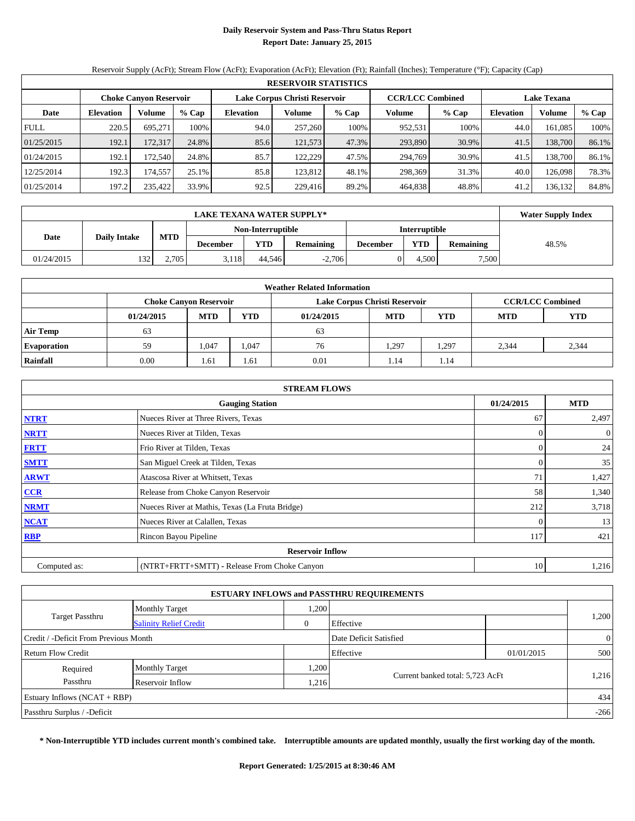## **Daily Reservoir System and Pass-Thru Status Report Report Date: January 25, 2015**

Reservoir Supply (AcFt); Stream Flow (AcFt); Evaporation (AcFt); Elevation (Ft); Rainfall (Inches); Temperature (°F); Capacity (Cap)

| <b>RESERVOIR STATISTICS</b> |                            |                               |         |                               |         |       |                         |       |                    |         |       |
|-----------------------------|----------------------------|-------------------------------|---------|-------------------------------|---------|-------|-------------------------|-------|--------------------|---------|-------|
|                             |                            | <b>Choke Canyon Reservoir</b> |         | Lake Corpus Christi Reservoir |         |       | <b>CCR/LCC Combined</b> |       | <b>Lake Texana</b> |         |       |
| Date                        | Volume<br><b>Elevation</b> |                               | $%$ Cap | <b>Elevation</b>              | Volume  | % Cap | Volume<br>% Cap         |       | <b>Elevation</b>   | Volume  | % Cap |
| <b>FULL</b>                 | 220.5                      | 695.271                       | 100%    | 94.0                          | 257,260 | 100%  | 952,531                 | 100%  | 44.0               | 161.085 | 100%  |
| 01/25/2015                  | 192.1                      | 172,317                       | 24.8%   | 85.6                          | 121,573 | 47.3% | 293,890                 | 30.9% | 41.5               | 138,700 | 86.1% |
| 01/24/2015                  | 192.1                      | 172.540                       | 24.8%   | 85.7                          | 122.229 | 47.5% | 294,769                 | 30.9% | 41.5               | 138.700 | 86.1% |
| 12/25/2014                  | 192.3                      | 174.5571                      | 25.1%   | 85.8                          | 123.812 | 48.1% | 298,369                 | 31.3% | 40.0               | 126,098 | 78.3% |
| 01/25/2014                  | 197.2                      | 235,422                       | 33.9%   | 92.5                          | 229,416 | 89.2% | 464,838                 | 48.8% | 41.2               | 136.132 | 84.8% |

|            | <b>LAKE TEXANA WATER SUPPLY*</b> |            |          |                   |                  |                 |               |                  |       |  |  |  |
|------------|----------------------------------|------------|----------|-------------------|------------------|-----------------|---------------|------------------|-------|--|--|--|
|            |                                  |            |          | Non-Interruptible |                  |                 | Interruptible |                  |       |  |  |  |
| Date       | <b>Daily Intake</b>              | <b>MTD</b> | December | <b>YTD</b>        | <b>Remaining</b> | <b>December</b> | YTD           | <b>Remaining</b> | 48.5% |  |  |  |
| 01/24/2015 | 132                              | 2.705      | 3,118    | 44.546            | $-2,706$         |                 | 4.500         | 7,500            |       |  |  |  |

| <b>Weather Related Information</b>                       |            |                               |            |                               |            |                         |       |       |  |  |  |  |
|----------------------------------------------------------|------------|-------------------------------|------------|-------------------------------|------------|-------------------------|-------|-------|--|--|--|--|
|                                                          |            | <b>Choke Canyon Reservoir</b> |            | Lake Corpus Christi Reservoir |            | <b>CCR/LCC Combined</b> |       |       |  |  |  |  |
|                                                          | 01/24/2015 | <b>MTD</b>                    | <b>YTD</b> | 01/24/2015                    | <b>MTD</b> | <b>YTD</b>              |       |       |  |  |  |  |
| <b>Air Temp</b>                                          | 63         |                               |            | 63                            |            |                         |       |       |  |  |  |  |
| <b>Evaporation</b>                                       | 59         | 1,047                         | 1,047      | 76                            | 1,297      | 1,297                   | 2.344 | 2,344 |  |  |  |  |
| Rainfall<br>0.01<br>0.00<br>1.14<br>1.61<br>1.61<br>1.14 |            |                               |            |                               |            |                         |       |       |  |  |  |  |

| <b>STREAM FLOWS</b>                                |                                                 |          |                |  |  |  |  |  |  |
|----------------------------------------------------|-------------------------------------------------|----------|----------------|--|--|--|--|--|--|
| 01/24/2015<br><b>MTD</b><br><b>Gauging Station</b> |                                                 |          |                |  |  |  |  |  |  |
| <b>NTRT</b>                                        | Nueces River at Three Rivers, Texas             | 67       | 2,497          |  |  |  |  |  |  |
| <b>NRTT</b>                                        | Nueces River at Tilden, Texas                   | $\Omega$ | $\overline{0}$ |  |  |  |  |  |  |
| <b>FRTT</b>                                        | Frio River at Tilden, Texas                     | $\Omega$ | 24             |  |  |  |  |  |  |
| <b>SMTT</b>                                        | San Miguel Creek at Tilden, Texas               | $\theta$ | 35             |  |  |  |  |  |  |
| <b>ARWT</b>                                        | Atascosa River at Whitsett, Texas               | 71       | 1,427          |  |  |  |  |  |  |
| $CCR$                                              | Release from Choke Canyon Reservoir             | 58       | 1,340          |  |  |  |  |  |  |
| <b>NRMT</b>                                        | Nueces River at Mathis, Texas (La Fruta Bridge) | 212      | 3,718          |  |  |  |  |  |  |
| <b>NCAT</b>                                        | Nueces River at Calallen, Texas                 | $\theta$ | 13             |  |  |  |  |  |  |
| <b>RBP</b>                                         | Rincon Bayou Pipeline                           | 117      | 421            |  |  |  |  |  |  |
|                                                    | <b>Reservoir Inflow</b>                         |          |                |  |  |  |  |  |  |
| Computed as:                                       | (NTRT+FRTT+SMTT) - Release From Choke Canyon    | 10       | 1,216          |  |  |  |  |  |  |

| <b>ESTUARY INFLOWS and PASSTHRU REQUIREMENTS</b>                |                               |      |                                  |  |       |  |  |  |  |  |
|-----------------------------------------------------------------|-------------------------------|------|----------------------------------|--|-------|--|--|--|--|--|
|                                                                 | <b>Monthly Target</b>         | ,200 |                                  |  |       |  |  |  |  |  |
| <b>Target Passthru</b>                                          | <b>Salinity Relief Credit</b> | 0    | Effective                        |  | 1,200 |  |  |  |  |  |
| Credit / -Deficit From Previous Month<br>Date Deficit Satisfied |                               |      |                                  |  |       |  |  |  |  |  |
| Effective<br>Return Flow Credit<br>01/01/2015                   |                               |      |                                  |  |       |  |  |  |  |  |
| Required                                                        | <b>Monthly Target</b>         | .200 |                                  |  |       |  |  |  |  |  |
| Passthru                                                        | Reservoir Inflow              | ,216 | Current banked total: 5,723 AcFt |  | 1,216 |  |  |  |  |  |
| Estuary Inflows $(NCAT + RBP)$                                  |                               |      |                                  |  |       |  |  |  |  |  |
| Passthru Surplus / -Deficit                                     |                               |      |                                  |  |       |  |  |  |  |  |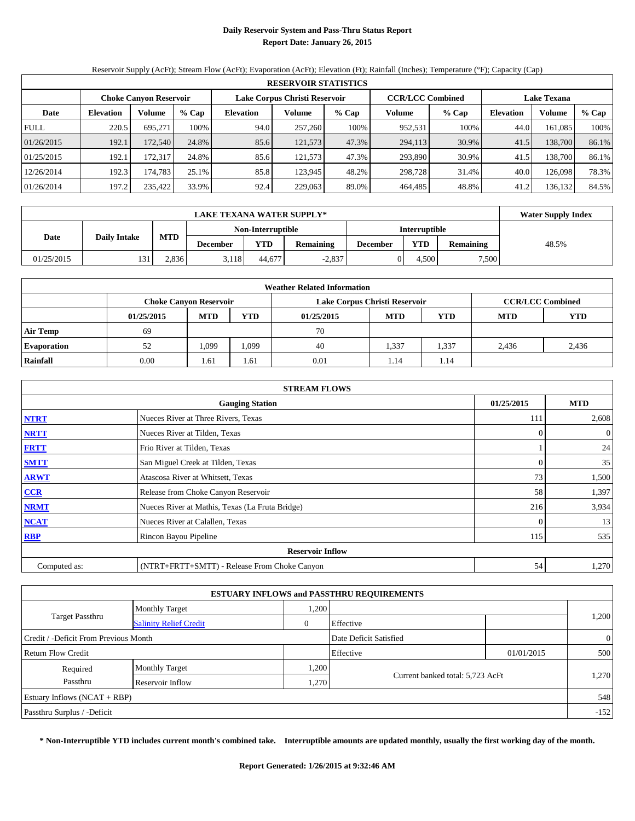## **Daily Reservoir System and Pass-Thru Status Report Report Date: January 26, 2015**

Reservoir Supply (AcFt); Stream Flow (AcFt); Evaporation (AcFt); Elevation (Ft); Rainfall (Inches); Temperature (°F); Capacity (Cap)

| <b>RESERVOIR STATISTICS</b> |                            |                               |       |                  |                               |       |                   |                         |                    |         |       |
|-----------------------------|----------------------------|-------------------------------|-------|------------------|-------------------------------|-------|-------------------|-------------------------|--------------------|---------|-------|
|                             |                            | <b>Choke Canyon Reservoir</b> |       |                  | Lake Corpus Christi Reservoir |       |                   | <b>CCR/LCC Combined</b> | <b>Lake Texana</b> |         |       |
| Date                        | Volume<br><b>Elevation</b> |                               | % Cap | <b>Elevation</b> | Volume                        | % Cap | Volume<br>$%$ Cap |                         | <b>Elevation</b>   | Volume  | % Cap |
| <b>FULL</b>                 | 220.5                      | 695.271                       | 100%  | 94.0             | 257,260                       | 100%  | 952,531           | 100%                    | 44.0               | 161.085 | 100%  |
| 01/26/2015                  | 192.1                      | 172.540                       | 24.8% | 85.6             | 121,573                       | 47.3% | 294,113           | 30.9%                   | 41.5               | 138,700 | 86.1% |
| 01/25/2015                  | 192.1                      | 172.317                       | 24.8% | 85.6             | 121.573                       | 47.3% | 293,890           | 30.9%                   | 41.5               | 138.700 | 86.1% |
| 12/26/2014                  | 192.3                      | 174.783                       | 25.1% | 85.8             | 123.945                       | 48.2% | 298,728           | 31.4%                   | 40.0               | 126,098 | 78.3% |
| 01/26/2014                  | 197.2                      | 235,422                       | 33.9% | 92.4             | 229,063                       | 89.0% | 464,485           | 48.8%                   | 41.2               | 136.132 | 84.5% |

|            | <b>LAKE TEXANA WATER SUPPLY*</b>          |       |                 |                   |                  |                 |                      |                  |       |  |  |
|------------|-------------------------------------------|-------|-----------------|-------------------|------------------|-----------------|----------------------|------------------|-------|--|--|
|            |                                           |       |                 | Non-Interruptible |                  |                 | <b>Interruptible</b> |                  |       |  |  |
|            | <b>MTD</b><br><b>Daily Intake</b><br>Date |       | <b>December</b> | YTD               | <b>Remaining</b> | <b>December</b> | YTD                  | <b>Remaining</b> | 48.5% |  |  |
| 01/25/2015 | 131                                       | 2.836 | 3.118           | 44.677            | $-2,837$         |                 | 4.500                | 7,500            |       |  |  |

| <b>Weather Related Information</b> |                                                      |                               |            |                               |            |                         |  |       |  |  |  |
|------------------------------------|------------------------------------------------------|-------------------------------|------------|-------------------------------|------------|-------------------------|--|-------|--|--|--|
|                                    |                                                      | <b>Choke Canyon Reservoir</b> |            | Lake Corpus Christi Reservoir |            | <b>CCR/LCC Combined</b> |  |       |  |  |  |
|                                    | 01/25/2015                                           | <b>MTD</b>                    | <b>YTD</b> | 01/25/2015                    | <b>YTD</b> |                         |  |       |  |  |  |
| <b>Air Temp</b>                    | 69                                                   |                               |            | 70                            |            |                         |  |       |  |  |  |
| <b>Evaporation</b>                 | 1,337<br>.099<br>1.337<br>2.436<br>1,099<br>40<br>52 |                               |            |                               |            |                         |  | 2,436 |  |  |  |
| Rainfall                           | 0.01<br>0.00<br>1.61<br>1.14<br>.61<br>1.14          |                               |            |                               |            |                         |  |       |  |  |  |

| <b>STREAM FLOWS</b>                                |                                                 |          |                  |  |  |  |  |  |  |
|----------------------------------------------------|-------------------------------------------------|----------|------------------|--|--|--|--|--|--|
| <b>MTD</b><br>01/25/2015<br><b>Gauging Station</b> |                                                 |          |                  |  |  |  |  |  |  |
| <b>NTRT</b>                                        | Nueces River at Three Rivers, Texas             | 111      | 2,608            |  |  |  |  |  |  |
| <b>NRTT</b>                                        | Nueces River at Tilden, Texas                   | $\Omega$ | $\boldsymbol{0}$ |  |  |  |  |  |  |
| <b>FRTT</b>                                        | Frio River at Tilden, Texas                     |          | 24               |  |  |  |  |  |  |
| <b>SMTT</b>                                        | San Miguel Creek at Tilden, Texas               | 0        | 35               |  |  |  |  |  |  |
| <b>ARWT</b>                                        | Atascosa River at Whitsett, Texas               | 73       | 1,500            |  |  |  |  |  |  |
| $CCR$                                              | Release from Choke Canyon Reservoir             | 58       | 1,397            |  |  |  |  |  |  |
| <b>NRMT</b>                                        | Nueces River at Mathis, Texas (La Fruta Bridge) | 216      | 3,934            |  |  |  |  |  |  |
| <b>NCAT</b>                                        | Nueces River at Calallen, Texas                 | $\Omega$ | 13               |  |  |  |  |  |  |
| <b>RBP</b>                                         | Rincon Bayou Pipeline                           | 115      | 535              |  |  |  |  |  |  |
|                                                    | <b>Reservoir Inflow</b>                         |          |                  |  |  |  |  |  |  |
| Computed as:                                       | (NTRT+FRTT+SMTT) - Release From Choke Canyon    | 54       | 1,270            |  |  |  |  |  |  |

| <b>ESTUARY INFLOWS and PASSTHRU REQUIREMENTS</b>                |                               |       |                                  |  |       |  |  |  |  |
|-----------------------------------------------------------------|-------------------------------|-------|----------------------------------|--|-------|--|--|--|--|
|                                                                 | <b>Monthly Target</b>         | ,200  |                                  |  |       |  |  |  |  |
| <b>Target Passthru</b>                                          | <b>Salinity Relief Credit</b> | 0     | Effective                        |  | 1,200 |  |  |  |  |
| Credit / -Deficit From Previous Month<br>Date Deficit Satisfied |                               |       |                                  |  |       |  |  |  |  |
| <b>Return Flow Credit</b><br>Effective<br>01/01/2015            |                               |       |                                  |  |       |  |  |  |  |
| Required                                                        | <b>Monthly Target</b>         | 0.200 |                                  |  |       |  |  |  |  |
| Passthru                                                        | Reservoir Inflow              | ,270  | Current banked total: 5,723 AcFt |  | 1,270 |  |  |  |  |
| Estuary Inflows $(NCAT + RBP)$                                  |                               |       |                                  |  |       |  |  |  |  |
| Passthru Surplus / -Deficit                                     |                               |       |                                  |  |       |  |  |  |  |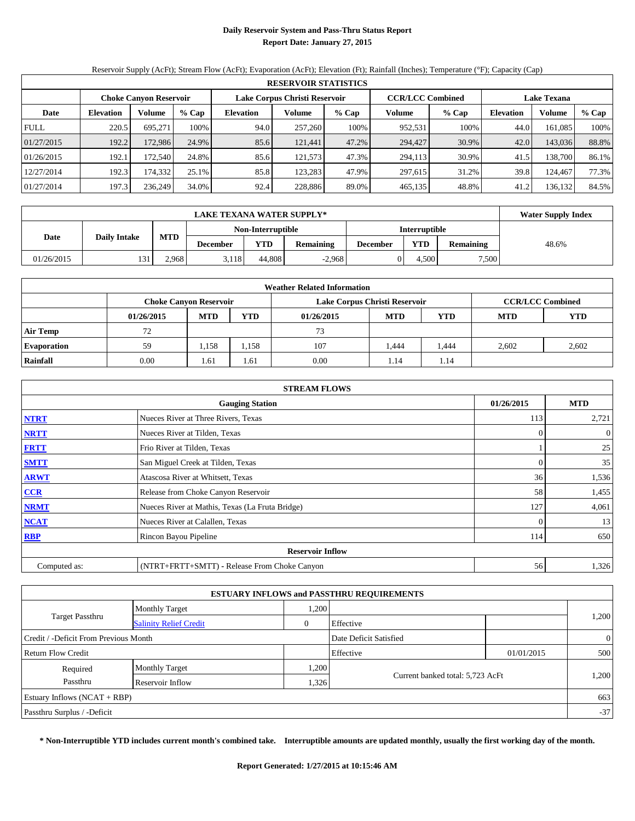## **Daily Reservoir System and Pass-Thru Status Report Report Date: January 27, 2015**

Reservoir Supply (AcFt); Stream Flow (AcFt); Evaporation (AcFt); Elevation (Ft); Rainfall (Inches); Temperature (°F); Capacity (Cap)

| <b>RESERVOIR STATISTICS</b> |                            |                               |       |                               |         |         |                         |       |                    |         |       |
|-----------------------------|----------------------------|-------------------------------|-------|-------------------------------|---------|---------|-------------------------|-------|--------------------|---------|-------|
|                             |                            | <b>Choke Canyon Reservoir</b> |       | Lake Corpus Christi Reservoir |         |         | <b>CCR/LCC Combined</b> |       | <b>Lake Texana</b> |         |       |
| Date                        | Volume<br><b>Elevation</b> |                               | % Cap | <b>Elevation</b>              | Volume  | $%$ Cap | Volume<br>$%$ Cap       |       | <b>Elevation</b>   | Volume  | % Cap |
| <b>FULL</b>                 | 220.5                      | 695.271                       | 100%  | 94.0                          | 257,260 | 100%    | 952,531                 | 100%  | 44.0               | 161.085 | 100%  |
| 01/27/2015                  | 192.2                      | 172.986                       | 24.9% | 85.6                          | 121,441 | 47.2%   | 294,427                 | 30.9% | 42.0               | 143,036 | 88.8% |
| 01/26/2015                  | 192.1                      | 172.540                       | 24.8% | 85.6                          | 121,573 | 47.3%   | 294,113                 | 30.9% | 41.5               | 138.700 | 86.1% |
| 12/27/2014                  | 192.3                      | 174,332                       | 25.1% | 85.8                          | 123.283 | 47.9%   | 297,615                 | 31.2% | 39.8               | 124,467 | 77.3% |
| 01/27/2014                  | 197.3                      | 236,249                       | 34.0% | 92.4                          | 228,886 | 89.0%   | 465,135                 | 48.8% | 41.2               | 136.132 | 84.5% |

|            | <b>LAKE TEXANA WATER SUPPLY*</b> |            |                 |                   |                  |                 |                      |                  |       |  |  |
|------------|----------------------------------|------------|-----------------|-------------------|------------------|-----------------|----------------------|------------------|-------|--|--|
|            |                                  | <b>MTD</b> |                 | Non-Interruptible |                  |                 | <b>Interruptible</b> |                  |       |  |  |
|            | <b>Daily Intake</b><br>Date      |            | <b>December</b> | YTD               | <b>Remaining</b> | <b>December</b> | YTD                  | <b>Remaining</b> | 48.6% |  |  |
| 01/26/2015 | 131                              | 2.968      | 3.118           | 44.808            | $-2,968$         |                 | 4.500                | 7,500            |       |  |  |

| <b>Weather Related Information</b> |                               |            |            |                               |            |                         |            |       |  |  |  |
|------------------------------------|-------------------------------|------------|------------|-------------------------------|------------|-------------------------|------------|-------|--|--|--|
|                                    | <b>Choke Canyon Reservoir</b> |            |            | Lake Corpus Christi Reservoir |            | <b>CCR/LCC Combined</b> |            |       |  |  |  |
|                                    | 01/26/2015                    | <b>MTD</b> | <b>YTD</b> | 01/26/2015                    | <b>YTD</b> | <b>MTD</b>              | <b>YTD</b> |       |  |  |  |
| <b>Air Temp</b>                    | 72                            |            |            | 73                            |            |                         |            |       |  |  |  |
| <b>Evaporation</b>                 | 59                            | 1.158      | 1,158      | 107                           | .444       | 444. ،                  | 2.602      | 2,602 |  |  |  |
| Rainfall                           | 0.00                          | 1.61       | 1.61       | 0.00                          | 1.14       | 1.14                    |            |       |  |  |  |

| <b>STREAM FLOWS</b> |                                                 |          |                  |  |  |  |  |  |  |
|---------------------|-------------------------------------------------|----------|------------------|--|--|--|--|--|--|
|                     | <b>Gauging Station</b>                          |          |                  |  |  |  |  |  |  |
| <b>NTRT</b>         | Nueces River at Three Rivers, Texas             | 113      | 2,721            |  |  |  |  |  |  |
| <b>NRTT</b>         | Nueces River at Tilden, Texas                   | $\Omega$ | $\boldsymbol{0}$ |  |  |  |  |  |  |
| <b>FRTT</b>         | Frio River at Tilden, Texas                     |          | 25               |  |  |  |  |  |  |
| <b>SMTT</b>         | San Miguel Creek at Tilden, Texas               | 0        | 35               |  |  |  |  |  |  |
| <b>ARWT</b>         | Atascosa River at Whitsett, Texas               | 36       | 1,536            |  |  |  |  |  |  |
| $CCR$               | Release from Choke Canyon Reservoir             | 58       | 1,455            |  |  |  |  |  |  |
| <b>NRMT</b>         | Nueces River at Mathis, Texas (La Fruta Bridge) | 127      | 4,061            |  |  |  |  |  |  |
| <b>NCAT</b>         | Nueces River at Calallen, Texas                 | $\Omega$ | 13               |  |  |  |  |  |  |
| <b>RBP</b>          | Rincon Bayou Pipeline                           | 114      | 650              |  |  |  |  |  |  |
|                     | <b>Reservoir Inflow</b>                         |          |                  |  |  |  |  |  |  |
| Computed as:        | (NTRT+FRTT+SMTT) - Release From Choke Canyon    | 56       | 1,326            |  |  |  |  |  |  |

|                                       |                               |      | <b>ESTUARY INFLOWS and PASSTHRU REQUIREMENTS</b> |            |                |
|---------------------------------------|-------------------------------|------|--------------------------------------------------|------------|----------------|
|                                       | <b>Monthly Target</b>         | ,200 |                                                  |            |                |
| <b>Target Passthru</b>                | <b>Salinity Relief Credit</b> | 0    | Effective                                        |            | 1,200          |
| Credit / -Deficit From Previous Month |                               |      | Date Deficit Satisfied                           |            | $\overline{0}$ |
| Return Flow Credit                    |                               |      | Effective                                        | 01/01/2015 | 500            |
| Required                              | <b>Monthly Target</b>         | ,200 |                                                  |            |                |
| Passthru                              | Reservoir Inflow              | .326 | Current banked total: 5,723 AcFt                 |            | 1,200          |
| Estuary Inflows $(NCAT + RBP)$        |                               |      |                                                  |            | 663            |
| Passthru Surplus / -Deficit           |                               |      |                                                  |            | $-37$          |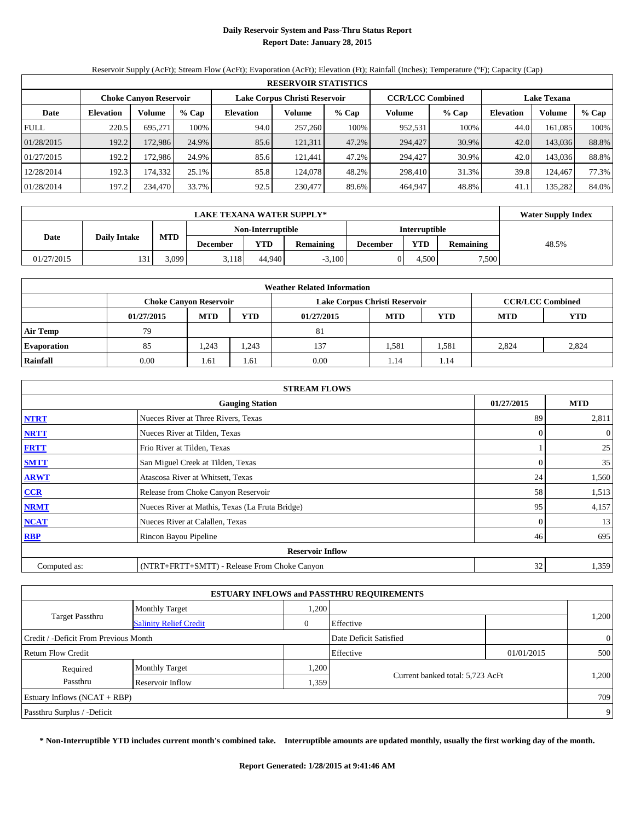## **Daily Reservoir System and Pass-Thru Status Report Report Date: January 28, 2015**

Reservoir Supply (AcFt); Stream Flow (AcFt); Evaporation (AcFt); Elevation (Ft); Rainfall (Inches); Temperature (°F); Capacity (Cap)

| <b>RESERVOIR STATISTICS</b> |                  |                               |       |                  |                               |       |                         |       |                    |               |       |
|-----------------------------|------------------|-------------------------------|-------|------------------|-------------------------------|-------|-------------------------|-------|--------------------|---------------|-------|
|                             |                  | <b>Choke Canyon Reservoir</b> |       |                  | Lake Corpus Christi Reservoir |       | <b>CCR/LCC Combined</b> |       | <b>Lake Texana</b> |               |       |
| Date                        | <b>Elevation</b> | Volume                        | % Cap | <b>Elevation</b> | Volume                        | % Cap | Volume                  | % Cap | <b>Elevation</b>   | <b>Volume</b> | % Cap |
| <b>FULL</b>                 | 220.5            | 695.271                       | 100%  | 94.0             | 257,260                       | 100%  | 952,531                 | 100%  | 44.0               | 161.085       | 100%  |
| 01/28/2015                  | 192.2            | 172.986                       | 24.9% | 85.6             | 121,311                       | 47.2% | 294,427                 | 30.9% | 42.0               | 143,036       | 88.8% |
| 01/27/2015                  | 192.2            | 172.986                       | 24.9% | 85.6             | 121.441                       | 47.2% | 294,427                 | 30.9% | 42.0               | 143,036       | 88.8% |
| 12/28/2014                  | 192.3            | 174.332                       | 25.1% | 85.8             | 124,078                       | 48.2% | 298,410                 | 31.3% | 39.8               | 124.467       | 77.3% |
| 01/28/2014                  | 197.2            | 234,470                       | 33.7% | 92.5             | 230,477                       | 89.6% | 464.947                 | 48.8% | 41.1               | 135,282       | 84.0% |

|            | <b>Water Supply Index</b> |            |                 |                   |                  |                 |                      |                  |       |
|------------|---------------------------|------------|-----------------|-------------------|------------------|-----------------|----------------------|------------------|-------|
|            |                           |            |                 | Non-Interruptible |                  |                 | <b>Interruptible</b> |                  |       |
| Date       | <b>Daily Intake</b>       | <b>MTD</b> | <b>December</b> | <b>YTD</b>        | <b>Remaining</b> | <b>December</b> | YTD                  | <b>Remaining</b> | 48.5% |
| 01/27/2015 | 131                       | 3.099      | 3.118           | 44.940            | $-3,100$         |                 | 4.500                | 7,500            |       |

| <b>Weather Related Information</b> |            |                               |            |                               |            |                         |            |       |  |  |  |
|------------------------------------|------------|-------------------------------|------------|-------------------------------|------------|-------------------------|------------|-------|--|--|--|
|                                    |            | <b>Choke Canyon Reservoir</b> |            | Lake Corpus Christi Reservoir |            | <b>CCR/LCC Combined</b> |            |       |  |  |  |
|                                    | 01/27/2015 | <b>MTD</b>                    | <b>YTD</b> | 01/27/2015                    | <b>YTD</b> | <b>MTD</b>              | <b>YTD</b> |       |  |  |  |
| <b>Air Temp</b>                    | 79         |                               |            | 81                            |            |                         |            |       |  |  |  |
| <b>Evaporation</b>                 | 85         | 1,243                         | 1,243      | 137                           | 1,581      | 1,581                   | 2.824      | 2,824 |  |  |  |
| Rainfall                           | 0.00       | 1.61                          | 1.61       | 0.00                          | 1.14       | 1.14                    |            |       |  |  |  |

| <b>STREAM FLOWS</b> |                                                 |          |                  |  |  |  |  |  |  |
|---------------------|-------------------------------------------------|----------|------------------|--|--|--|--|--|--|
|                     | <b>Gauging Station</b>                          |          |                  |  |  |  |  |  |  |
| <b>NTRT</b>         | Nueces River at Three Rivers, Texas             | 89       | 2,811            |  |  |  |  |  |  |
| <b>NRTT</b>         | Nueces River at Tilden, Texas                   | $\Omega$ | $\boldsymbol{0}$ |  |  |  |  |  |  |
| <b>FRTT</b>         | Frio River at Tilden, Texas                     |          | 25               |  |  |  |  |  |  |
| <b>SMTT</b>         | San Miguel Creek at Tilden, Texas               | 0        | 35               |  |  |  |  |  |  |
| <b>ARWT</b>         | Atascosa River at Whitsett, Texas               | 24       | 1,560            |  |  |  |  |  |  |
| $CCR$               | Release from Choke Canyon Reservoir             | 58       | 1,513            |  |  |  |  |  |  |
| <b>NRMT</b>         | Nueces River at Mathis, Texas (La Fruta Bridge) | 95       | 4,157            |  |  |  |  |  |  |
| <b>NCAT</b>         | Nueces River at Calallen, Texas                 | $\Omega$ | 13               |  |  |  |  |  |  |
| <b>RBP</b>          | Rincon Bayou Pipeline                           | 46       | 695              |  |  |  |  |  |  |
|                     | <b>Reservoir Inflow</b>                         |          |                  |  |  |  |  |  |  |
| Computed as:        | (NTRT+FRTT+SMTT) - Release From Choke Canyon    | 32       | 1,359            |  |  |  |  |  |  |

|                                       |                               |      | <b>ESTUARY INFLOWS and PASSTHRU REQUIREMENTS</b> |            |                |
|---------------------------------------|-------------------------------|------|--------------------------------------------------|------------|----------------|
|                                       | <b>Monthly Target</b>         | ,200 |                                                  |            |                |
| <b>Target Passthru</b>                | <b>Salinity Relief Credit</b> | 0    | Effective                                        |            | 1,200          |
| Credit / -Deficit From Previous Month |                               |      | Date Deficit Satisfied                           |            | $\overline{0}$ |
| Return Flow Credit                    |                               |      | Effective                                        | 01/01/2015 | 500            |
| Required                              | <b>Monthly Target</b>         | ,200 |                                                  |            |                |
| Passthru                              | Reservoir Inflow              | ,359 | Current banked total: 5,723 AcFt                 |            | 1,200          |
| Estuary Inflows $(NCAT + RBP)$        |                               |      |                                                  |            | 709            |
| Passthru Surplus / -Deficit           |                               |      |                                                  |            | 9              |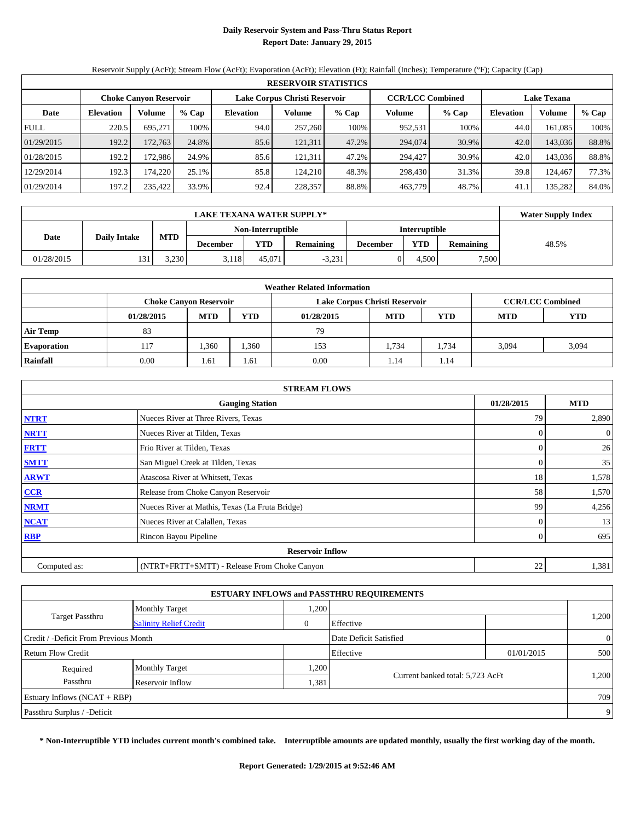## **Daily Reservoir System and Pass-Thru Status Report Report Date: January 29, 2015**

Reservoir Supply (AcFt); Stream Flow (AcFt); Evaporation (AcFt); Elevation (Ft); Rainfall (Inches); Temperature (°F); Capacity (Cap)

|             | <b>RESERVOIR STATISTICS</b> |                               |       |                  |                               |         |                         |         |                    |         |       |  |
|-------------|-----------------------------|-------------------------------|-------|------------------|-------------------------------|---------|-------------------------|---------|--------------------|---------|-------|--|
|             |                             | <b>Choke Canyon Reservoir</b> |       |                  | Lake Corpus Christi Reservoir |         | <b>CCR/LCC Combined</b> |         | <b>Lake Texana</b> |         |       |  |
| Date        | <b>Elevation</b>            | Volume                        | % Cap | <b>Elevation</b> | Volume                        | $%$ Cap | Volume                  | $%$ Cap | <b>Elevation</b>   | Volume  | % Cap |  |
| <b>FULL</b> | 220.5                       | 695.271                       | 100%  | 94.0             | 257,260                       | 100%    | 952,531                 | 100%    | 44.0               | 161.085 | 100%  |  |
| 01/29/2015  | 192.2                       | 172,763                       | 24.8% | 85.6             | 121,311                       | 47.2%   | 294,074                 | 30.9%   | 42.0               | 143,036 | 88.8% |  |
| 01/28/2015  | 192.2                       | 172.986                       | 24.9% | 85.6             | 121,311                       | 47.2%   | 294,427                 | 30.9%   | 42.0               | 143,036 | 88.8% |  |
| 12/29/2014  | 192.3                       | 174.220                       | 25.1% | 85.8             | 124.210                       | 48.3%   | 298,430                 | 31.3%   | 39.8               | 124,467 | 77.3% |  |
| 01/29/2014  | 197.2                       | 235,422                       | 33.9% | 92.4             | 228,357                       | 88.8%   | 463,779                 | 48.7%   | 41.1               | 135,282 | 84.0% |  |

|            | <b>Water Supply Index</b> |            |                 |                   |                  |                 |                      |                  |       |
|------------|---------------------------|------------|-----------------|-------------------|------------------|-----------------|----------------------|------------------|-------|
|            |                           |            |                 | Non-Interruptible |                  |                 | <b>Interruptible</b> |                  |       |
| Date       | <b>Daily Intake</b>       | <b>MTD</b> | <b>December</b> | YTD               | <b>Remaining</b> | <b>December</b> | YTD                  | <b>Remaining</b> | 48.5% |
| 01/28/2015 | 131                       | 3.230      | 3.118           | 45.071            | $-3,231$         |                 | 4.500                | 7,500            |       |

| <b>Weather Related Information</b> |                               |            |            |                               |            |                         |            |            |  |  |  |
|------------------------------------|-------------------------------|------------|------------|-------------------------------|------------|-------------------------|------------|------------|--|--|--|
|                                    | <b>Choke Canyon Reservoir</b> |            |            | Lake Corpus Christi Reservoir |            | <b>CCR/LCC Combined</b> |            |            |  |  |  |
|                                    | 01/28/2015                    | <b>MTD</b> | <b>YTD</b> | 01/28/2015                    | <b>MTD</b> | YTD                     | <b>MTD</b> | <b>YTD</b> |  |  |  |
| <b>Air Temp</b>                    | 83                            |            |            | 79                            |            |                         |            |            |  |  |  |
| <b>Evaporation</b>                 | 117                           | 1,360      | 1,360      | 153                           | 1.734      | 1.734                   | 3.094      | 3,094      |  |  |  |
| Rainfall                           | 0.00                          | 1.61       | 1.61       | 0.00                          | 1.14       | 1.14                    |            |            |  |  |  |

| <b>STREAM FLOWS</b> |                                                 |          |                  |  |  |  |  |  |  |
|---------------------|-------------------------------------------------|----------|------------------|--|--|--|--|--|--|
|                     | <b>Gauging Station</b>                          |          |                  |  |  |  |  |  |  |
| <b>NTRT</b>         | Nueces River at Three Rivers, Texas             | 79       | 2,890            |  |  |  |  |  |  |
| <b>NRTT</b>         | Nueces River at Tilden, Texas                   | $\Omega$ | $\boldsymbol{0}$ |  |  |  |  |  |  |
| <b>FRTT</b>         | Frio River at Tilden, Texas                     | 0        | 26               |  |  |  |  |  |  |
| <b>SMTT</b>         | San Miguel Creek at Tilden, Texas               | 0        | 35               |  |  |  |  |  |  |
| <b>ARWT</b>         | Atascosa River at Whitsett, Texas               | 18       | 1,578            |  |  |  |  |  |  |
| $CCR$               | Release from Choke Canyon Reservoir             | 58       | 1,570            |  |  |  |  |  |  |
| <b>NRMT</b>         | Nueces River at Mathis, Texas (La Fruta Bridge) | 99       | 4,256            |  |  |  |  |  |  |
| <b>NCAT</b>         | Nueces River at Calallen, Texas                 | 0        | 13               |  |  |  |  |  |  |
| <b>RBP</b>          | Rincon Bayou Pipeline                           | $\Omega$ | 695              |  |  |  |  |  |  |
|                     | <b>Reservoir Inflow</b>                         |          |                  |  |  |  |  |  |  |
| Computed as:        | (NTRT+FRTT+SMTT) - Release From Choke Canyon    | 22       | 1,381            |  |  |  |  |  |  |

|                                       |                               |      | <b>ESTUARY INFLOWS and PASSTHRU REQUIREMENTS</b> |            |                |  |
|---------------------------------------|-------------------------------|------|--------------------------------------------------|------------|----------------|--|
|                                       | <b>Monthly Target</b>         | ,200 |                                                  |            |                |  |
| <b>Target Passthru</b>                | <b>Salinity Relief Credit</b> | 0    | Effective                                        |            | 1,200          |  |
| Credit / -Deficit From Previous Month |                               |      | Date Deficit Satisfied                           |            | $\overline{0}$ |  |
| Return Flow Credit                    |                               |      | Effective                                        | 01/01/2015 | 500            |  |
| Required                              | <b>Monthly Target</b>         | ,200 |                                                  |            |                |  |
| Passthru                              | Reservoir Inflow              | .381 | Current banked total: 5,723 AcFt                 |            | 1,200          |  |
| Estuary Inflows $(NCAT + RBP)$        |                               |      |                                                  |            | 709            |  |
| Passthru Surplus / -Deficit           |                               |      |                                                  |            | 9              |  |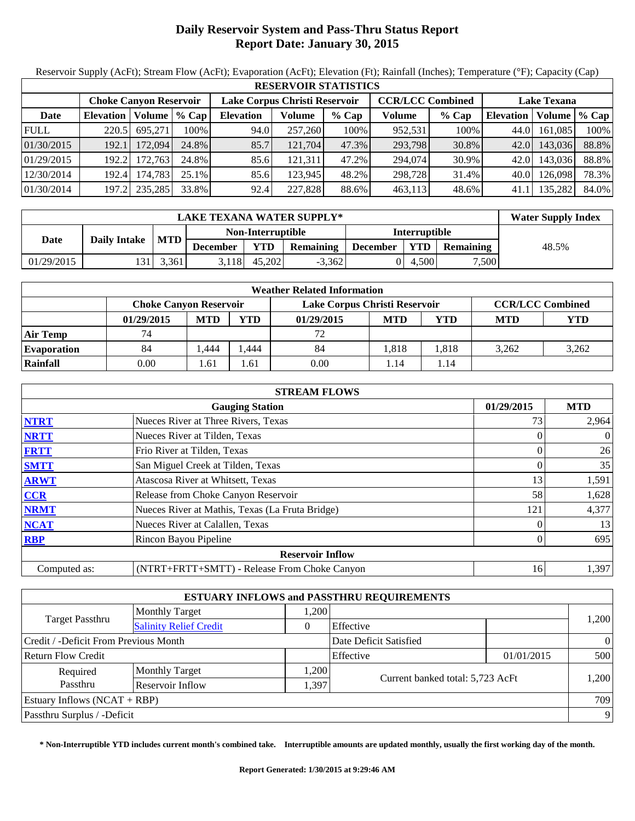# **Daily Reservoir System and Pass-Thru Status Report Report Date: January 30, 2015**

Reservoir Supply (AcFt); Stream Flow (AcFt); Evaporation (AcFt); Elevation (Ft); Rainfall (Inches); Temperature (°F); Capacity (Cap)

|             | <b>RESERVOIR STATISTICS</b> |                                                                |         |                  |         |                         |               |                    |                  |         |       |  |
|-------------|-----------------------------|----------------------------------------------------------------|---------|------------------|---------|-------------------------|---------------|--------------------|------------------|---------|-------|--|
|             |                             | Lake Corpus Christi Reservoir<br><b>Choke Canyon Reservoir</b> |         |                  |         | <b>CCR/LCC Combined</b> |               | <b>Lake Texana</b> |                  |         |       |  |
| Date        | <b>Elevation</b>            | Volume                                                         | $%$ Cap | <b>Elevation</b> | Volume  | % Cap                   | <b>Volume</b> | % Cap              | <b>Elevation</b> | Volume  | % Cap |  |
| <b>FULL</b> | 220.5                       | 695.271                                                        | 100%    | 94.0             | 257,260 | 100%                    | 952.531       | 100%               | 44.0             | 161.085 | 100%  |  |
| 01/30/2015  | 192.1                       | 172,094                                                        | 24.8%   | 85.7             | 121,704 | 47.3%                   | 293,798       | 30.8%              | 42.0             | 143,036 | 88.8% |  |
| 01/29/2015  | 192.2                       | 172.7631                                                       | 24.8%   | 85.6             | 121.311 | 47.2%                   | 294,074       | 30.9%              | 42.0             | 143.036 | 88.8% |  |
| 12/30/2014  | 192.4                       | 174.783                                                        | 25.1%   | 85.6             | 123.945 | 48.2%                   | 298,728       | 31.4%              | 40.0             | 126,098 | 78.3% |  |
| 01/30/2014  | 197.2                       | 235,285                                                        | 33.8%   | 92.4             | 227,828 | 88.6%                   | 463.113       | 48.6%              | 41.1             | 135.282 | 84.0% |  |

|            | <b>Water Supply Index</b> |            |                   |        |                  |          |               |                  |       |
|------------|---------------------------|------------|-------------------|--------|------------------|----------|---------------|------------------|-------|
|            |                           |            | Non-Interruptible |        |                  |          | Interruptible |                  |       |
| Date       | <b>Daily Intake</b>       | <b>MTD</b> | <b>December</b>   | YTD    | <b>Remaining</b> | December | <b>YTD</b>    | <b>Remaining</b> | 48.5% |
| 01/29/2015 | '31 i                     | 3.361      | 3.118             | 45.202 | $-3.362$         |          | 4.500         | 7.500            |       |

| <b>Weather Related Information</b> |                               |            |      |                               |            |                         |            |       |  |
|------------------------------------|-------------------------------|------------|------|-------------------------------|------------|-------------------------|------------|-------|--|
|                                    | <b>Choke Canyon Reservoir</b> |            |      | Lake Corpus Christi Reservoir |            | <b>CCR/LCC Combined</b> |            |       |  |
|                                    | 01/29/2015                    | <b>MTD</b> | YTD  | 01/29/2015                    | <b>MTD</b> | YTD                     | <b>MTD</b> | YTD   |  |
| <b>Air Temp</b>                    | 74                            |            |      | 72                            |            |                         |            |       |  |
| <b>Evaporation</b>                 | 84                            | .444       | .444 | 84                            | 1.818      | .818                    | 3.262      | 3,262 |  |
| Rainfall                           | 0.00                          | . .61      | 1.61 | 0.00                          | 1.14       | 1.14                    |            |       |  |

|              | <b>STREAM FLOWS</b>                             |            |                |  |  |  |  |  |  |
|--------------|-------------------------------------------------|------------|----------------|--|--|--|--|--|--|
|              | <b>Gauging Station</b>                          | 01/29/2015 | <b>MTD</b>     |  |  |  |  |  |  |
| <b>NTRT</b>  | Nueces River at Three Rivers, Texas             | 73         | 2,964          |  |  |  |  |  |  |
| <b>NRTT</b>  | Nueces River at Tilden, Texas                   | $\theta$   | $\overline{0}$ |  |  |  |  |  |  |
| <b>FRTT</b>  | Frio River at Tilden, Texas                     | 0          | 26             |  |  |  |  |  |  |
| <b>SMTT</b>  | San Miguel Creek at Tilden, Texas               |            | 35             |  |  |  |  |  |  |
| <b>ARWT</b>  | Atascosa River at Whitsett, Texas               | 13         | 1,591          |  |  |  |  |  |  |
| CCR          | Release from Choke Canyon Reservoir             | 58         | 1,628          |  |  |  |  |  |  |
| <b>NRMT</b>  | Nueces River at Mathis, Texas (La Fruta Bridge) | 121        | 4,377          |  |  |  |  |  |  |
| <b>NCAT</b>  | Nueces River at Calallen, Texas                 | 0          | 13             |  |  |  |  |  |  |
| <b>RBP</b>   | Rincon Bayou Pipeline                           | 0          | 695            |  |  |  |  |  |  |
|              | <b>Reservoir Inflow</b>                         |            |                |  |  |  |  |  |  |
| Computed as: | (NTRT+FRTT+SMTT) - Release From Choke Canyon    | 16         | 1,397          |  |  |  |  |  |  |

|                                       |                               |       | <b>ESTUARY INFLOWS and PASSTHRU REQUIREMENTS</b> |            |          |  |
|---------------------------------------|-------------------------------|-------|--------------------------------------------------|------------|----------|--|
| <b>Target Passthru</b>                | <b>Monthly Target</b>         | 1,200 |                                                  |            | 1,200    |  |
|                                       | <b>Salinity Relief Credit</b> |       | Effective                                        |            |          |  |
| Credit / -Deficit From Previous Month |                               |       | Date Deficit Satisfied                           |            | $\theta$ |  |
| <b>Return Flow Credit</b>             |                               |       | Effective                                        | 01/01/2015 | 500      |  |
| Required                              | <b>Monthly Target</b>         | 1,200 | Current banked total: 5,723 AcFt                 |            |          |  |
| Passthru                              | Reservoir Inflow              | 1,397 |                                                  |            | 1,200    |  |
| Estuary Inflows $(NCAT + RBP)$        |                               |       |                                                  |            | 709      |  |
| Passthru Surplus / -Deficit           |                               |       |                                                  |            | 9        |  |